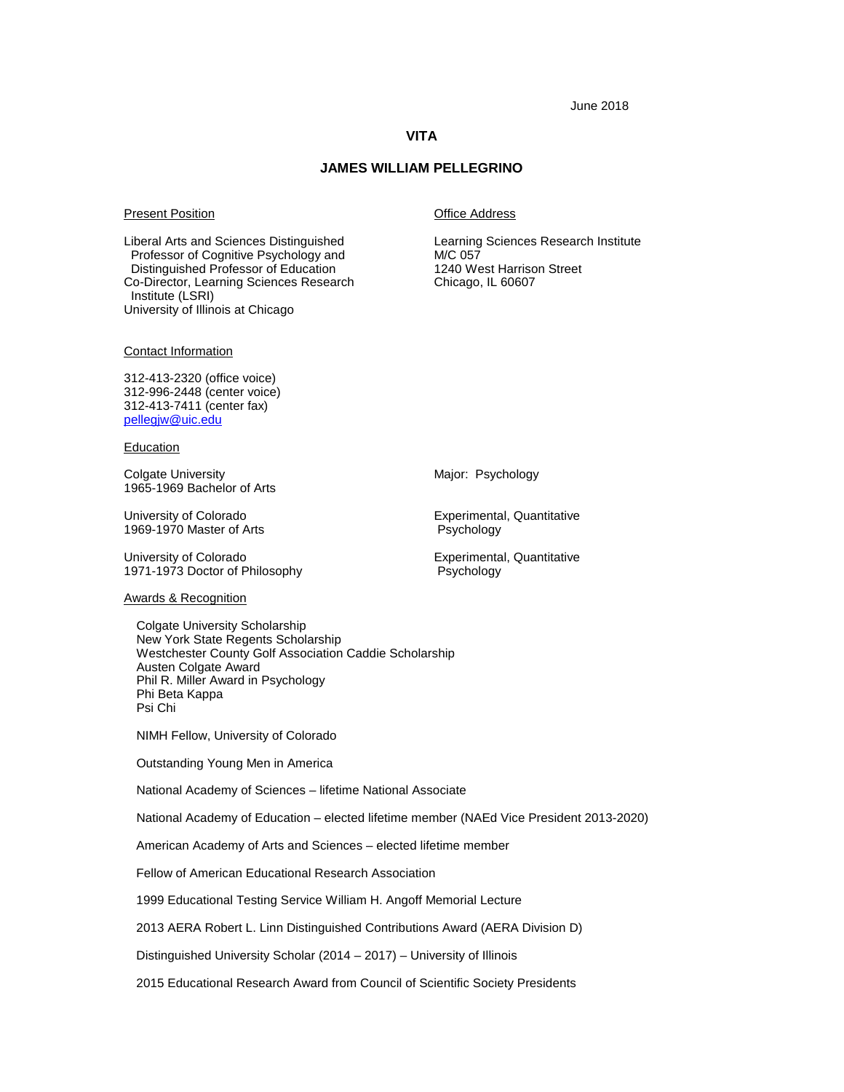## **VITA**

## **JAMES WILLIAM PELLEGRINO**

#### Present Position **Present Position Present Position**

Liberal Arts and Sciences Distinguished Learning Sciences Research Institute Professor of Cognitive Psychology and **M/C 057**<br>
Distinguished Professor of Education **M/C 1240** West Harrison Street Distinguished Professor of Education 1240 West Harrison of Education 1240 West Harrison Co-Co-Director, Learning Sciences Research Institute (LSRI) University of Illinois at Chicago

Contact Information

312-413-2320 (office voice) 312-996-2448 (center voice) 312-413-7411 (center fax) pellegjw@uic.edu

#### **Education**

Colgate University **Major: Psychology** Major: Psychology 1965-1969 Bachelor of Arts

1969-1970 Master of Arts

University of Colorado **Experimental, Quantitative** Experimental, Quantitative 1971-1973 Doctor of Philosophy Psychology

University of Colorado<br>
1969-1970 Master of Arts<br>
2009-1970 Master of Arts<br>
2008 - Experimental, Quantitative

#### Awards & Recognition

Colgate University Scholarship New York State Regents Scholarship Westchester County Golf Association Caddie Scholarship Austen Colgate Award Phil R. Miller Award in Psychology Phi Beta Kappa Psi Chi

NIMH Fellow, University of Colorado

Outstanding Young Men in America

National Academy of Sciences – lifetime National Associate

National Academy of Education – elected lifetime member (NAEd Vice President 2013-2020)

American Academy of Arts and Sciences – elected lifetime member

Fellow of American Educational Research Association

1999 Educational Testing Service William H. Angoff Memorial Lecture

2013 AERA Robert L. Linn Distinguished Contributions Award (AERA Division D)

Distinguished University Scholar (2014 – 2017) – University of Illinois

2015 Educational Research Award from Council of Scientific Society Presidents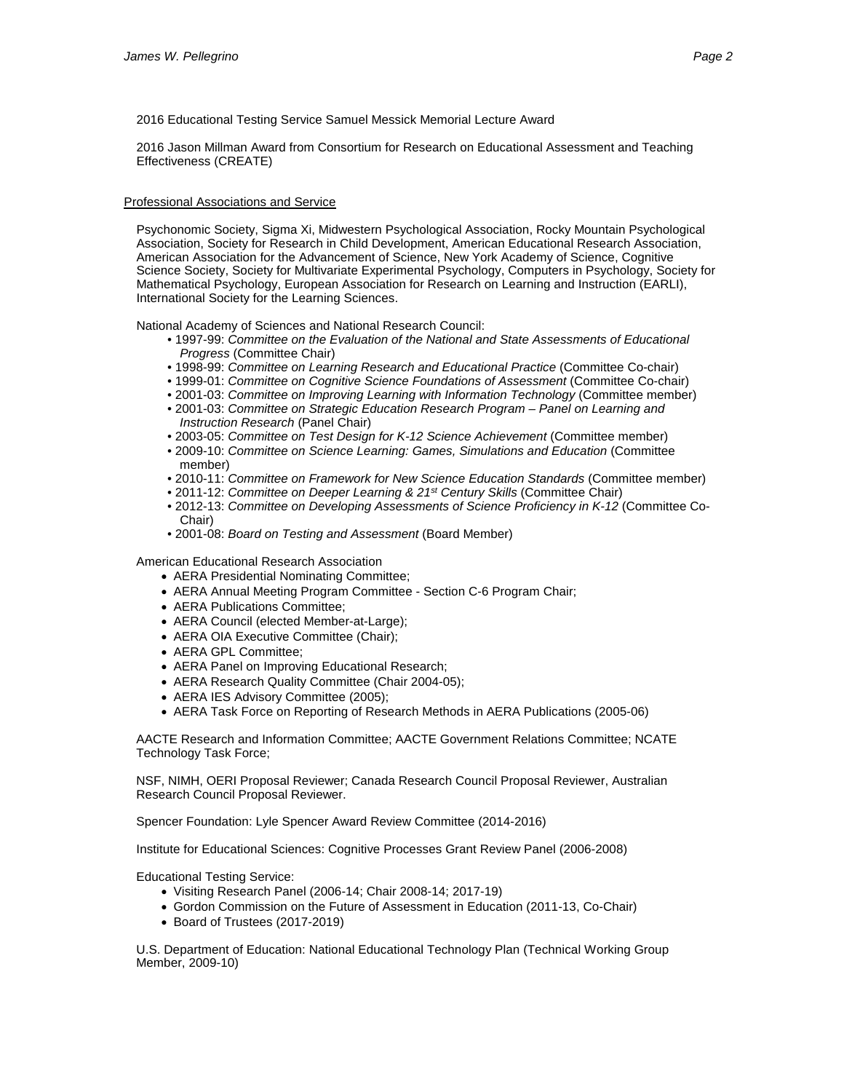2016 Educational Testing Service Samuel Messick Memorial Lecture Award

2016 Jason Millman Award from Consortium for Research on Educational Assessment and Teaching Effectiveness (CREATE)

Professional Associations and Service

Psychonomic Society, Sigma Xi, Midwestern Psychological Association, Rocky Mountain Psychological Association, Society for Research in Child Development, American Educational Research Association, American Association for the Advancement of Science, New York Academy of Science, Cognitive Science Society, Society for Multivariate Experimental Psychology, Computers in Psychology, Society for Mathematical Psychology, European Association for Research on Learning and Instruction (EARLI), International Society for the Learning Sciences.

National Academy of Sciences and National Research Council:

- 1997-99: *Committee on the Evaluation of the National and State Assessments of Educational Progress* (Committee Chair)
- 1998-99: *Committee on Learning Research and Educational Practice* (Committee Co-chair)
- 1999-01: *Committee on Cognitive Science Foundations of Assessment* (Committee Co-chair)
- 2001-03: *Committee on Improving Learning with Information Technology* (Committee member)
- 2001-03: *Committee on Strategic Education Research Program – Panel on Learning and Instruction Research* (Panel Chair)
- 2003-05: *Committee on Test Design for K-12 Science Achievement* (Committee member)
- 2009-10: *Committee on Science Learning: Games, Simulations and Education* (Committee member)
- 2010-11: *Committee on Framework for New Science Education Standards* (Committee member)
- 2011-12: *Committee on Deeper Learning & 21st Century Skills* (Committee Chair)
- 2012-13: *Committee on Developing Assessments of Science Proficiency in K-12* (Committee Co-Chair)
- 2001-08: *Board on Testing and Assessment* (Board Member)

American Educational Research Association

- AERA Presidential Nominating Committee;
- AERA Annual Meeting Program Committee Section C-6 Program Chair;
- AERA Publications Committee;
- AERA Council (elected Member-at-Large);
- AERA OIA Executive Committee (Chair);
- AERA GPL Committee;
- AERA Panel on Improving Educational Research;
- AERA Research Quality Committee (Chair 2004-05);
- AERA IES Advisory Committee (2005);
- AERA Task Force on Reporting of Research Methods in AERA Publications (2005-06)

AACTE Research and Information Committee; AACTE Government Relations Committee; NCATE Technology Task Force;

NSF, NIMH, OERI Proposal Reviewer; Canada Research Council Proposal Reviewer, Australian Research Council Proposal Reviewer.

Spencer Foundation: Lyle Spencer Award Review Committee (2014-2016)

Institute for Educational Sciences: Cognitive Processes Grant Review Panel (2006-2008)

Educational Testing Service:

- Visiting Research Panel (2006-14; Chair 2008-14; 2017-19)
- Gordon Commission on the Future of Assessment in Education (2011-13, Co-Chair)
- Board of Trustees (2017-2019)

U.S. Department of Education: National Educational Technology Plan (Technical Working Group Member, 2009-10)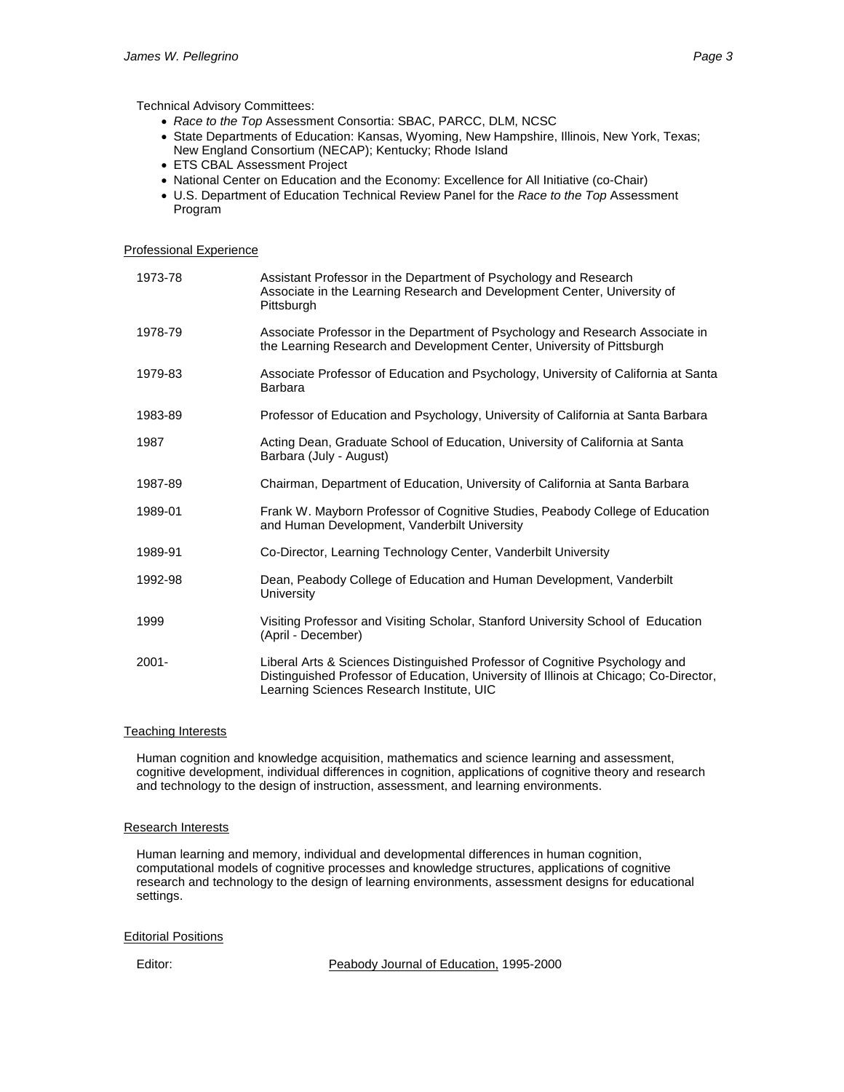Technical Advisory Committees:

- *Race to the Top* Assessment Consortia: SBAC, PARCC, DLM, NCSC
- State Departments of Education: Kansas, Wyoming, New Hampshire, Illinois, New York, Texas; New England Consortium (NECAP); Kentucky; Rhode Island
- ETS CBAL Assessment Project
- National Center on Education and the Economy: Excellence for All Initiative (co-Chair)
- U.S. Department of Education Technical Review Panel for the *Race to the Top* Assessment Program

## Professional Experience

| 1973-78  | Assistant Professor in the Department of Psychology and Research<br>Associate in the Learning Research and Development Center, University of<br>Pittsburgh                                                        |
|----------|-------------------------------------------------------------------------------------------------------------------------------------------------------------------------------------------------------------------|
| 1978-79  | Associate Professor in the Department of Psychology and Research Associate in<br>the Learning Research and Development Center, University of Pittsburgh                                                           |
| 1979-83  | Associate Professor of Education and Psychology, University of California at Santa<br>Barbara                                                                                                                     |
| 1983-89  | Professor of Education and Psychology, University of California at Santa Barbara                                                                                                                                  |
| 1987     | Acting Dean, Graduate School of Education, University of California at Santa<br>Barbara (July - August)                                                                                                           |
| 1987-89  | Chairman, Department of Education, University of California at Santa Barbara                                                                                                                                      |
| 1989-01  | Frank W. Mayborn Professor of Cognitive Studies, Peabody College of Education<br>and Human Development, Vanderbilt University                                                                                     |
| 1989-91  | Co-Director, Learning Technology Center, Vanderbilt University                                                                                                                                                    |
| 1992-98  | Dean, Peabody College of Education and Human Development, Vanderbilt<br><b>University</b>                                                                                                                         |
| 1999     | Visiting Professor and Visiting Scholar, Stanford University School of Education<br>(April - December)                                                                                                            |
| $2001 -$ | Liberal Arts & Sciences Distinguished Professor of Cognitive Psychology and<br>Distinguished Professor of Education, University of Illinois at Chicago; Co-Director,<br>Learning Sciences Research Institute, UIC |

#### Teaching Interests

Human cognition and knowledge acquisition, mathematics and science learning and assessment, cognitive development, individual differences in cognition, applications of cognitive theory and research and technology to the design of instruction, assessment, and learning environments.

## **Research Interests**

Human learning and memory, individual and developmental differences in human cognition, computational models of cognitive processes and knowledge structures, applications of cognitive research and technology to the design of learning environments, assessment designs for educational settings.

## Editorial Positions

Editor: Peabody Journal of Education, 1995-2000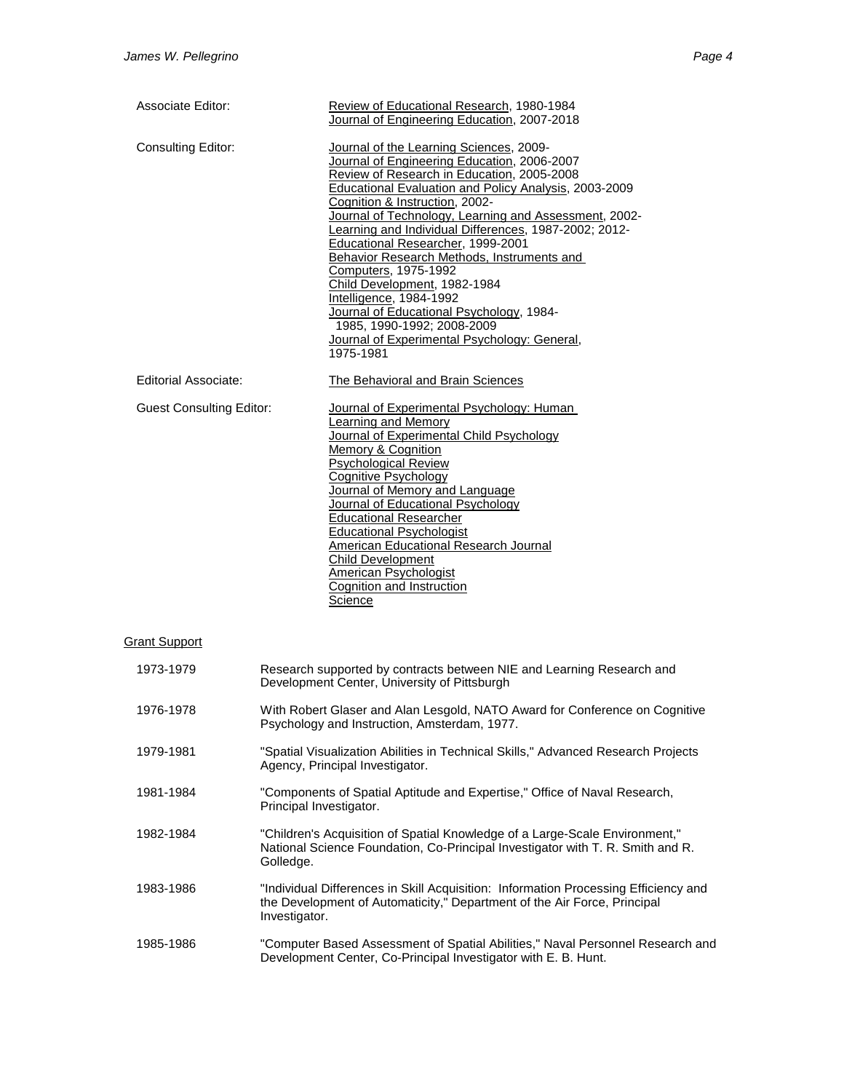| <b>Associate Editor:</b>        | Review of Educational Research, 1980-1984<br>Journal of Engineering Education, 2007-2018                                                                                                                                                                                                                                                                                                                                                                                                                                                                                                                                                                       |
|---------------------------------|----------------------------------------------------------------------------------------------------------------------------------------------------------------------------------------------------------------------------------------------------------------------------------------------------------------------------------------------------------------------------------------------------------------------------------------------------------------------------------------------------------------------------------------------------------------------------------------------------------------------------------------------------------------|
| <b>Consulting Editor:</b>       | Journal of the Learning Sciences, 2009-<br>Journal of Engineering Education, 2006-2007<br>Review of Research in Education, 2005-2008<br>Educational Evaluation and Policy Analysis, 2003-2009<br>Cognition & Instruction, 2002-<br>Journal of Technology, Learning and Assessment, 2002-<br>Learning and Individual Differences, 1987-2002; 2012-<br>Educational Researcher, 1999-2001<br>Behavior Research Methods, Instruments and<br>Computers, 1975-1992<br>Child Development, 1982-1984<br>Intelligence, 1984-1992<br>Journal of Educational Psychology, 1984-<br>1985, 1990-1992; 2008-2009<br>Journal of Experimental Psychology: General,<br>1975-1981 |
| Editorial Associate:            | The Behavioral and Brain Sciences                                                                                                                                                                                                                                                                                                                                                                                                                                                                                                                                                                                                                              |
| <b>Guest Consulting Editor:</b> | Journal of Experimental Psychology: Human<br>Learning and Memory<br>Journal of Experimental Child Psychology<br>Memory & Cognition<br><b>Psychological Review</b><br><b>Cognitive Psychology</b><br>Journal of Memory and Language<br>Journal of Educational Psychology<br><b>Educational Researcher</b><br><b>Educational Psychologist</b><br>American Educational Research Journal<br><b>Child Development</b><br><b>American Psychologist</b><br>Cognition and Instruction<br>Science                                                                                                                                                                       |
| <b>Grant Support</b>            |                                                                                                                                                                                                                                                                                                                                                                                                                                                                                                                                                                                                                                                                |
| 1973-1979                       | Research supported by contracts between NIE and Learning Research and<br>Development Center, University of Pittsburgh                                                                                                                                                                                                                                                                                                                                                                                                                                                                                                                                          |
|                                 |                                                                                                                                                                                                                                                                                                                                                                                                                                                                                                                                                                                                                                                                |

| 1976-1978 | With Robert Glaser and Alan Lesgold, NATO Award for Conference on Cognitive |
|-----------|-----------------------------------------------------------------------------|
|           | Psychology and Instruction, Amsterdam, 1977.                                |
|           |                                                                             |

- 1979-1981 "Spatial Visualization Abilities in Technical Skills," Advanced Research Projects Agency, Principal Investigator.
- 1981-1984 "Components of Spatial Aptitude and Expertise," Office of Naval Research, Principal Investigator.
- 1982-1984 "Children's Acquisition of Spatial Knowledge of a Large-Scale Environment," National Science Foundation, Co-Principal Investigator with T. R. Smith and R. Golledge.
- 1983-1986 "Individual Differences in Skill Acquisition: Information Processing Efficiency and the Development of Automaticity," Department of the Air Force, Principal Investigator.
- 1985-1986 "Computer Based Assessment of Spatial Abilities," Naval Personnel Research and Development Center, Co-Principal Investigator with E. B. Hunt.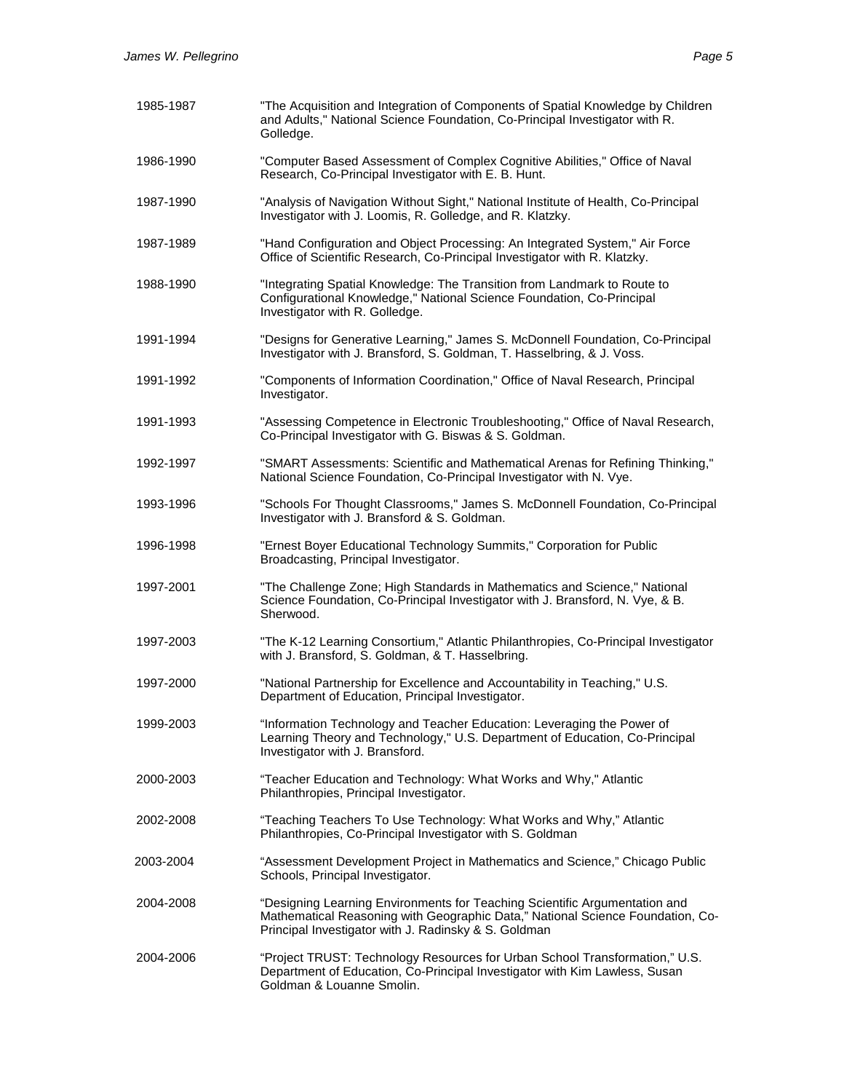| 1985-1987 | "The Acquisition and Integration of Components of Spatial Knowledge by Children<br>and Adults," National Science Foundation, Co-Principal Investigator with R.<br>Golledge.                                          |
|-----------|----------------------------------------------------------------------------------------------------------------------------------------------------------------------------------------------------------------------|
| 1986-1990 | "Computer Based Assessment of Complex Cognitive Abilities," Office of Naval<br>Research, Co-Principal Investigator with E. B. Hunt.                                                                                  |
| 1987-1990 | "Analysis of Navigation Without Sight," National Institute of Health, Co-Principal<br>Investigator with J. Loomis, R. Golledge, and R. Klatzky.                                                                      |
| 1987-1989 | "Hand Configuration and Object Processing: An Integrated System," Air Force<br>Office of Scientific Research, Co-Principal Investigator with R. Klatzky.                                                             |
| 1988-1990 | "Integrating Spatial Knowledge: The Transition from Landmark to Route to<br>Configurational Knowledge," National Science Foundation, Co-Principal<br>Investigator with R. Golledge.                                  |
| 1991-1994 | "Designs for Generative Learning," James S. McDonnell Foundation, Co-Principal<br>Investigator with J. Bransford, S. Goldman, T. Hasselbring, & J. Voss.                                                             |
| 1991-1992 | "Components of Information Coordination," Office of Naval Research, Principal<br>Investigator.                                                                                                                       |
| 1991-1993 | "Assessing Competence in Electronic Troubleshooting," Office of Naval Research,<br>Co-Principal Investigator with G. Biswas & S. Goldman.                                                                            |
| 1992-1997 | "SMART Assessments: Scientific and Mathematical Arenas for Refining Thinking,"<br>National Science Foundation, Co-Principal Investigator with N. Vye.                                                                |
| 1993-1996 | "Schools For Thought Classrooms," James S. McDonnell Foundation, Co-Principal<br>Investigator with J. Bransford & S. Goldman.                                                                                        |
| 1996-1998 | "Ernest Boyer Educational Technology Summits," Corporation for Public<br>Broadcasting, Principal Investigator.                                                                                                       |
| 1997-2001 | "The Challenge Zone; High Standards in Mathematics and Science," National<br>Science Foundation, Co-Principal Investigator with J. Bransford, N. Vye, & B.<br>Sherwood.                                              |
| 1997-2003 | "The K-12 Learning Consortium," Atlantic Philanthropies, Co-Principal Investigator<br>with J. Bransford, S. Goldman, & T. Hasselbring.                                                                               |
| 1997-2000 | "National Partnership for Excellence and Accountability in Teaching," U.S.<br>Department of Education, Principal Investigator.                                                                                       |
| 1999-2003 | "Information Technology and Teacher Education: Leveraging the Power of<br>Learning Theory and Technology," U.S. Department of Education, Co-Principal<br>Investigator with J. Bransford.                             |
| 2000-2003 | "Teacher Education and Technology: What Works and Why," Atlantic<br>Philanthropies, Principal Investigator.                                                                                                          |
| 2002-2008 | "Teaching Teachers To Use Technology: What Works and Why," Atlantic<br>Philanthropies, Co-Principal Investigator with S. Goldman                                                                                     |
| 2003-2004 | "Assessment Development Project in Mathematics and Science," Chicago Public<br>Schools, Principal Investigator.                                                                                                      |
| 2004-2008 | "Designing Learning Environments for Teaching Scientific Argumentation and<br>Mathematical Reasoning with Geographic Data," National Science Foundation, Co-<br>Principal Investigator with J. Radinsky & S. Goldman |
| 2004-2006 | "Project TRUST: Technology Resources for Urban School Transformation," U.S.<br>Department of Education, Co-Principal Investigator with Kim Lawless, Susan<br>Goldman & Louanne Smolin.                               |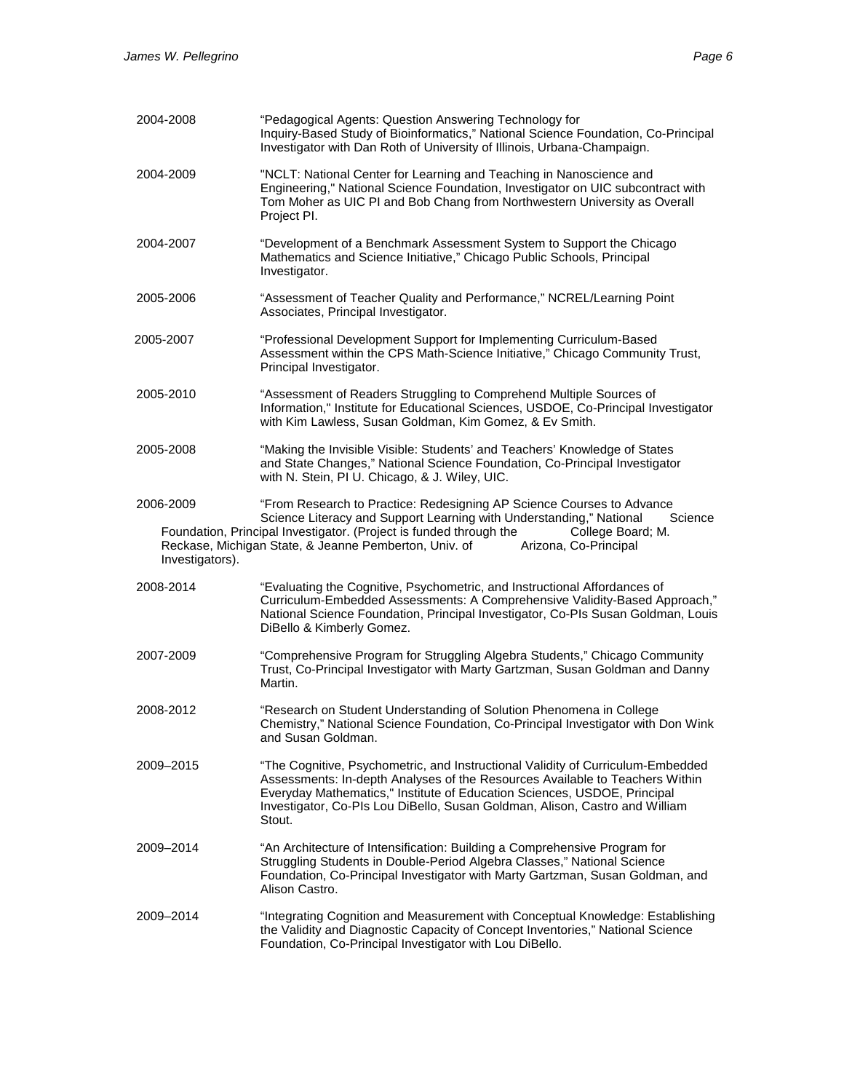| 2004-2008                    | "Pedagogical Agents: Question Answering Technology for<br>Inquiry-Based Study of Bioinformatics," National Science Foundation, Co-Principal<br>Investigator with Dan Roth of University of Illinois, Urbana-Champaign.                                                                                                               |
|------------------------------|--------------------------------------------------------------------------------------------------------------------------------------------------------------------------------------------------------------------------------------------------------------------------------------------------------------------------------------|
| 2004-2009                    | "NCLT: National Center for Learning and Teaching in Nanoscience and<br>Engineering," National Science Foundation, Investigator on UIC subcontract with<br>Tom Moher as UIC PI and Bob Chang from Northwestern University as Overall<br>Project PI.                                                                                   |
| 2004-2007                    | "Development of a Benchmark Assessment System to Support the Chicago<br>Mathematics and Science Initiative," Chicago Public Schools, Principal<br>Investigator.                                                                                                                                                                      |
| 2005-2006                    | "Assessment of Teacher Quality and Performance," NCREL/Learning Point<br>Associates, Principal Investigator.                                                                                                                                                                                                                         |
| 2005-2007                    | "Professional Development Support for Implementing Curriculum-Based<br>Assessment within the CPS Math-Science Initiative," Chicago Community Trust,<br>Principal Investigator.                                                                                                                                                       |
| 2005-2010                    | "Assessment of Readers Struggling to Comprehend Multiple Sources of<br>Information," Institute for Educational Sciences, USDOE, Co-Principal Investigator<br>with Kim Lawless, Susan Goldman, Kim Gomez, & Ev Smith.                                                                                                                 |
| 2005-2008                    | "Making the Invisible Visible: Students' and Teachers' Knowledge of States<br>and State Changes," National Science Foundation, Co-Principal Investigator<br>with N. Stein, PI U. Chicago, & J. Wiley, UIC.                                                                                                                           |
| 2006-2009<br>Investigators). | "From Research to Practice: Redesigning AP Science Courses to Advance<br>Science Literacy and Support Learning with Understanding," National<br>Science<br>Foundation, Principal Investigator. (Project is funded through the<br>College Board; M.<br>Reckase, Michigan State, & Jeanne Pemberton, Univ. of<br>Arizona, Co-Principal |
| 2008-2014                    | "Evaluating the Cognitive, Psychometric, and Instructional Affordances of<br>Curriculum-Embedded Assessments: A Comprehensive Validity-Based Approach,"<br>National Science Foundation, Principal Investigator, Co-PIs Susan Goldman, Louis<br>DiBello & Kimberly Gomez.                                                             |
| 2007-2009                    | "Comprehensive Program for Struggling Algebra Students," Chicago Community<br>Trust, Co-Principal Investigator with Marty Gartzman, Susan Goldman and Danny<br>Martin.                                                                                                                                                               |
| 2008-2012                    | "Research on Student Understanding of Solution Phenomena in College<br>Chemistry," National Science Foundation, Co-Principal Investigator with Don Wink<br>and Susan Goldman.                                                                                                                                                        |
| 2009-2015                    | "The Cognitive, Psychometric, and Instructional Validity of Curriculum-Embedded<br>Assessments: In-depth Analyses of the Resources Available to Teachers Within<br>Everyday Mathematics," Institute of Education Sciences, USDOE, Principal<br>Investigator, Co-PIs Lou DiBello, Susan Goldman, Alison, Castro and William<br>Stout. |
| 2009-2014                    | "An Architecture of Intensification: Building a Comprehensive Program for<br>Struggling Students in Double-Period Algebra Classes," National Science<br>Foundation, Co-Principal Investigator with Marty Gartzman, Susan Goldman, and<br>Alison Castro.                                                                              |
| 2009–2014                    | "Integrating Cognition and Measurement with Conceptual Knowledge: Establishing<br>the Validity and Diagnostic Capacity of Concept Inventories," National Science<br>Foundation, Co-Principal Investigator with Lou DiBello.                                                                                                          |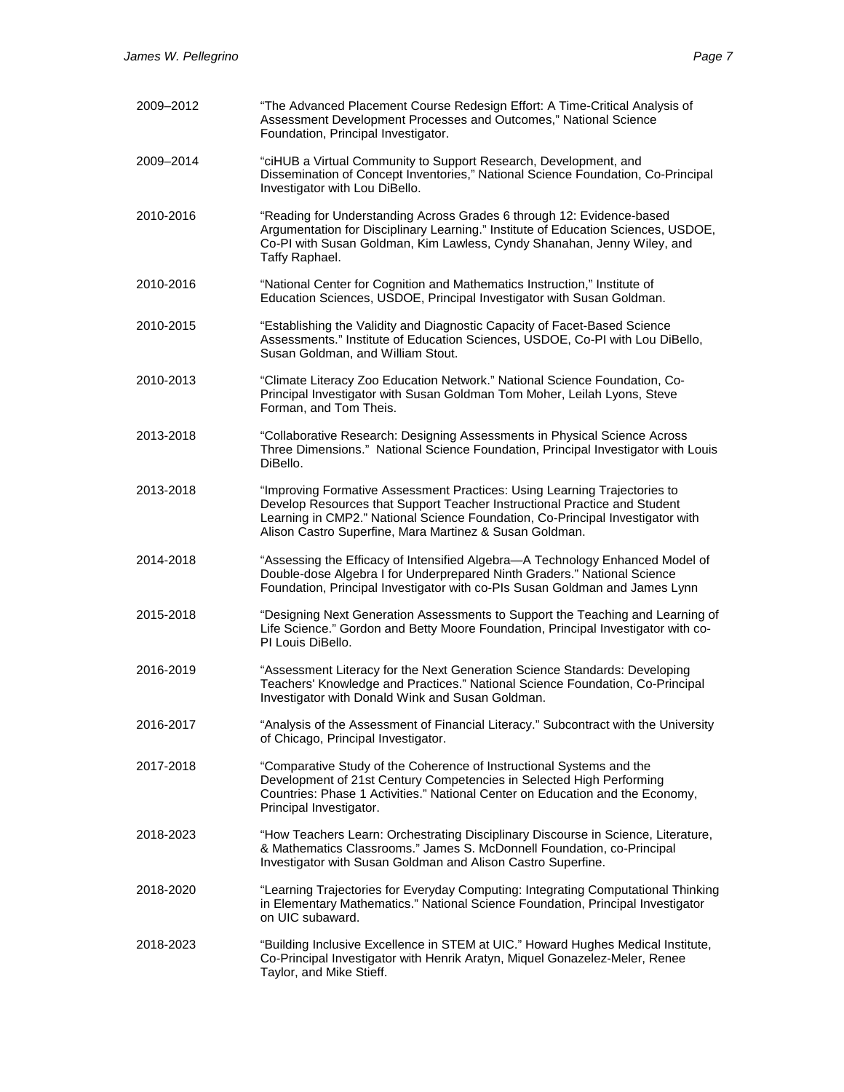| 2009-2012 | "The Advanced Placement Course Redesign Effort: A Time-Critical Analysis of<br>Assessment Development Processes and Outcomes," National Science<br>Foundation, Principal Investigator.                                                                                                              |
|-----------|-----------------------------------------------------------------------------------------------------------------------------------------------------------------------------------------------------------------------------------------------------------------------------------------------------|
| 2009–2014 | "ciHUB a Virtual Community to Support Research, Development, and<br>Dissemination of Concept Inventories," National Science Foundation, Co-Principal<br>Investigator with Lou DiBello.                                                                                                              |
| 2010-2016 | "Reading for Understanding Across Grades 6 through 12: Evidence-based<br>Argumentation for Disciplinary Learning." Institute of Education Sciences, USDOE,<br>Co-PI with Susan Goldman, Kim Lawless, Cyndy Shanahan, Jenny Wiley, and<br>Taffy Raphael.                                             |
| 2010-2016 | "National Center for Cognition and Mathematics Instruction," Institute of<br>Education Sciences, USDOE, Principal Investigator with Susan Goldman.                                                                                                                                                  |
| 2010-2015 | "Establishing the Validity and Diagnostic Capacity of Facet-Based Science<br>Assessments." Institute of Education Sciences, USDOE, Co-PI with Lou DiBello,<br>Susan Goldman, and William Stout.                                                                                                     |
| 2010-2013 | "Climate Literacy Zoo Education Network." National Science Foundation, Co-<br>Principal Investigator with Susan Goldman Tom Moher, Leilah Lyons, Steve<br>Forman, and Tom Theis.                                                                                                                    |
| 2013-2018 | "Collaborative Research: Designing Assessments in Physical Science Across<br>Three Dimensions." National Science Foundation, Principal Investigator with Louis<br>DiBello.                                                                                                                          |
| 2013-2018 | "Improving Formative Assessment Practices: Using Learning Trajectories to<br>Develop Resources that Support Teacher Instructional Practice and Student<br>Learning in CMP2." National Science Foundation, Co-Principal Investigator with<br>Alison Castro Superfine, Mara Martinez & Susan Goldman. |
| 2014-2018 | "Assessing the Efficacy of Intensified Algebra-A Technology Enhanced Model of<br>Double-dose Algebra I for Underprepared Ninth Graders." National Science<br>Foundation, Principal Investigator with co-PIs Susan Goldman and James Lynn                                                            |
| 2015-2018 | "Designing Next Generation Assessments to Support the Teaching and Learning of<br>Life Science." Gordon and Betty Moore Foundation, Principal Investigator with co-<br>PI Louis DiBello.                                                                                                            |
| 2016-2019 | "Assessment Literacy for the Next Generation Science Standards: Developing<br>Teachers' Knowledge and Practices." National Science Foundation, Co-Principal<br>Investigator with Donald Wink and Susan Goldman.                                                                                     |
| 2016-2017 | "Analysis of the Assessment of Financial Literacy." Subcontract with the University<br>of Chicago, Principal Investigator.                                                                                                                                                                          |
| 2017-2018 | "Comparative Study of the Coherence of Instructional Systems and the<br>Development of 21st Century Competencies in Selected High Performing<br>Countries: Phase 1 Activities." National Center on Education and the Economy,<br>Principal Investigator.                                            |
| 2018-2023 | "How Teachers Learn: Orchestrating Disciplinary Discourse in Science, Literature,<br>& Mathematics Classrooms." James S. McDonnell Foundation, co-Principal<br>Investigator with Susan Goldman and Alison Castro Superfine.                                                                         |
| 2018-2020 | "Learning Trajectories for Everyday Computing: Integrating Computational Thinking<br>in Elementary Mathematics." National Science Foundation, Principal Investigator<br>on UIC subaward.                                                                                                            |
| 2018-2023 | "Building Inclusive Excellence in STEM at UIC." Howard Hughes Medical Institute,<br>Co-Principal Investigator with Henrik Aratyn, Miquel Gonazelez-Meler, Renee<br>Taylor, and Mike Stieff.                                                                                                         |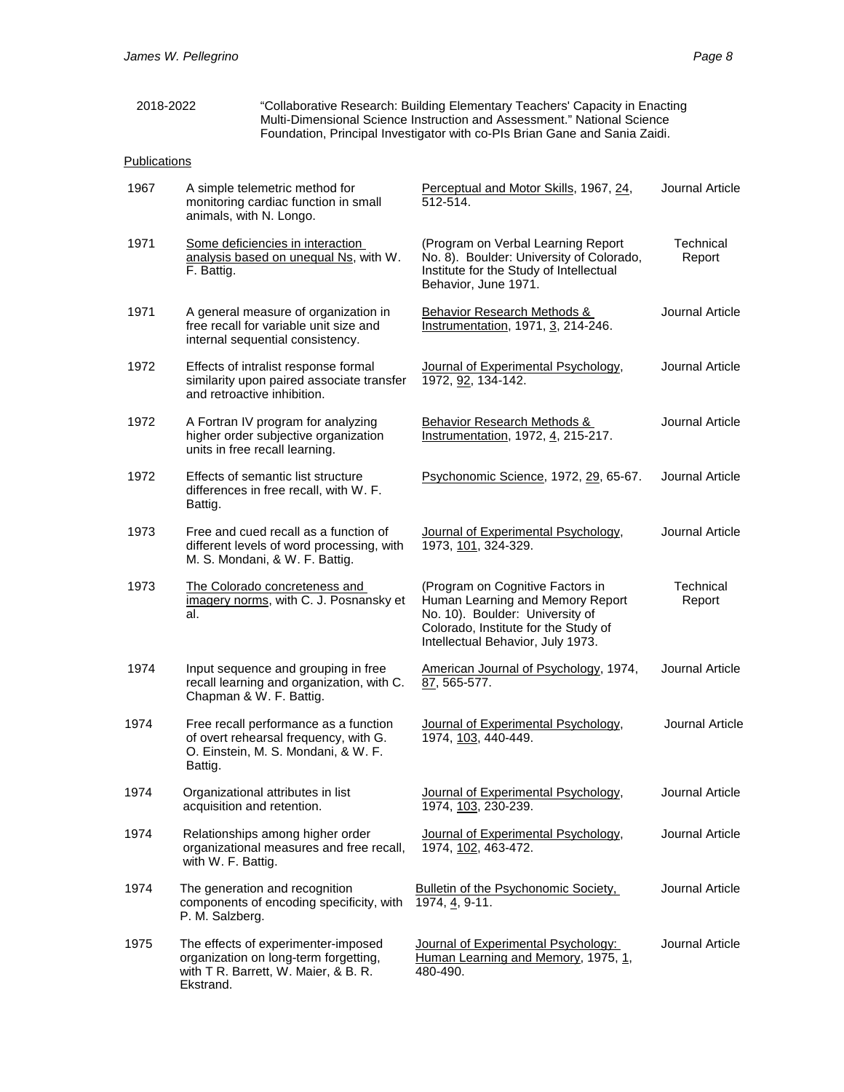| 2018-2022 | "Collaborative Research: Building Elementary Teachers' Capacity in Enacting |
|-----------|-----------------------------------------------------------------------------|
|           | Multi-Dimensional Science Instruction and Assessment." National Science     |
|           | Foundation, Principal Investigator with co-PIs Brian Gane and Sania Zaidi.  |

# **Publications**

| 1967 | A simple telemetric method for<br>monitoring cardiac function in small<br>animals, with N. Longo.                                 | Perceptual and Motor Skills, 1967, 24,<br>512-514.                                                                                                                                   | Journal Article     |
|------|-----------------------------------------------------------------------------------------------------------------------------------|--------------------------------------------------------------------------------------------------------------------------------------------------------------------------------------|---------------------|
| 1971 | Some deficiencies in interaction<br>analysis based on unequal Ns, with W.<br>F. Battig.                                           | (Program on Verbal Learning Report<br>No. 8). Boulder: University of Colorado,<br>Institute for the Study of Intellectual<br>Behavior, June 1971.                                    | Technical<br>Report |
| 1971 | A general measure of organization in<br>free recall for variable unit size and<br>internal sequential consistency.                | <b>Behavior Research Methods &amp;</b><br>Instrumentation, 1971, 3, 214-246.                                                                                                         | Journal Article     |
| 1972 | Effects of intralist response formal<br>similarity upon paired associate transfer<br>and retroactive inhibition.                  | Journal of Experimental Psychology,<br>1972, 92, 134-142.                                                                                                                            | Journal Article     |
| 1972 | A Fortran IV program for analyzing<br>higher order subjective organization<br>units in free recall learning.                      | Behavior Research Methods &<br>Instrumentation, 1972, 4, 215-217.                                                                                                                    | Journal Article     |
| 1972 | Effects of semantic list structure<br>differences in free recall, with W. F.<br>Battig.                                           | Psychonomic Science, 1972, 29, 65-67.                                                                                                                                                | Journal Article     |
| 1973 | Free and cued recall as a function of<br>different levels of word processing, with<br>M. S. Mondani, & W. F. Battig.              | Journal of Experimental Psychology,<br>1973, 101, 324-329.                                                                                                                           | Journal Article     |
| 1973 | The Colorado concreteness and<br>imagery norms, with C. J. Posnansky et<br>al.                                                    | (Program on Cognitive Factors in<br>Human Learning and Memory Report<br>No. 10). Boulder: University of<br>Colorado, Institute for the Study of<br>Intellectual Behavior, July 1973. | Technical<br>Report |
| 1974 | Input sequence and grouping in free<br>recall learning and organization, with C.<br>Chapman & W. F. Battig.                       | American Journal of Psychology, 1974,<br>87, 565-577.                                                                                                                                | Journal Article     |
| 1974 | Free recall performance as a function<br>of overt rehearsal frequency, with G.<br>O. Einstein, M. S. Mondani, & W. F.<br>Battig.  | Journal of Experimental Psychology,<br>1974, 103, 440-449.                                                                                                                           | Journal Article     |
| 1974 | Organizational attributes in list<br>acquisition and retention.                                                                   | Journal of Experimental Psychology,<br>1974, 103, 230-239.                                                                                                                           | Journal Article     |
| 1974 | Relationships among higher order<br>organizational measures and free recall,<br>with W. F. Battig.                                | Journal of Experimental Psychology,<br>1974, 102, 463-472.                                                                                                                           | Journal Article     |
| 1974 | The generation and recognition<br>components of encoding specificity, with<br>P. M. Salzberg.                                     | Bulletin of the Psychonomic Society,<br>1974, 4, 9-11.                                                                                                                               | Journal Article     |
| 1975 | The effects of experimenter-imposed<br>organization on long-term forgetting,<br>with T R. Barrett, W. Maier, & B. R.<br>Ekstrand. | Journal of Experimental Psychology:<br>Human Learning and Memory, 1975, 1,<br>480-490.                                                                                               | Journal Article     |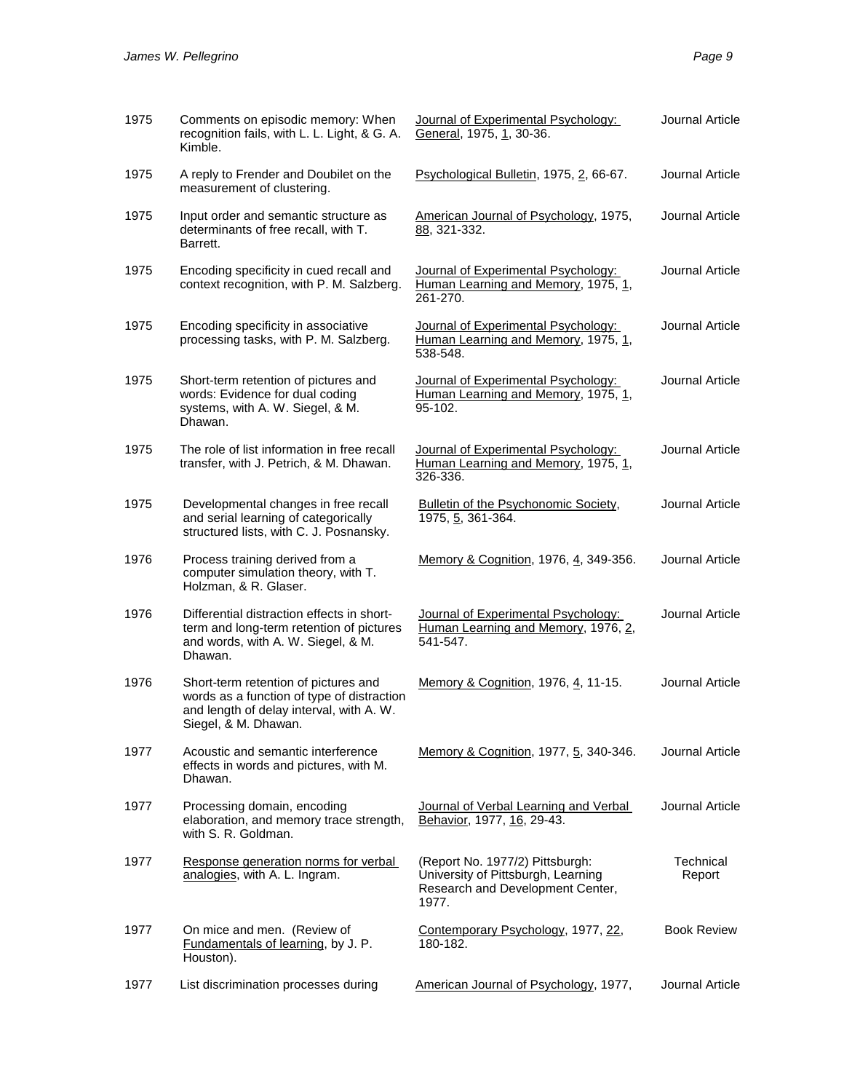| 1975 | Comments on episodic memory: When<br>recognition fails, with L. L. Light, & G. A.<br>Kimble.                                                           | Journal of Experimental Psychology:<br>General, 1975, 1, 30-36.                                                    | Journal Article        |
|------|--------------------------------------------------------------------------------------------------------------------------------------------------------|--------------------------------------------------------------------------------------------------------------------|------------------------|
| 1975 | A reply to Frender and Doubilet on the<br>measurement of clustering.                                                                                   | Psychological Bulletin, 1975, 2, 66-67.                                                                            | Journal Article        |
| 1975 | Input order and semantic structure as<br>determinants of free recall, with T.<br>Barrett.                                                              | American Journal of Psychology, 1975,<br>88, 321-332.                                                              | Journal Article        |
| 1975 | Encoding specificity in cued recall and<br>context recognition, with P. M. Salzberg.                                                                   | Journal of Experimental Psychology:<br>Human Learning and Memory, 1975, 1,<br>261-270.                             | Journal Article        |
| 1975 | Encoding specificity in associative<br>processing tasks, with P. M. Salzberg.                                                                          | Journal of Experimental Psychology:<br>Human Learning and Memory, 1975, 1,<br>538-548.                             | <b>Journal Article</b> |
| 1975 | Short-term retention of pictures and<br>words: Evidence for dual coding<br>systems, with A. W. Siegel, & M.<br>Dhawan.                                 | Journal of Experimental Psychology:<br>Human Learning and Memory, 1975, 1,<br>95-102.                              | Journal Article        |
| 1975 | The role of list information in free recall<br>transfer, with J. Petrich, & M. Dhawan.                                                                 | Journal of Experimental Psychology:<br>Human Learning and Memory, 1975, 1,<br>326-336.                             | Journal Article        |
| 1975 | Developmental changes in free recall<br>and serial learning of categorically<br>structured lists, with C. J. Posnansky.                                | Bulletin of the Psychonomic Society,<br>1975, 5, 361-364.                                                          | Journal Article        |
| 1976 | Process training derived from a<br>computer simulation theory, with T.<br>Holzman, & R. Glaser.                                                        | Memory & Cognition, 1976, 4, 349-356.                                                                              | Journal Article        |
| 1976 | Differential distraction effects in short-<br>term and long-term retention of pictures<br>and words, with A. W. Siegel, & M.<br>Dhawan.                | Journal of Experimental Psychology:<br>Human Learning and Memory, 1976, 2,<br>541-547.                             | Journal Article        |
| 1976 | Short-term retention of pictures and<br>words as a function of type of distraction<br>and length of delay interval, with A. W.<br>Siegel, & M. Dhawan. | Memory & Cognition, 1976, 4, 11-15.                                                                                | Journal Article        |
| 1977 | Acoustic and semantic interference<br>effects in words and pictures, with M.<br>Dhawan.                                                                | Memory & Cognition, 1977, 5, 340-346.                                                                              | Journal Article        |
| 1977 | Processing domain, encoding<br>elaboration, and memory trace strength,<br>with S. R. Goldman.                                                          | Journal of Verbal Learning and Verbal<br>Behavior, 1977, 16, 29-43.                                                | Journal Article        |
| 1977 | Response generation norms for verbal<br>analogies, with A. L. Ingram.                                                                                  | (Report No. 1977/2) Pittsburgh:<br>University of Pittsburgh, Learning<br>Research and Development Center,<br>1977. | Technical<br>Report    |
| 1977 | On mice and men. (Review of<br>Fundamentals of learning, by J. P.<br>Houston).                                                                         | Contemporary Psychology, 1977, 22,<br>180-182.                                                                     | <b>Book Review</b>     |
| 1977 | List discrimination processes during                                                                                                                   | American Journal of Psychology, 1977,                                                                              | Journal Article        |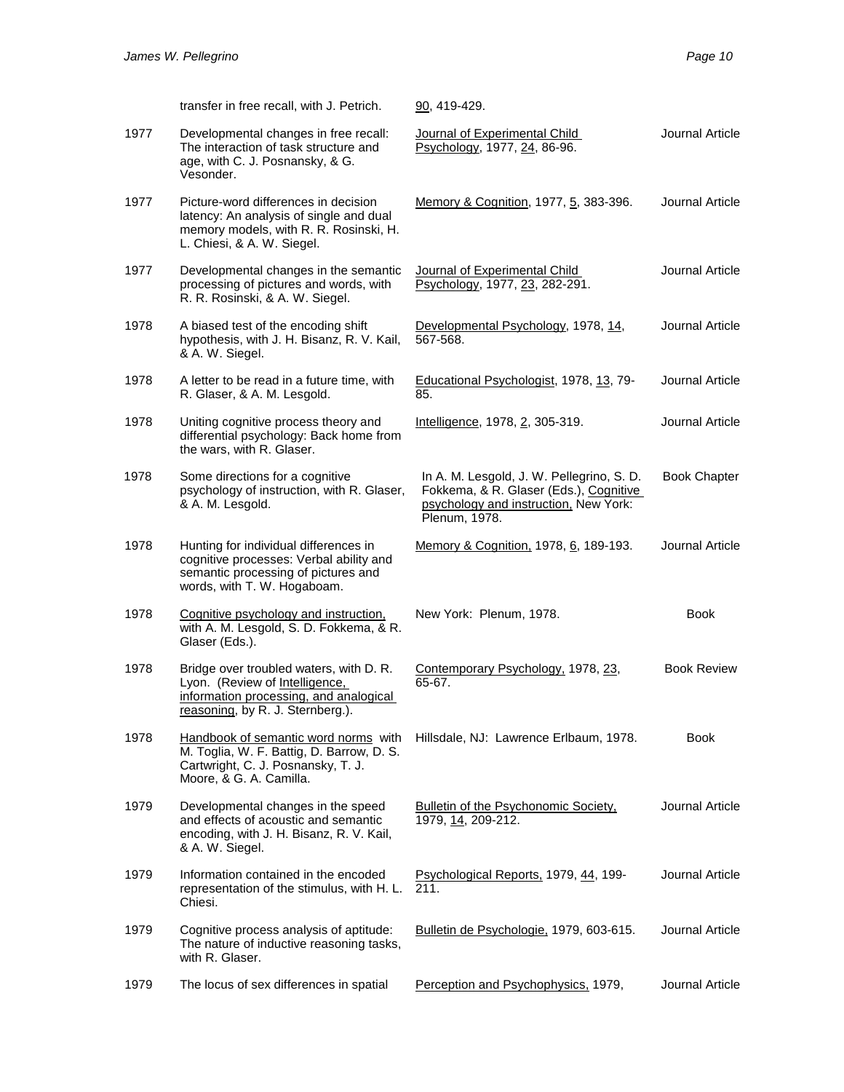|      | transfer in free recall, with J. Petrich.                                                                                                               | 90, 419-429.                                                                                                                                  |                     |
|------|---------------------------------------------------------------------------------------------------------------------------------------------------------|-----------------------------------------------------------------------------------------------------------------------------------------------|---------------------|
| 1977 | Developmental changes in free recall:<br>The interaction of task structure and<br>age, with C. J. Posnansky, & G.<br>Vesonder.                          | Journal of Experimental Child<br>Psychology, 1977, 24, 86-96.                                                                                 | Journal Article     |
| 1977 | Picture-word differences in decision<br>latency: An analysis of single and dual<br>memory models, with R. R. Rosinski, H.<br>L. Chiesi, & A. W. Siegel. | Memory & Cognition, 1977, 5, 383-396.                                                                                                         | Journal Article     |
| 1977 | Developmental changes in the semantic<br>processing of pictures and words, with<br>R. R. Rosinski, & A. W. Siegel.                                      | Journal of Experimental Child<br>Psychology, 1977, 23, 282-291.                                                                               | Journal Article     |
| 1978 | A biased test of the encoding shift<br>hypothesis, with J. H. Bisanz, R. V. Kail,<br>& A. W. Siegel.                                                    | Developmental Psychology, 1978, 14,<br>567-568.                                                                                               | Journal Article     |
| 1978 | A letter to be read in a future time, with<br>R. Glaser, & A. M. Lesgold.                                                                               | Educational Psychologist, 1978, 13, 79-<br>85.                                                                                                | Journal Article     |
| 1978 | Uniting cognitive process theory and<br>differential psychology: Back home from<br>the wars, with R. Glaser.                                            | Intelligence, 1978, 2, 305-319.                                                                                                               | Journal Article     |
| 1978 | Some directions for a cognitive<br>psychology of instruction, with R. Glaser,<br>& A. M. Lesgold.                                                       | In A. M. Lesgold, J. W. Pellegrino, S. D.<br>Fokkema, & R. Glaser (Eds.), Cognitive<br>psychology and instruction. New York:<br>Plenum, 1978. | <b>Book Chapter</b> |
| 1978 | Hunting for individual differences in<br>cognitive processes: Verbal ability and<br>semantic processing of pictures and<br>words, with T. W. Hogaboam.  | Memory & Cognition, 1978, 6, 189-193.                                                                                                         | Journal Article     |
| 1978 | Cognitive psychology and instruction,<br>with A. M. Lesgold, S. D. Fokkema, & R.<br>Glaser (Eds.).                                                      | New York: Plenum, 1978.                                                                                                                       | <b>Book</b>         |
| 1978 | Bridge over troubled waters, with D. R.<br>Lyon. (Review of Intelligence,<br>information processing, and analogical<br>reasoning, by R. J. Sternberg.). | Contemporary Psychology, 1978, 23,<br>65-67.                                                                                                  | <b>Book Review</b>  |
| 1978 | Handbook of semantic word norms with<br>M. Toglia, W. F. Battig, D. Barrow, D. S.<br>Cartwright, C. J. Posnansky, T. J.<br>Moore, & G. A. Camilla.      | Hillsdale, NJ: Lawrence Erlbaum, 1978.                                                                                                        | Book                |
| 1979 | Developmental changes in the speed<br>and effects of acoustic and semantic<br>encoding, with J. H. Bisanz, R. V. Kail,<br>& A. W. Siegel.               | <b>Bulletin of the Psychonomic Society.</b><br>1979, 14, 209-212.                                                                             | Journal Article     |
| 1979 | Information contained in the encoded<br>representation of the stimulus, with H. L.<br>Chiesi.                                                           | Psychological Reports, 1979, 44, 199-<br>211.                                                                                                 | Journal Article     |
| 1979 | Cognitive process analysis of aptitude:<br>The nature of inductive reasoning tasks,<br>with R. Glaser.                                                  | Bulletin de Psychologie, 1979, 603-615.                                                                                                       | Journal Article     |
| 1979 | The locus of sex differences in spatial                                                                                                                 | Perception and Psychophysics, 1979,                                                                                                           | Journal Article     |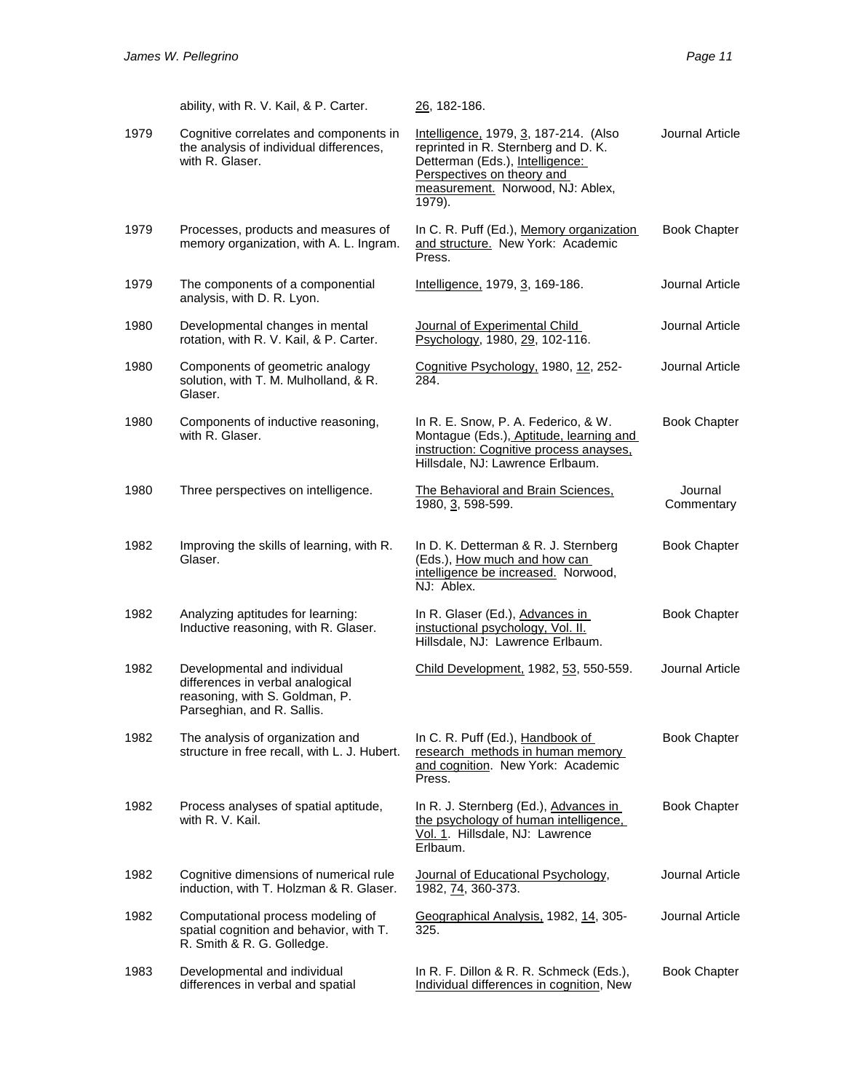|      | ability, with R. V. Kail, & P. Carter.                                                                                           | <u>26,</u> 182-186.                                                                                                                                                                         |                        |
|------|----------------------------------------------------------------------------------------------------------------------------------|---------------------------------------------------------------------------------------------------------------------------------------------------------------------------------------------|------------------------|
| 1979 | Cognitive correlates and components in<br>the analysis of individual differences,<br>with R. Glaser.                             | Intelligence, 1979, 3, 187-214. (Also<br>reprinted in R. Sternberg and D. K.<br>Detterman (Eds.), Intelligence:<br>Perspectives on theory and<br>measurement. Norwood, NJ: Ablex,<br>1979). | Journal Article        |
| 1979 | Processes, products and measures of<br>memory organization, with A. L. Ingram.                                                   | In C. R. Puff (Ed.), Memory organization<br>and structure. New York: Academic<br>Press.                                                                                                     | <b>Book Chapter</b>    |
| 1979 | The components of a componential<br>analysis, with D. R. Lyon.                                                                   | Intelligence, 1979, 3, 169-186.                                                                                                                                                             | Journal Article        |
| 1980 | Developmental changes in mental<br>rotation, with R. V. Kail, & P. Carter.                                                       | Journal of Experimental Child<br>Psychology, 1980, 29, 102-116.                                                                                                                             | Journal Article        |
| 1980 | Components of geometric analogy<br>solution, with T. M. Mulholland, & R.<br>Glaser.                                              | Cognitive Psychology, 1980, 12, 252-<br>284.                                                                                                                                                | Journal Article        |
| 1980 | Components of inductive reasoning,<br>with R. Glaser.                                                                            | In R. E. Snow, P. A. Federico, & W.<br>Montague (Eds.), Aptitude, learning and<br>instruction: Cognitive process anayses,<br>Hillsdale, NJ: Lawrence Erlbaum.                               | <b>Book Chapter</b>    |
| 1980 | Three perspectives on intelligence.                                                                                              | The Behavioral and Brain Sciences,<br>1980, 3, 598-599.                                                                                                                                     | Journal<br>Commentary  |
| 1982 | Improving the skills of learning, with R.<br>Glaser.                                                                             | In D. K. Detterman & R. J. Sternberg<br>(Eds.), How much and how can<br>intelligence be increased. Norwood,<br>NJ: Ablex.                                                                   | <b>Book Chapter</b>    |
| 1982 | Analyzing aptitudes for learning:<br>Inductive reasoning, with R. Glaser.                                                        | In R. Glaser (Ed.), Advances in<br>instuctional psychology, Vol. II.<br>Hillsdale, NJ: Lawrence Erlbaum.                                                                                    | <b>Book Chapter</b>    |
| 1982 | Developmental and individual<br>differences in verbal analogical<br>reasoning, with S. Goldman, P.<br>Parseghian, and R. Sallis. | Child Development, 1982, 53, 550-559.                                                                                                                                                       | Journal Article        |
| 1982 | The analysis of organization and<br>structure in free recall, with L. J. Hubert.                                                 | In C. R. Puff (Ed.), Handbook of<br>research methods in human memory<br>and cognition. New York: Academic<br>Press.                                                                         | <b>Book Chapter</b>    |
| 1982 | Process analyses of spatial aptitude,<br>with R. V. Kail.                                                                        | In R. J. Sternberg (Ed.), Advances in<br>the psychology of human intelligence,<br>Vol. 1. Hillsdale, NJ: Lawrence<br>Erlbaum.                                                               | <b>Book Chapter</b>    |
| 1982 | Cognitive dimensions of numerical rule<br>induction, with T. Holzman & R. Glaser.                                                | Journal of Educational Psychology,<br>1982, 74, 360-373.                                                                                                                                    | <b>Journal Article</b> |
| 1982 | Computational process modeling of<br>spatial cognition and behavior, with T.<br>R. Smith & R. G. Golledge.                       | Geographical Analysis, 1982, 14, 305-<br>325.                                                                                                                                               | Journal Article        |
| 1983 | Developmental and individual<br>differences in verbal and spatial                                                                | In R. F. Dillon & R. R. Schmeck (Eds.),<br>Individual differences in cognition, New                                                                                                         | <b>Book Chapter</b>    |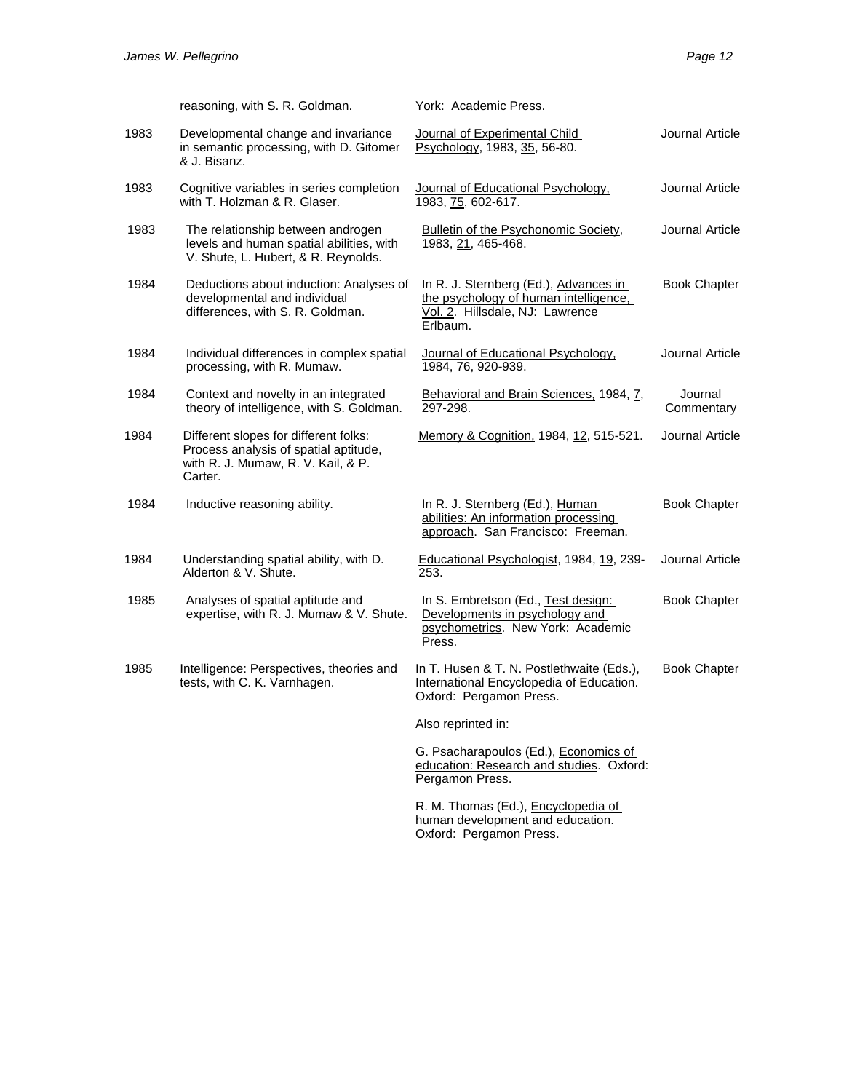|      | reasoning, with S. R. Goldman.                                                                                                  | York: Academic Press.                                                                                                         |                       |
|------|---------------------------------------------------------------------------------------------------------------------------------|-------------------------------------------------------------------------------------------------------------------------------|-----------------------|
| 1983 | Developmental change and invariance<br>in semantic processing, with D. Gitomer<br>& J. Bisanz.                                  | Journal of Experimental Child<br>Psychology, 1983, 35, 56-80.                                                                 | Journal Article       |
| 1983 | Cognitive variables in series completion<br>with T. Holzman & R. Glaser.                                                        | Journal of Educational Psychology,<br>1983, 75, 602-617.                                                                      | Journal Article       |
| 1983 | The relationship between androgen<br>levels and human spatial abilities, with<br>V. Shute, L. Hubert, & R. Reynolds.            | Bulletin of the Psychonomic Society,<br>1983, 21, 465-468.                                                                    | Journal Article       |
| 1984 | Deductions about induction: Analyses of<br>developmental and individual<br>differences, with S. R. Goldman.                     | In R. J. Sternberg (Ed.), Advances in<br>the psychology of human intelligence,<br>Vol. 2. Hillsdale, NJ: Lawrence<br>Erlbaum. | <b>Book Chapter</b>   |
| 1984 | Individual differences in complex spatial<br>processing, with R. Mumaw.                                                         | Journal of Educational Psychology,<br>1984, 76, 920-939.                                                                      | Journal Article       |
| 1984 | Context and novelty in an integrated<br>theory of intelligence, with S. Goldman.                                                | Behavioral and Brain Sciences, 1984, 7,<br>297-298.                                                                           | Journal<br>Commentary |
| 1984 | Different slopes for different folks:<br>Process analysis of spatial aptitude,<br>with R. J. Mumaw, R. V. Kail, & P.<br>Carter. | Memory & Cognition, 1984, 12, 515-521.                                                                                        | Journal Article       |
| 1984 | Inductive reasoning ability.                                                                                                    | In R. J. Sternberg (Ed.), Human<br>abilities: An information processing<br>approach. San Francisco: Freeman.                  | <b>Book Chapter</b>   |
| 1984 | Understanding spatial ability, with D.<br>Alderton & V. Shute.                                                                  | Educational Psychologist, 1984, 19, 239-<br>253.                                                                              | Journal Article       |
| 1985 | Analyses of spatial aptitude and<br>expertise, with R. J. Mumaw & V. Shute.                                                     | In S. Embretson (Ed., Test design:<br>Developments in psychology and<br>psychometrics. New York: Academic<br>Press.           | <b>Book Chapter</b>   |
| 1985 | Intelligence: Perspectives, theories and<br>tests, with C. K. Varnhagen.                                                        | In T. Husen & T. N. Postlethwaite (Eds.),<br>International Encyclopedia of Education.<br>Oxford: Pergamon Press.              | <b>Book Chapter</b>   |
|      |                                                                                                                                 | Also reprinted in:                                                                                                            |                       |
|      |                                                                                                                                 | G. Psacharapoulos (Ed.), Economics of<br>education: Research and studies. Oxford:<br>Pergamon Press.                          |                       |

R. M. Thomas (Ed.), <u>Encyclopedia of</u> human development and education. Oxford: Pergamon Press.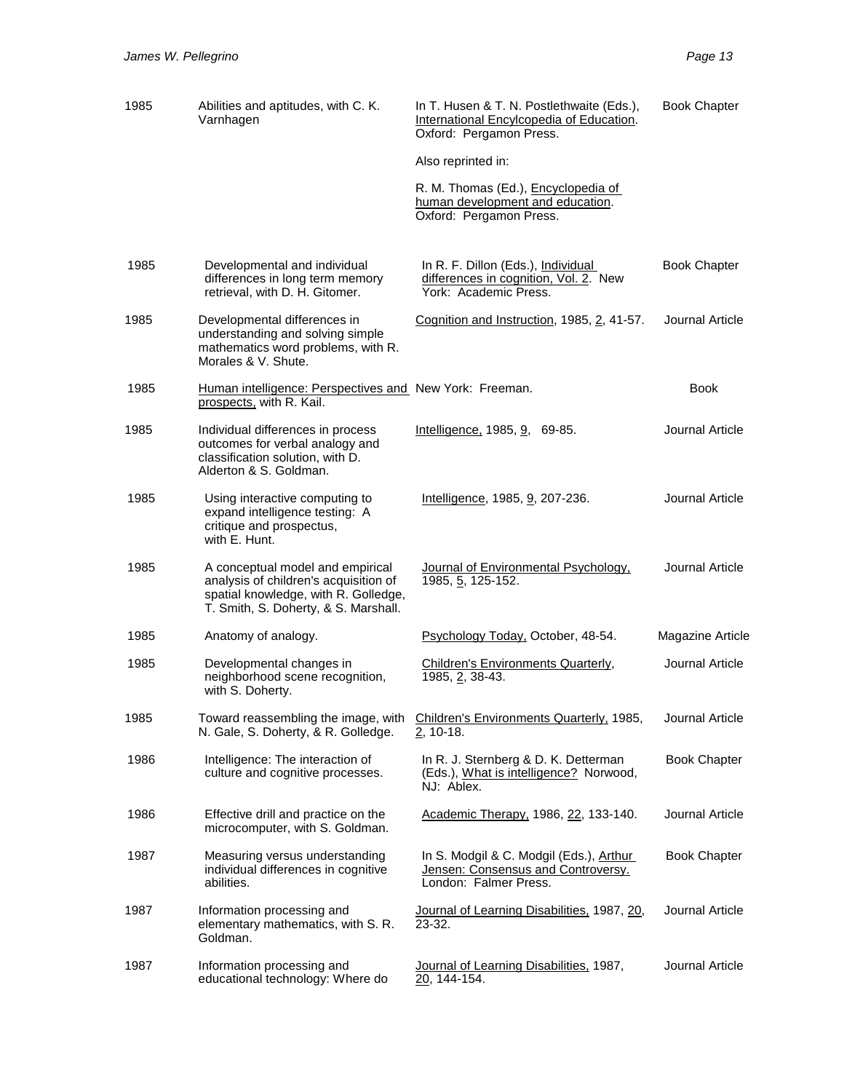| 1985 | Abilities and aptitudes, with C. K.<br>Varnhagen                                                                                                          | In T. Husen & T. N. Postlethwaite (Eds.),<br>International Encylcopedia of Education.<br>Oxford: Pergamon Press. | <b>Book Chapter</b>     |
|------|-----------------------------------------------------------------------------------------------------------------------------------------------------------|------------------------------------------------------------------------------------------------------------------|-------------------------|
|      |                                                                                                                                                           | Also reprinted in:                                                                                               |                         |
|      |                                                                                                                                                           | R. M. Thomas (Ed.), Encyclopedia of<br>human development and education.<br>Oxford: Pergamon Press.               |                         |
| 1985 | Developmental and individual<br>differences in long term memory<br>retrieval, with D. H. Gitomer.                                                         | In R. F. Dillon (Eds.), Individual<br>differences in cognition, Vol. 2. New<br>York: Academic Press.             | <b>Book Chapter</b>     |
| 1985 | Developmental differences in<br>understanding and solving simple<br>mathematics word problems, with R.<br>Morales & V. Shute.                             | Cognition and Instruction, 1985, 2, 41-57.                                                                       | Journal Article         |
| 1985 | Human intelligence: Perspectives and New York: Freeman.<br>prospects, with R. Kail.                                                                       |                                                                                                                  | <b>Book</b>             |
| 1985 | Individual differences in process<br>outcomes for verbal analogy and<br>classification solution, with D.<br>Alderton & S. Goldman.                        | Intelligence, 1985, 9, 69-85.                                                                                    | Journal Article         |
| 1985 | Using interactive computing to<br>expand intelligence testing: A<br>critique and prospectus,<br>with E. Hunt.                                             | Intelligence, 1985, 9, 207-236.                                                                                  | Journal Article         |
| 1985 | A conceptual model and empirical<br>analysis of children's acquisition of<br>spatial knowledge, with R. Golledge,<br>T. Smith, S. Doherty, & S. Marshall. | Journal of Environmental Psychology,<br>1985, 5, 125-152.                                                        | Journal Article         |
| 1985 | Anatomy of analogy.                                                                                                                                       | Psychology Today, October, 48-54.                                                                                | <b>Magazine Article</b> |
| 1985 | Developmental changes in<br>neighborhood scene recognition,<br>with S. Doherty.                                                                           | Children's Environments Quarterly,<br>1985, 2, 38-43.                                                            | Journal Article         |
| 1985 | Toward reassembling the image, with<br>N. Gale, S. Doherty, & R. Golledge.                                                                                | Children's Environments Quarterly, 1985,<br>$2, 10-18.$                                                          | Journal Article         |
| 1986 | Intelligence: The interaction of<br>culture and cognitive processes.                                                                                      | In R. J. Sternberg & D. K. Detterman<br>(Eds.), What is intelligence? Norwood,<br>NJ: Ablex.                     | <b>Book Chapter</b>     |
| 1986 | Effective drill and practice on the<br>microcomputer, with S. Goldman.                                                                                    | Academic Therapy, 1986, 22, 133-140.                                                                             | Journal Article         |
| 1987 | Measuring versus understanding<br>individual differences in cognitive<br>abilities.                                                                       | In S. Modgil & C. Modgil (Eds.), Arthur<br>Jensen: Consensus and Controversy.<br>London: Falmer Press.           | <b>Book Chapter</b>     |
| 1987 | Information processing and<br>elementary mathematics, with S. R.<br>Goldman.                                                                              | Journal of Learning Disabilities, 1987, 20,<br>23-32.                                                            | Journal Article         |
| 1987 | Information processing and<br>educational technology: Where do                                                                                            | Journal of Learning Disabilities, 1987,<br>20, 144-154.                                                          | Journal Article         |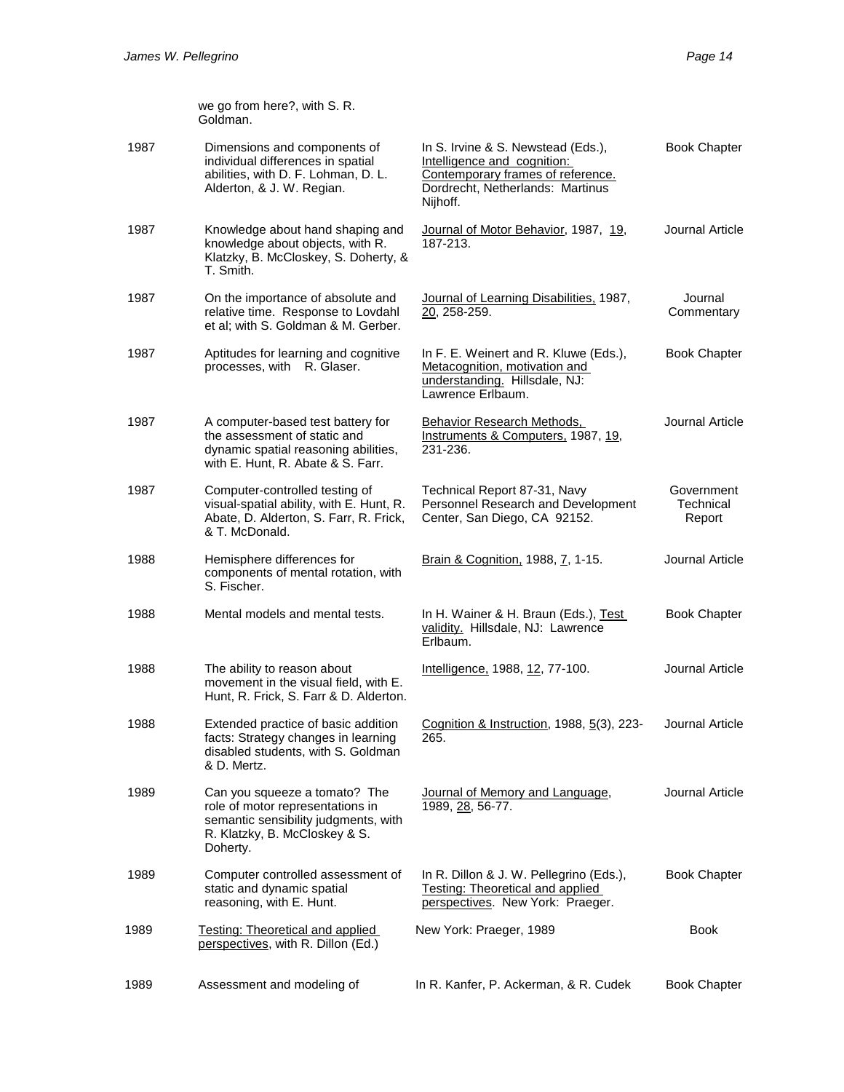|      | we go from here?, with S. R.<br>Goldman.                                                                                                               |                                                                                                                                                        |                                   |
|------|--------------------------------------------------------------------------------------------------------------------------------------------------------|--------------------------------------------------------------------------------------------------------------------------------------------------------|-----------------------------------|
| 1987 | Dimensions and components of<br>individual differences in spatial<br>abilities, with D. F. Lohman, D. L.<br>Alderton, & J. W. Regian.                  | In S. Irvine & S. Newstead (Eds.),<br>Intelligence and cognition:<br>Contemporary frames of reference.<br>Dordrecht, Netherlands: Martinus<br>Nijhoff. | <b>Book Chapter</b>               |
| 1987 | Knowledge about hand shaping and<br>knowledge about objects, with R.<br>Klatzky, B. McCloskey, S. Doherty, &<br>T. Smith.                              | Journal of Motor Behavior, 1987, 19,<br>187-213.                                                                                                       | Journal Article                   |
| 1987 | On the importance of absolute and<br>relative time. Response to Lovdahl<br>et al; with S. Goldman & M. Gerber.                                         | Journal of Learning Disabilities, 1987,<br>20, 258-259.                                                                                                | Journal<br>Commentary             |
| 1987 | Aptitudes for learning and cognitive<br>processes, with R. Glaser.                                                                                     | In F. E. Weinert and R. Kluwe (Eds.),<br>Metacognition, motivation and<br>understanding. Hillsdale, NJ:<br>Lawrence Erlbaum.                           | <b>Book Chapter</b>               |
| 1987 | A computer-based test battery for<br>the assessment of static and<br>dynamic spatial reasoning abilities,<br>with E. Hunt, R. Abate & S. Farr.         | Behavior Research Methods,<br>Instruments & Computers, 1987, 19,<br>231-236.                                                                           | Journal Article                   |
| 1987 | Computer-controlled testing of<br>visual-spatial ability, with E. Hunt, R.<br>Abate, D. Alderton, S. Farr, R. Frick,<br>& T. McDonald.                 | Technical Report 87-31, Navy<br>Personnel Research and Development<br>Center, San Diego, CA 92152.                                                     | Government<br>Technical<br>Report |
| 1988 | Hemisphere differences for<br>components of mental rotation, with<br>S. Fischer.                                                                       | Brain & Cognition, 1988, 7, 1-15.                                                                                                                      | Journal Article                   |
| 1988 | Mental models and mental tests.                                                                                                                        | In H. Wainer & H. Braun (Eds.), Test<br>validity. Hillsdale, NJ: Lawrence<br>Erlbaum.                                                                  | <b>Book Chapter</b>               |
| 1988 | The ability to reason about<br>movement in the visual field, with E.<br>Hunt, R. Frick, S. Farr & D. Alderton.                                         | Intelligence, 1988, 12, 77-100.                                                                                                                        | Journal Article                   |
| 1988 | Extended practice of basic addition<br>facts: Strategy changes in learning<br>disabled students, with S. Goldman<br>& D. Mertz.                        | Cognition & Instruction, 1988, 5(3), 223-<br>265.                                                                                                      | Journal Article                   |
| 1989 | Can you squeeze a tomato? The<br>role of motor representations in<br>semantic sensibility judgments, with<br>R. Klatzky, B. McCloskey & S.<br>Doherty. | Journal of Memory and Language,<br>1989, 28, 56-77.                                                                                                    | Journal Article                   |
| 1989 | Computer controlled assessment of<br>static and dynamic spatial<br>reasoning, with E. Hunt.                                                            | In R. Dillon & J. W. Pellegrino (Eds.),<br>Testing: Theoretical and applied<br>perspectives. New York: Praeger.                                        | <b>Book Chapter</b>               |
| 1989 | <b>Testing: Theoretical and applied</b><br>perspectives, with R. Dillon (Ed.)                                                                          | New York: Praeger, 1989                                                                                                                                | <b>Book</b>                       |
| 1989 | Assessment and modeling of                                                                                                                             | In R. Kanfer, P. Ackerman, & R. Cudek                                                                                                                  | <b>Book Chapter</b>               |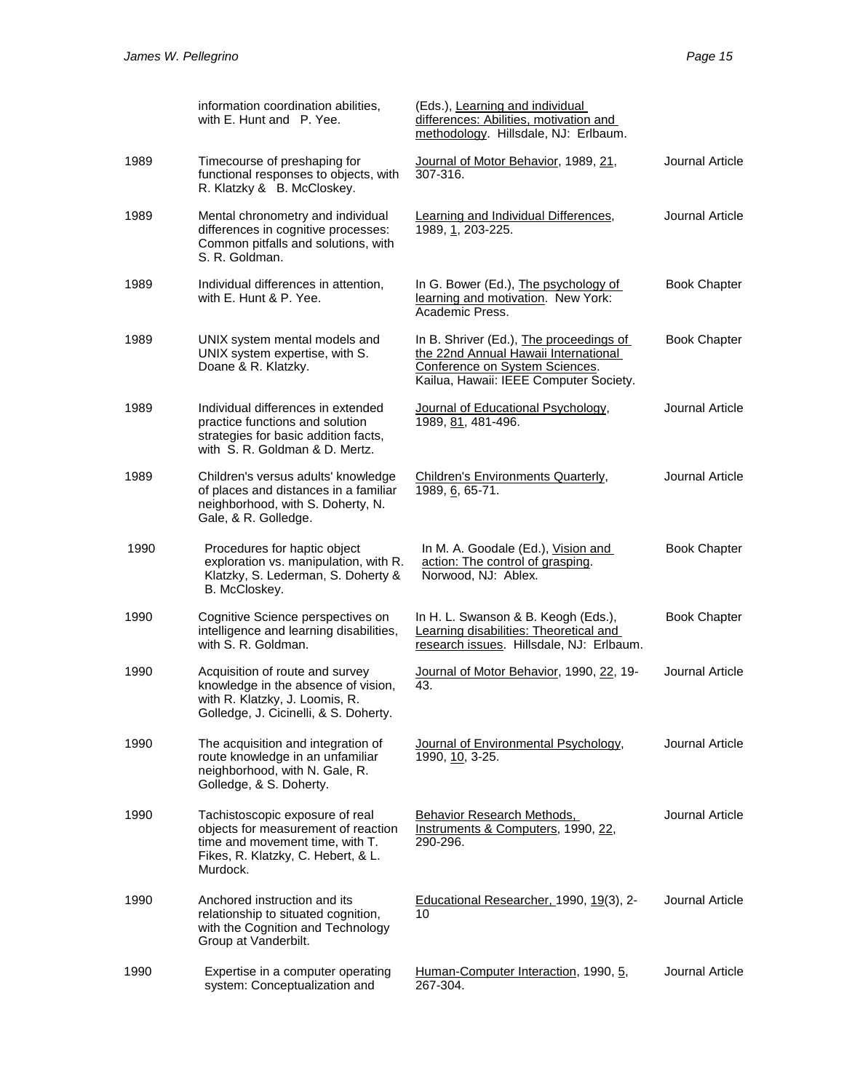|      | information coordination abilities,<br>with E. Hunt and P. Yee.                                                                                             | (Eds.), Learning and individual<br>differences: Abilities, motivation and<br>methodology. Hillsdale, NJ: Erlbaum.                                           |                     |
|------|-------------------------------------------------------------------------------------------------------------------------------------------------------------|-------------------------------------------------------------------------------------------------------------------------------------------------------------|---------------------|
| 1989 | Timecourse of preshaping for<br>functional responses to objects, with<br>R. Klatzky & B. McCloskey.                                                         | Journal of Motor Behavior, 1989, 21,<br>307-316.                                                                                                            | Journal Article     |
| 1989 | Mental chronometry and individual<br>differences in cognitive processes:<br>Common pitfalls and solutions, with<br>S. R. Goldman.                           | Learning and Individual Differences,<br>1989, 1, 203-225.                                                                                                   | Journal Article     |
| 1989 | Individual differences in attention,<br>with E. Hunt & P. Yee.                                                                                              | In G. Bower (Ed.), The psychology of<br>learning and motivation. New York:<br>Academic Press.                                                               | <b>Book Chapter</b> |
| 1989 | UNIX system mental models and<br>UNIX system expertise, with S.<br>Doane & R. Klatzky.                                                                      | In B. Shriver (Ed.), The proceedings of<br>the 22nd Annual Hawaii International<br>Conference on System Sciences.<br>Kailua, Hawaii: IEEE Computer Society. | <b>Book Chapter</b> |
| 1989 | Individual differences in extended<br>practice functions and solution<br>strategies for basic addition facts,<br>with S. R. Goldman & D. Mertz.             | Journal of Educational Psychology,<br>1989, 81, 481-496.                                                                                                    | Journal Article     |
| 1989 | Children's versus adults' knowledge<br>of places and distances in a familiar<br>neighborhood, with S. Doherty, N.<br>Gale, & R. Golledge.                   | Children's Environments Quarterly,<br>1989, 6, 65-71.                                                                                                       | Journal Article     |
| 1990 | Procedures for haptic object<br>exploration vs. manipulation, with R.<br>Klatzky, S. Lederman, S. Doherty &<br>B. McCloskey.                                | In M. A. Goodale (Ed.), Vision and<br>action: The control of grasping.<br>Norwood, NJ: Ablex.                                                               | <b>Book Chapter</b> |
| 1990 | Cognitive Science perspectives on<br>intelligence and learning disabilities,<br>with S. R. Goldman.                                                         | In H. L. Swanson & B. Keogh (Eds.),<br>Learning disabilities: Theoretical and<br>research issues. Hillsdale, NJ: Erlbaum.                                   | <b>Book Chapter</b> |
| 1990 | Acquisition of route and survey<br>knowledge in the absence of vision,<br>with R. Klatzky, J. Loomis, R.<br>Golledge, J. Cicinelli, & S. Doherty.           | Journal of Motor Behavior, 1990, 22, 19-<br>43.                                                                                                             | Journal Article     |
| 1990 | The acquisition and integration of<br>route knowledge in an unfamiliar<br>neighborhood, with N. Gale, R.<br>Golledge, & S. Doherty.                         | Journal of Environmental Psychology,<br>1990, 10, 3-25.                                                                                                     | Journal Article     |
| 1990 | Tachistoscopic exposure of real<br>objects for measurement of reaction<br>time and movement time, with T.<br>Fikes, R. Klatzky, C. Hebert, & L.<br>Murdock. | <b>Behavior Research Methods,</b><br>Instruments & Computers, 1990, 22,<br>290-296.                                                                         | Journal Article     |
| 1990 | Anchored instruction and its<br>relationship to situated cognition,<br>with the Cognition and Technology<br>Group at Vanderbilt.                            | Educational Researcher, 1990, 19(3), 2-<br>10                                                                                                               | Journal Article     |
| 1990 | Expertise in a computer operating<br>system: Conceptualization and                                                                                          | Human-Computer Interaction, 1990, 5,<br>267-304.                                                                                                            | Journal Article     |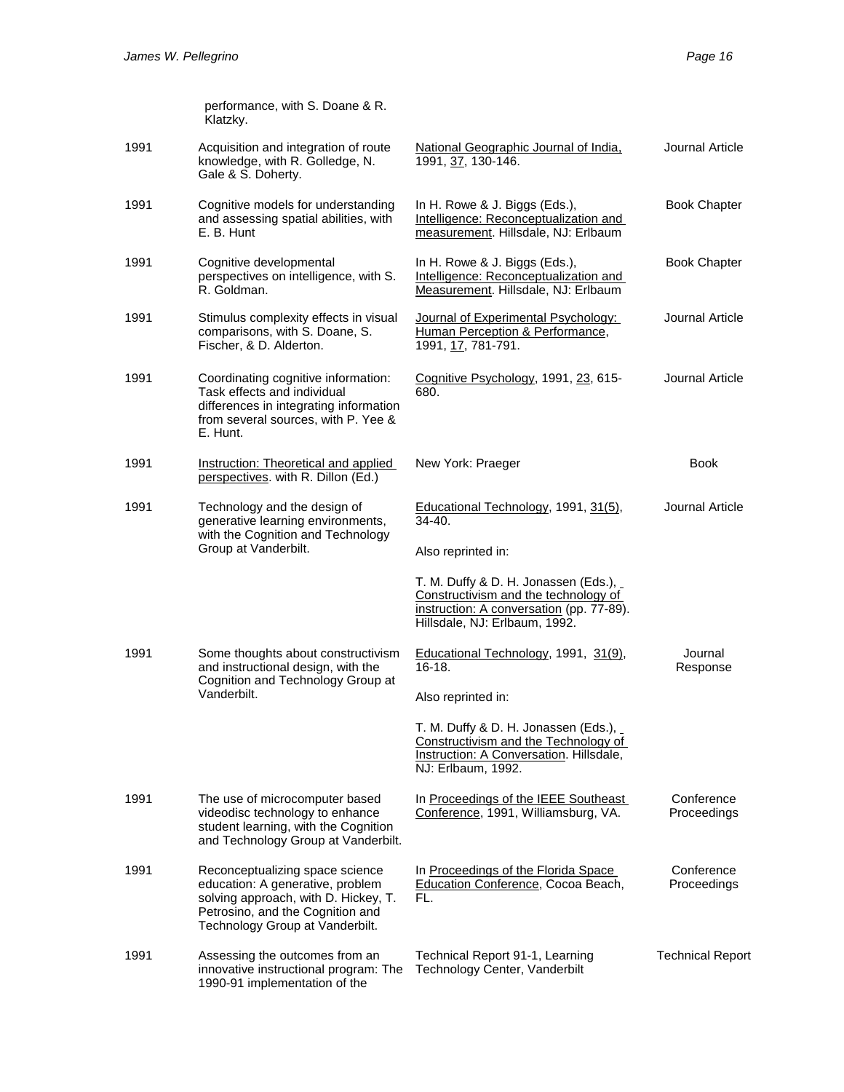|      | performance, with S. Doane & R.<br>Klatzky.                                                                                                                                        |                                                                                                                                                           |                           |
|------|------------------------------------------------------------------------------------------------------------------------------------------------------------------------------------|-----------------------------------------------------------------------------------------------------------------------------------------------------------|---------------------------|
| 1991 | Acquisition and integration of route<br>knowledge, with R. Golledge, N.<br>Gale & S. Doherty.                                                                                      | National Geographic Journal of India.<br>1991, 37, 130-146.                                                                                               | Journal Article           |
| 1991 | Cognitive models for understanding<br>and assessing spatial abilities, with<br>E. B. Hunt                                                                                          | In H. Rowe & J. Biggs (Eds.),<br>Intelligence: Reconceptualization and<br>measurement. Hillsdale, NJ: Erlbaum                                             | <b>Book Chapter</b>       |
| 1991 | Cognitive developmental<br>perspectives on intelligence, with S.<br>R. Goldman.                                                                                                    | In H. Rowe & J. Biggs (Eds.),<br>Intelligence: Reconceptualization and<br>Measurement. Hillsdale, NJ: Erlbaum                                             | <b>Book Chapter</b>       |
| 1991 | Stimulus complexity effects in visual<br>comparisons, with S. Doane, S.<br>Fischer, & D. Alderton.                                                                                 | Journal of Experimental Psychology:<br>Human Perception & Performance,<br>1991, 17, 781-791.                                                              | Journal Article           |
| 1991 | Coordinating cognitive information:<br>Task effects and individual<br>differences in integrating information<br>from several sources, with P. Yee &<br>E. Hunt.                    | Cognitive Psychology, 1991, 23, 615-<br>680.                                                                                                              | Journal Article           |
| 1991 | Instruction: Theoretical and applied<br>perspectives. with R. Dillon (Ed.)                                                                                                         | New York: Praeger                                                                                                                                         | Book                      |
| 1991 | Technology and the design of<br>generative learning environments,<br>with the Cognition and Technology                                                                             | Educational Technology, 1991, 31(5),<br>$34 - 40.$                                                                                                        | Journal Article           |
|      | Group at Vanderbilt.                                                                                                                                                               | Also reprinted in:                                                                                                                                        |                           |
|      |                                                                                                                                                                                    | T. M. Duffy & D. H. Jonassen (Eds.),<br>Constructivism and the technology of<br>instruction: A conversation (pp. 77-89).<br>Hillsdale, NJ: Erlbaum, 1992. |                           |
| 1991 | Some thoughts about constructivism<br>and instructional design, with the<br>Cognition and Technology Group at                                                                      | Educational Technology, 1991, 31(9),<br>$16-18.$                                                                                                          | Journal<br>Response       |
|      | Vanderbilt.                                                                                                                                                                        | Also reprinted in:                                                                                                                                        |                           |
|      |                                                                                                                                                                                    | T. M. Duffy & D. H. Jonassen (Eds.),<br>Constructivism and the Technology of<br>Instruction: A Conversation. Hillsdale,<br>NJ: Erlbaum, 1992.             |                           |
| 1991 | The use of microcomputer based<br>videodisc technology to enhance<br>student learning, with the Cognition<br>and Technology Group at Vanderbilt.                                   | In Proceedings of the IEEE Southeast<br>Conference, 1991, Williamsburg, VA.                                                                               | Conference<br>Proceedings |
| 1991 | Reconceptualizing space science<br>education: A generative, problem<br>solving approach, with D. Hickey, T.<br>Petrosino, and the Cognition and<br>Technology Group at Vanderbilt. | In Proceedings of the Florida Space<br>Education Conference, Cocoa Beach,<br>FL.                                                                          | Conference<br>Proceedings |
| 1991 | Assessing the outcomes from an<br>innovative instructional program: The<br>1990-91 implementation of the                                                                           | Technical Report 91-1, Learning<br>Technology Center, Vanderbilt                                                                                          | <b>Technical Report</b>   |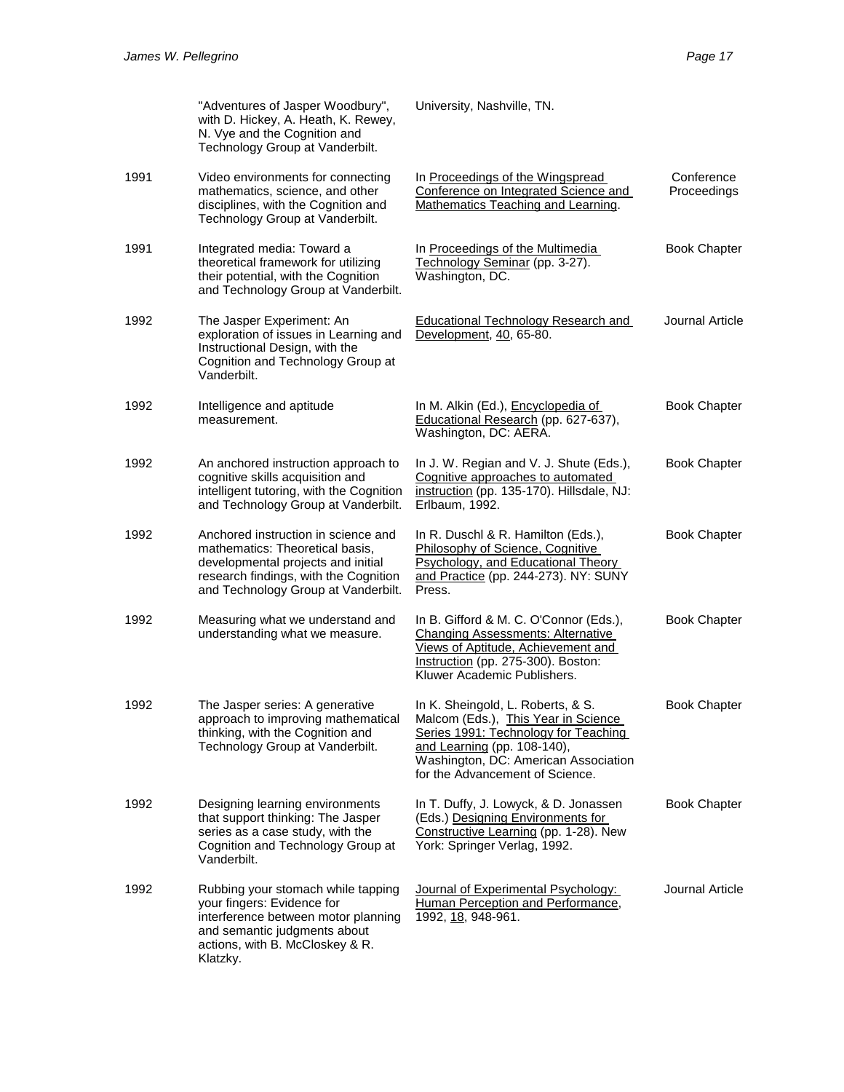|      | "Adventures of Jasper Woodbury",<br>with D. Hickey, A. Heath, K. Rewey,<br>N. Vye and the Cognition and<br>Technology Group at Vanderbilt.                                                   | University, Nashville, TN.                                                                                                                                                                                                 |                           |
|------|----------------------------------------------------------------------------------------------------------------------------------------------------------------------------------------------|----------------------------------------------------------------------------------------------------------------------------------------------------------------------------------------------------------------------------|---------------------------|
| 1991 | Video environments for connecting<br>mathematics, science, and other<br>disciplines, with the Cognition and<br>Technology Group at Vanderbilt.                                               | In Proceedings of the Wingspread<br>Conference on Integrated Science and<br>Mathematics Teaching and Learning.                                                                                                             | Conference<br>Proceedings |
| 1991 | Integrated media: Toward a<br>theoretical framework for utilizing<br>their potential, with the Cognition<br>and Technology Group at Vanderbilt.                                              | In Proceedings of the Multimedia<br>Technology Seminar (pp. 3-27).<br>Washington, DC.                                                                                                                                      | <b>Book Chapter</b>       |
| 1992 | The Jasper Experiment: An<br>exploration of issues in Learning and<br>Instructional Design, with the<br>Cognition and Technology Group at<br>Vanderbilt.                                     | <b>Educational Technology Research and</b><br>Development, 40, 65-80.                                                                                                                                                      | Journal Article           |
| 1992 | Intelligence and aptitude<br>measurement.                                                                                                                                                    | In M. Alkin (Ed.), Encyclopedia of<br>Educational Research (pp. 627-637),<br>Washington, DC: AERA.                                                                                                                         | <b>Book Chapter</b>       |
| 1992 | An anchored instruction approach to<br>cognitive skills acquisition and<br>intelligent tutoring, with the Cognition<br>and Technology Group at Vanderbilt.                                   | In J. W. Regian and V. J. Shute (Eds.),<br>Cognitive approaches to automated<br>instruction (pp. 135-170). Hillsdale, NJ:<br>Erlbaum, 1992.                                                                                | <b>Book Chapter</b>       |
| 1992 | Anchored instruction in science and<br>mathematics: Theoretical basis,<br>developmental projects and initial<br>research findings, with the Cognition<br>and Technology Group at Vanderbilt. | In R. Duschl & R. Hamilton (Eds.),<br>Philosophy of Science, Cognitive<br>Psychology, and Educational Theory<br>and Practice (pp. 244-273). NY: SUNY<br>Press.                                                             | <b>Book Chapter</b>       |
| 1992 | Measuring what we understand and<br>understanding what we measure.                                                                                                                           | In B. Gifford & M. C. O'Connor (Eds.),<br><b>Changing Assessments: Alternative</b><br>Views of Aptitude, Achievement and<br>Instruction (pp. 275-300). Boston:<br>Kluwer Academic Publishers.                              | <b>Book Chapter</b>       |
| 1992 | The Jasper series: A generative<br>approach to improving mathematical<br>thinking, with the Cognition and<br>Technology Group at Vanderbilt.                                                 | In K. Sheingold, L. Roberts, & S.<br>Malcom (Eds.), This Year in Science<br>Series 1991: Technology for Teaching<br>and Learning (pp. 108-140),<br>Washington, DC: American Association<br>for the Advancement of Science. | <b>Book Chapter</b>       |
| 1992 | Designing learning environments<br>that support thinking: The Jasper<br>series as a case study, with the<br>Cognition and Technology Group at<br>Vanderbilt.                                 | In T. Duffy, J. Lowyck, & D. Jonassen<br>(Eds.) Designing Environments for<br>Constructive Learning (pp. 1-28). New<br>York: Springer Verlag, 1992.                                                                        | <b>Book Chapter</b>       |
| 1992 | Rubbing your stomach while tapping<br>your fingers: Evidence for<br>interference between motor planning<br>and semantic judgments about<br>actions, with B. McCloskey & R.<br>Klatzky.       | Journal of Experimental Psychology:<br>Human Perception and Performance,<br>1992, 18, 948-961.                                                                                                                             | Journal Article           |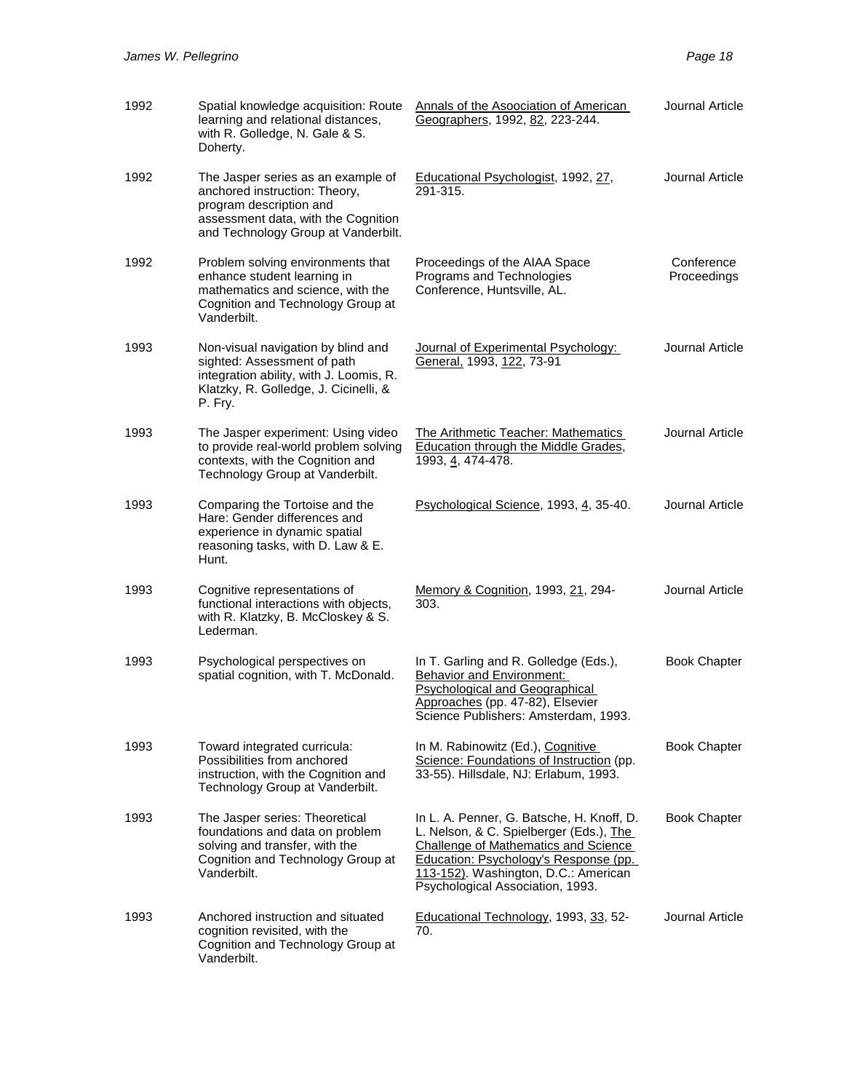| 1992 | Spatial knowledge acquisition: Route<br>learning and relational distances,<br>with R. Golledge, N. Gale & S.<br>Doherty.                                                     | Annals of the Asoociation of American<br>Geographers, 1992, 82, 223-244.                                                                                                                                                                                 | Journal Article           |
|------|------------------------------------------------------------------------------------------------------------------------------------------------------------------------------|----------------------------------------------------------------------------------------------------------------------------------------------------------------------------------------------------------------------------------------------------------|---------------------------|
| 1992 | The Jasper series as an example of<br>anchored instruction: Theory,<br>program description and<br>assessment data, with the Cognition<br>and Technology Group at Vanderbilt. | Educational Psychologist, 1992, 27,<br>291-315.                                                                                                                                                                                                          | Journal Article           |
| 1992 | Problem solving environments that<br>enhance student learning in<br>mathematics and science, with the<br>Cognition and Technology Group at<br>Vanderbilt.                    | Proceedings of the AIAA Space<br>Programs and Technologies<br>Conference, Huntsville, AL.                                                                                                                                                                | Conference<br>Proceedings |
| 1993 | Non-visual navigation by blind and<br>sighted: Assessment of path<br>integration ability, with J. Loomis, R.<br>Klatzky, R. Golledge, J. Cicinelli, &<br>P. Fry.             | Journal of Experimental Psychology:<br>General, 1993, 122, 73-91                                                                                                                                                                                         | Journal Article           |
| 1993 | The Jasper experiment: Using video<br>to provide real-world problem solving<br>contexts, with the Cognition and<br>Technology Group at Vanderbilt.                           | <b>The Arithmetic Teacher: Mathematics</b><br><b>Education through the Middle Grades,</b><br>1993, 4, 474-478.                                                                                                                                           | Journal Article           |
| 1993 | Comparing the Tortoise and the<br>Hare: Gender differences and<br>experience in dynamic spatial<br>reasoning tasks, with D. Law & E.<br>Hunt.                                | Psychological Science, 1993, 4, 35-40.                                                                                                                                                                                                                   | Journal Article           |
| 1993 | Cognitive representations of<br>functional interactions with objects,<br>with R. Klatzky, B. McCloskey & S.<br>Lederman.                                                     | Memory & Cognition, 1993, 21, 294-<br>303.                                                                                                                                                                                                               | Journal Article           |
| 1993 | Psychological perspectives on<br>spatial cognition, with T. McDonald.                                                                                                        | In T. Garling and R. Golledge (Eds.),<br><b>Behavior and Environment:</b><br><b>Psychological and Geographical</b><br>Approaches (pp. 47-82), Elsevier<br>Science Publishers: Amsterdam, 1993.                                                           | <b>Book Chapter</b>       |
| 1993 | Toward integrated curricula:<br>Possibilities from anchored<br>instruction, with the Cognition and<br>Technology Group at Vanderbilt.                                        | In M. Rabinowitz (Ed.), Cognitive<br>Science: Foundations of Instruction (pp.<br>33-55). Hillsdale, NJ: Erlabum, 1993.                                                                                                                                   | <b>Book Chapter</b>       |
| 1993 | The Jasper series: Theoretical<br>foundations and data on problem<br>solving and transfer, with the<br>Cognition and Technology Group at<br>Vanderbilt.                      | In L. A. Penner, G. Batsche, H. Knoff, D.<br>L. Nelson, & C. Spielberger (Eds.), The<br><b>Challenge of Mathematics and Science</b><br>Education: Psychology's Response (pp.<br>113-152). Washington, D.C.: American<br>Psychological Association, 1993. | <b>Book Chapter</b>       |
| 1993 | Anchored instruction and situated<br>cognition revisited, with the<br>Cognition and Technology Group at<br>Vanderbilt.                                                       | Educational Technology, 1993, 33, 52-<br>70.                                                                                                                                                                                                             | Journal Article           |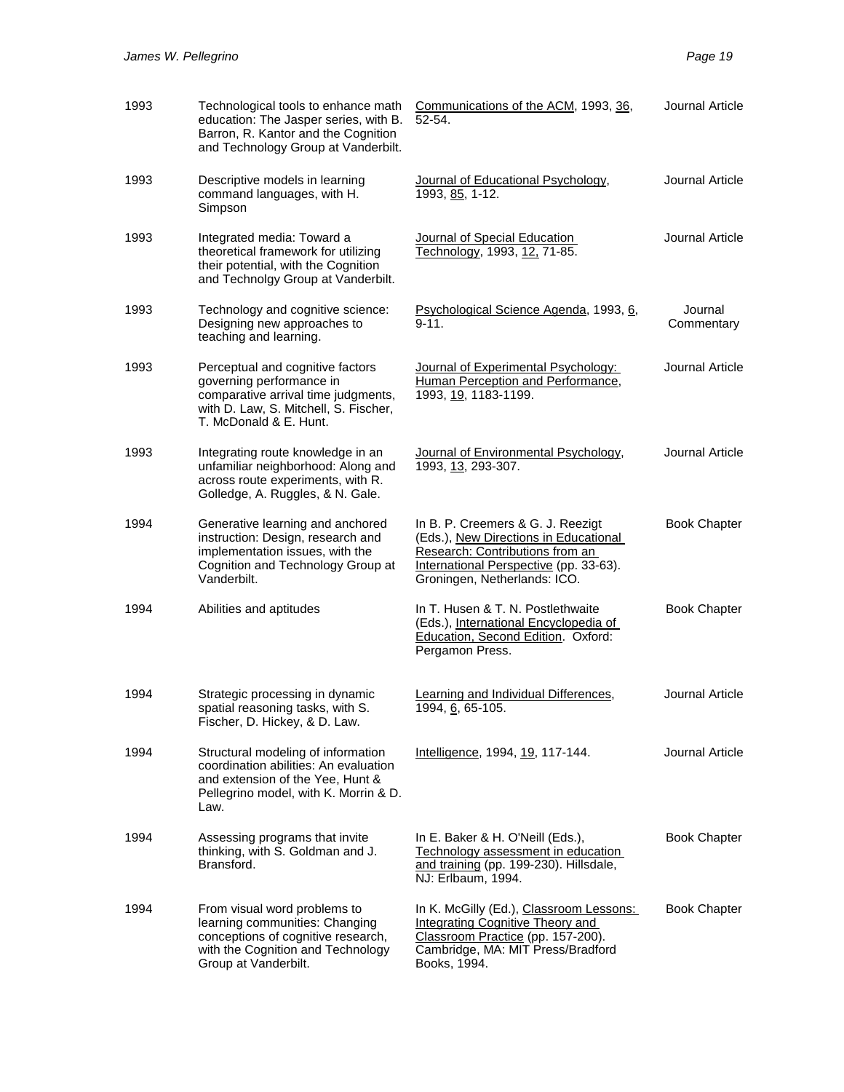| 1993 | Technological tools to enhance math<br>education: The Jasper series, with B.<br>Barron, R. Kantor and the Cognition<br>and Technology Group at Vanderbilt.             | Communications of the ACM, 1993, 36,<br>52-54.                                                                                                                                          | Journal Article       |
|------|------------------------------------------------------------------------------------------------------------------------------------------------------------------------|-----------------------------------------------------------------------------------------------------------------------------------------------------------------------------------------|-----------------------|
| 1993 | Descriptive models in learning<br>command languages, with H.<br>Simpson                                                                                                | Journal of Educational Psychology,<br>1993, 85, 1-12.                                                                                                                                   | Journal Article       |
| 1993 | Integrated media: Toward a<br>theoretical framework for utilizing<br>their potential, with the Cognition<br>and Technolgy Group at Vanderbilt.                         | Journal of Special Education<br>Technology, 1993, 12, 71-85.                                                                                                                            | Journal Article       |
| 1993 | Technology and cognitive science:<br>Designing new approaches to<br>teaching and learning.                                                                             | <b>Psychological Science Agenda, 1993, 6,</b><br>$9 - 11$ .                                                                                                                             | Journal<br>Commentary |
| 1993 | Perceptual and cognitive factors<br>governing performance in<br>comparative arrival time judgments,<br>with D. Law, S. Mitchell, S. Fischer,<br>T. McDonald & E. Hunt. | Journal of Experimental Psychology:<br>Human Perception and Performance,<br>1993, 19, 1183-1199.                                                                                        | Journal Article       |
| 1993 | Integrating route knowledge in an<br>unfamiliar neighborhood: Along and<br>across route experiments, with R.<br>Golledge, A. Ruggles, & N. Gale.                       | Journal of Environmental Psychology,<br>1993, 13, 293-307.                                                                                                                              | Journal Article       |
| 1994 | Generative learning and anchored<br>instruction: Design, research and<br>implementation issues, with the<br>Cognition and Technology Group at<br>Vanderbilt.           | In B. P. Creemers & G. J. Reezigt<br>(Eds.), New Directions in Educational<br>Research: Contributions from an<br>International Perspective (pp. 33-63).<br>Groningen, Netherlands: ICO. | <b>Book Chapter</b>   |
| 1994 | Abilities and aptitudes                                                                                                                                                | In T. Husen & T. N. Postlethwaite<br>(Eds.), International Encyclopedia of<br>Education, Second Edition. Oxford:<br>Pergamon Press.                                                     | <b>Book Chapter</b>   |
| 1994 | Strategic processing in dynamic<br>spatial reasoning tasks, with S.<br>Fischer, D. Hickey, & D. Law.                                                                   | Learning and Individual Differences,<br>1994, 6, 65-105.                                                                                                                                | Journal Article       |
| 1994 | Structural modeling of information<br>coordination abilities: An evaluation<br>and extension of the Yee, Hunt &<br>Pellegrino model, with K. Morrin & D.<br>Law.       | Intelligence, 1994, 19, 117-144.                                                                                                                                                        | Journal Article       |
| 1994 | Assessing programs that invite<br>thinking, with S. Goldman and J.<br>Bransford.                                                                                       | In E. Baker & H. O'Neill (Eds.),<br>Technology assessment in education<br>and training (pp. 199-230). Hillsdale,<br>NJ: Erlbaum, 1994.                                                  | <b>Book Chapter</b>   |
| 1994 | From visual word problems to<br>learning communities: Changing<br>conceptions of cognitive research,<br>with the Cognition and Technology<br>Group at Vanderbilt.      | In K. McGilly (Ed.), Classroom Lessons:<br><b>Integrating Cognitive Theory and</b><br>Classroom Practice (pp. 157-200).<br>Cambridge, MA: MIT Press/Bradford<br>Books, 1994.            | <b>Book Chapter</b>   |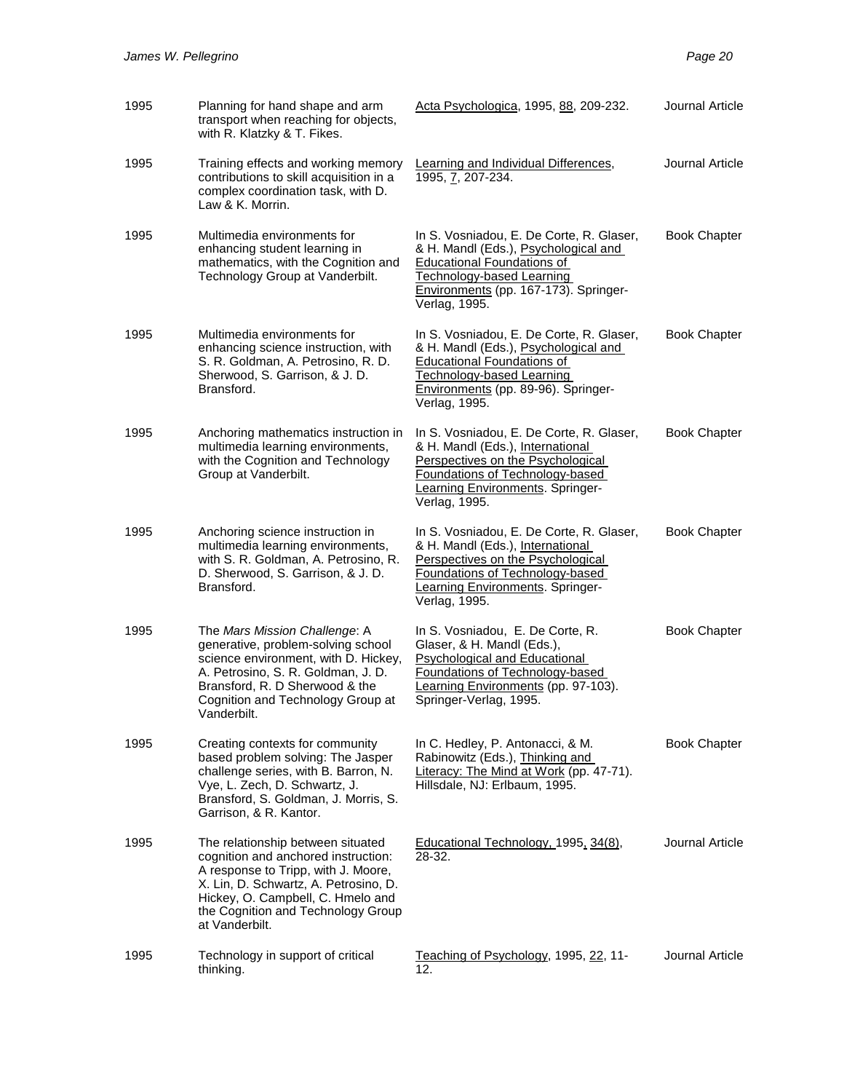| 1995 | Planning for hand shape and arm<br>transport when reaching for objects,<br>with R. Klatzky & T. Fikes.                                                                                                                                                | Acta Psychologica, 1995, 88, 209-232.                                                                                                                                                                        | Journal Article     |
|------|-------------------------------------------------------------------------------------------------------------------------------------------------------------------------------------------------------------------------------------------------------|--------------------------------------------------------------------------------------------------------------------------------------------------------------------------------------------------------------|---------------------|
| 1995 | Training effects and working memory<br>contributions to skill acquisition in a<br>complex coordination task, with D.<br>Law & K. Morrin.                                                                                                              | Learning and Individual Differences,<br>1995, 7, 207-234.                                                                                                                                                    | Journal Article     |
| 1995 | Multimedia environments for<br>enhancing student learning in<br>mathematics, with the Cognition and<br>Technology Group at Vanderbilt.                                                                                                                | In S. Vosniadou, E. De Corte, R. Glaser,<br>& H. Mandl (Eds.), Psychological and<br><b>Educational Foundations of</b><br>Technology-based Learning<br>Environments (pp. 167-173). Springer-<br>Verlag, 1995. | <b>Book Chapter</b> |
| 1995 | Multimedia environments for<br>enhancing science instruction, with<br>S. R. Goldman, A. Petrosino, R. D.<br>Sherwood, S. Garrison, & J. D.<br>Bransford.                                                                                              | In S. Vosniadou, E. De Corte, R. Glaser,<br>& H. Mandl (Eds.), Psychological and<br><b>Educational Foundations of</b><br>Technology-based Learning<br>Environments (pp. 89-96). Springer-<br>Verlag, 1995.   | <b>Book Chapter</b> |
| 1995 | Anchoring mathematics instruction in<br>multimedia learning environments,<br>with the Cognition and Technology<br>Group at Vanderbilt.                                                                                                                | In S. Vosniadou, E. De Corte, R. Glaser,<br>& H. Mandl (Eds.), International<br>Perspectives on the Psychological<br>Foundations of Technology-based<br>Learning Environments. Springer-<br>Verlag, 1995.    | <b>Book Chapter</b> |
| 1995 | Anchoring science instruction in<br>multimedia learning environments,<br>with S. R. Goldman, A. Petrosino, R.<br>D. Sherwood, S. Garrison, & J. D.<br>Bransford.                                                                                      | In S. Vosniadou, E. De Corte, R. Glaser,<br>& H. Mandl (Eds.), International<br>Perspectives on the Psychological<br>Foundations of Technology-based<br>Learning Environments. Springer-<br>Verlag, 1995.    | <b>Book Chapter</b> |
| 1995 | The Mars Mission Challenge: A<br>generative, problem-solving school<br>science environment, with D. Hickey,<br>A. Petrosino, S. R. Goldman, J. D.<br>Bransford, R. D Sherwood & the<br>Cognition and Technology Group at<br>Vanderbilt.               | In S. Vosniadou, E. De Corte, R.<br>Glaser, & H. Mandl (Eds.),<br><b>Psychological and Educational</b><br>Foundations of Technology-based<br>Learning Environments (pp. 97-103).<br>Springer-Verlag, 1995.   | <b>Book Chapter</b> |
| 1995 | Creating contexts for community<br>based problem solving: The Jasper<br>challenge series, with B. Barron, N.<br>Vye, L. Zech, D. Schwartz, J.<br>Bransford, S. Goldman, J. Morris, S.<br>Garrison, & R. Kantor.                                       | In C. Hedley, P. Antonacci, & M.<br>Rabinowitz (Eds.), Thinking and<br>Literacy: The Mind at Work (pp. 47-71).<br>Hillsdale, NJ: Erlbaum, 1995.                                                              | <b>Book Chapter</b> |
| 1995 | The relationship between situated<br>cognition and anchored instruction:<br>A response to Tripp, with J. Moore,<br>X. Lin, D. Schwartz, A. Petrosino, D.<br>Hickey, O. Campbell, C. Hmelo and<br>the Cognition and Technology Group<br>at Vanderbilt. | Educational Technology, 1995, 34(8),<br>28-32.                                                                                                                                                               | Journal Article     |
| 1995 | Technology in support of critical<br>thinking.                                                                                                                                                                                                        | Teaching of Psychology, 1995, 22, 11-<br>12.                                                                                                                                                                 | Journal Article     |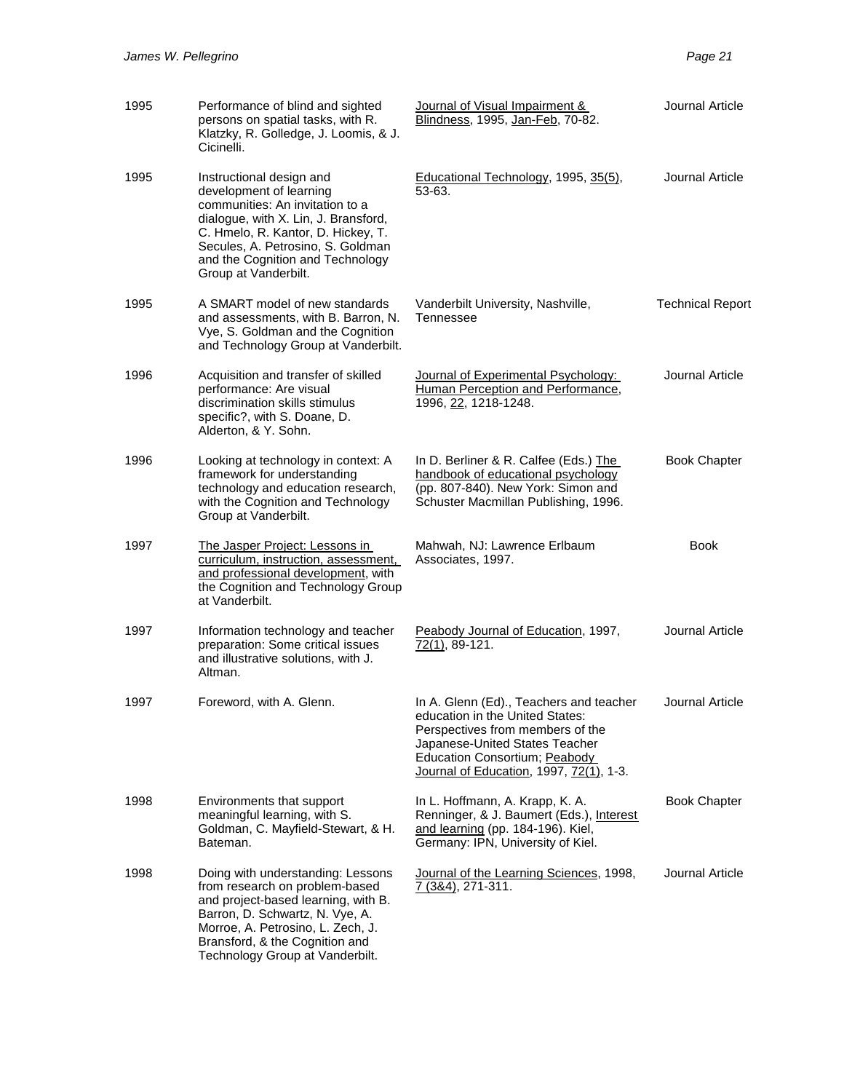| 1995 | Performance of blind and sighted<br>persons on spatial tasks, with R.<br>Klatzky, R. Golledge, J. Loomis, & J.<br>Cicinelli.                                                                                                                                          | Journal of Visual Impairment &<br>Blindness, 1995, Jan-Feb, 70-82.                                                                                                                                                                  | Journal Article         |
|------|-----------------------------------------------------------------------------------------------------------------------------------------------------------------------------------------------------------------------------------------------------------------------|-------------------------------------------------------------------------------------------------------------------------------------------------------------------------------------------------------------------------------------|-------------------------|
| 1995 | Instructional design and<br>development of learning<br>communities: An invitation to a<br>dialogue, with X. Lin, J. Bransford,<br>C. Hmelo, R. Kantor, D. Hickey, T.<br>Secules, A. Petrosino, S. Goldman<br>and the Cognition and Technology<br>Group at Vanderbilt. | Educational Technology, 1995, 35(5),<br>53-63.                                                                                                                                                                                      | Journal Article         |
| 1995 | A SMART model of new standards<br>and assessments, with B. Barron, N.<br>Vye, S. Goldman and the Cognition<br>and Technology Group at Vanderbilt.                                                                                                                     | Vanderbilt University, Nashville,<br>Tennessee                                                                                                                                                                                      | <b>Technical Report</b> |
| 1996 | Acquisition and transfer of skilled<br>performance: Are visual<br>discrimination skills stimulus<br>specific?, with S. Doane, D.<br>Alderton, & Y. Sohn.                                                                                                              | Journal of Experimental Psychology:<br>Human Perception and Performance,<br>1996, 22, 1218-1248.                                                                                                                                    | Journal Article         |
| 1996 | Looking at technology in context: A<br>framework for understanding<br>technology and education research,<br>with the Cognition and Technology<br>Group at Vanderbilt.                                                                                                 | In D. Berliner & R. Calfee (Eds.) The<br>handbook of educational psychology<br>(pp. 807-840). New York: Simon and<br>Schuster Macmillan Publishing, 1996.                                                                           | <b>Book Chapter</b>     |
| 1997 | The Jasper Project: Lessons in<br>curriculum, instruction, assessment,<br>and professional development, with<br>the Cognition and Technology Group<br>at Vanderbilt.                                                                                                  | Mahwah, NJ: Lawrence Erlbaum<br>Associates, 1997.                                                                                                                                                                                   | <b>Book</b>             |
| 1997 | Information technology and teacher<br>preparation: Some critical issues<br>and illustrative solutions, with J.<br>Altman.                                                                                                                                             | Peabody Journal of Education, 1997,<br>72(1), 89-121.                                                                                                                                                                               | Journal Article         |
| 1997 | Foreword, with A. Glenn.                                                                                                                                                                                                                                              | In A. Glenn (Ed)., Teachers and teacher<br>education in the United States:<br>Perspectives from members of the<br>Japanese-United States Teacher<br><b>Education Consortium; Peabody</b><br>Journal of Education, 1997, 72(1), 1-3. | Journal Article         |
| 1998 | Environments that support<br>meaningful learning, with S.<br>Goldman, C. Mayfield-Stewart, & H.<br>Bateman.                                                                                                                                                           | In L. Hoffmann, A. Krapp, K. A.<br>Renninger, & J. Baumert (Eds.), Interest<br>and learning (pp. 184-196). Kiel,<br>Germany: IPN, University of Kiel.                                                                               | <b>Book Chapter</b>     |
| 1998 | Doing with understanding: Lessons<br>from research on problem-based<br>and project-based learning, with B.<br>Barron, D. Schwartz, N. Vye, A.<br>Morroe, A. Petrosino, L. Zech, J.<br>Bransford, & the Cognition and<br>Technology Group at Vanderbilt.               | Journal of the Learning Sciences, 1998,<br>7 (3&4), 271-311.                                                                                                                                                                        | Journal Article         |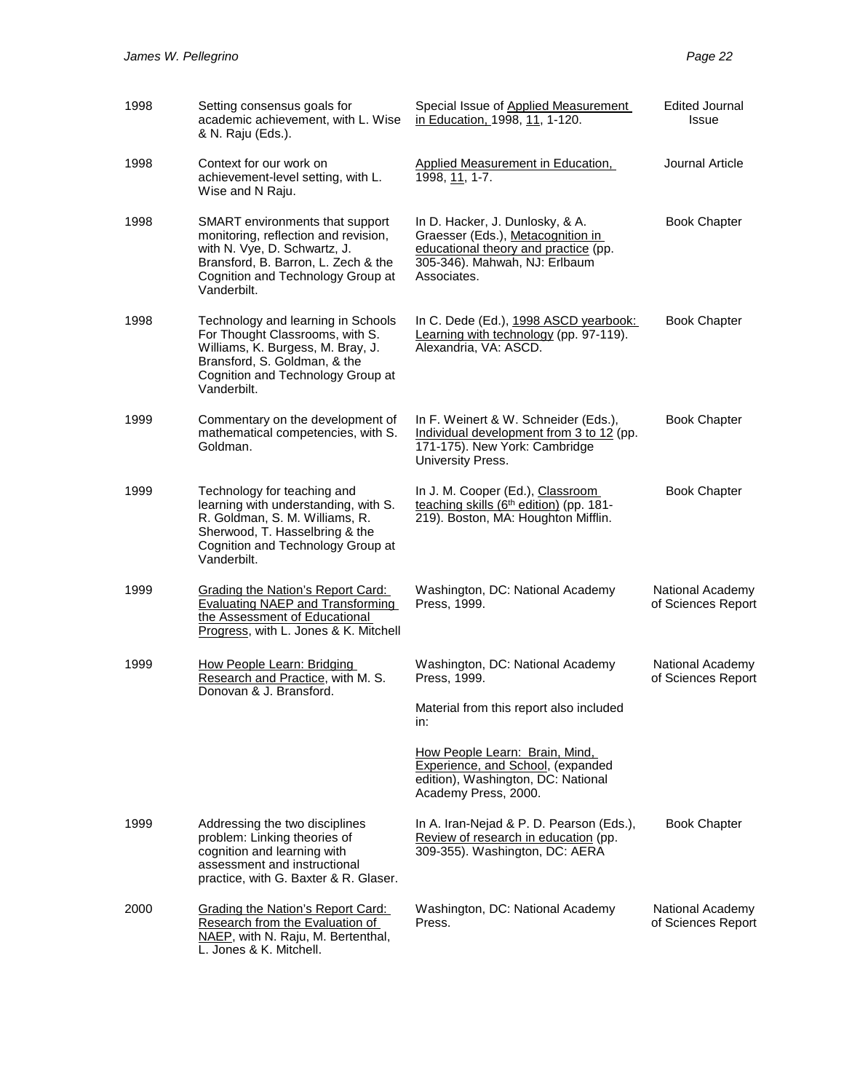| 1998 | Setting consensus goals for<br>academic achievement, with L. Wise<br>& N. Raju (Eds.).                                                                                                             | Special Issue of Applied Measurement<br>in Education, 1998, 11, 1-120.                                                                                       | <b>Edited Journal</b><br>Issue         |
|------|----------------------------------------------------------------------------------------------------------------------------------------------------------------------------------------------------|--------------------------------------------------------------------------------------------------------------------------------------------------------------|----------------------------------------|
| 1998 | Context for our work on<br>achievement-level setting, with L.<br>Wise and N Raju.                                                                                                                  | Applied Measurement in Education,<br>1998, 11, 1-7.                                                                                                          | Journal Article                        |
| 1998 | SMART environments that support<br>monitoring, reflection and revision,<br>with N. Vye, D. Schwartz, J.<br>Bransford, B. Barron, L. Zech & the<br>Cognition and Technology Group at<br>Vanderbilt. | In D. Hacker, J. Dunlosky, & A.<br>Graesser (Eds.), Metacognition in<br>educational theory and practice (pp.<br>305-346). Mahwah, NJ: Erlbaum<br>Associates. | <b>Book Chapter</b>                    |
| 1998 | Technology and learning in Schools<br>For Thought Classrooms, with S.<br>Williams, K. Burgess, M. Bray, J.<br>Bransford, S. Goldman, & the<br>Cognition and Technology Group at<br>Vanderbilt.     | In C. Dede (Ed.), 1998 ASCD yearbook:<br>Learning with technology (pp. 97-119).<br>Alexandria, VA: ASCD.                                                     | <b>Book Chapter</b>                    |
| 1999 | Commentary on the development of<br>mathematical competencies, with S.<br>Goldman.                                                                                                                 | In F. Weinert & W. Schneider (Eds.),<br>Individual development from 3 to 12 (pp.<br>171-175). New York: Cambridge<br>University Press.                       | <b>Book Chapter</b>                    |
| 1999 | Technology for teaching and<br>learning with understanding, with S.<br>R. Goldman, S. M. Williams, R.<br>Sherwood, T. Hasselbring & the<br>Cognition and Technology Group at<br>Vanderbilt.        | In J. M. Cooper (Ed.), Classroom<br>teaching skills (6th edition) (pp. 181-<br>219). Boston, MA: Houghton Mifflin.                                           | <b>Book Chapter</b>                    |
| 1999 | <b>Grading the Nation's Report Card:</b><br><b>Evaluating NAEP and Transforming</b><br>the Assessment of Educational<br>Progress, with L. Jones & K. Mitchell                                      | Washington, DC: National Academy<br>Press, 1999.                                                                                                             | National Academy<br>of Sciences Report |
| 1999 | How People Learn: Bridging<br>Research and Practice, with M. S.<br>Donovan & J. Bransford.                                                                                                         | Washington, DC: National Academy<br>Press, 1999.                                                                                                             | National Academy<br>of Sciences Report |
|      |                                                                                                                                                                                                    | Material from this report also included<br>in:                                                                                                               |                                        |
|      |                                                                                                                                                                                                    | How People Learn: Brain, Mind,<br>Experience, and School, (expanded<br>edition), Washington, DC: National<br>Academy Press, 2000.                            |                                        |
| 1999 | Addressing the two disciplines<br>problem: Linking theories of<br>cognition and learning with<br>assessment and instructional<br>practice, with G. Baxter & R. Glaser.                             | In A. Iran-Nejad & P. D. Pearson (Eds.),<br>Review of research in education (pp.<br>309-355). Washington, DC: AERA                                           | <b>Book Chapter</b>                    |
| 2000 | <b>Grading the Nation's Report Card:</b><br>Research from the Evaluation of<br>NAEP, with N. Raju, M. Bertenthal,<br>L. Jones & K. Mitchell.                                                       | Washington, DC: National Academy<br>Press.                                                                                                                   | National Academy<br>of Sciences Report |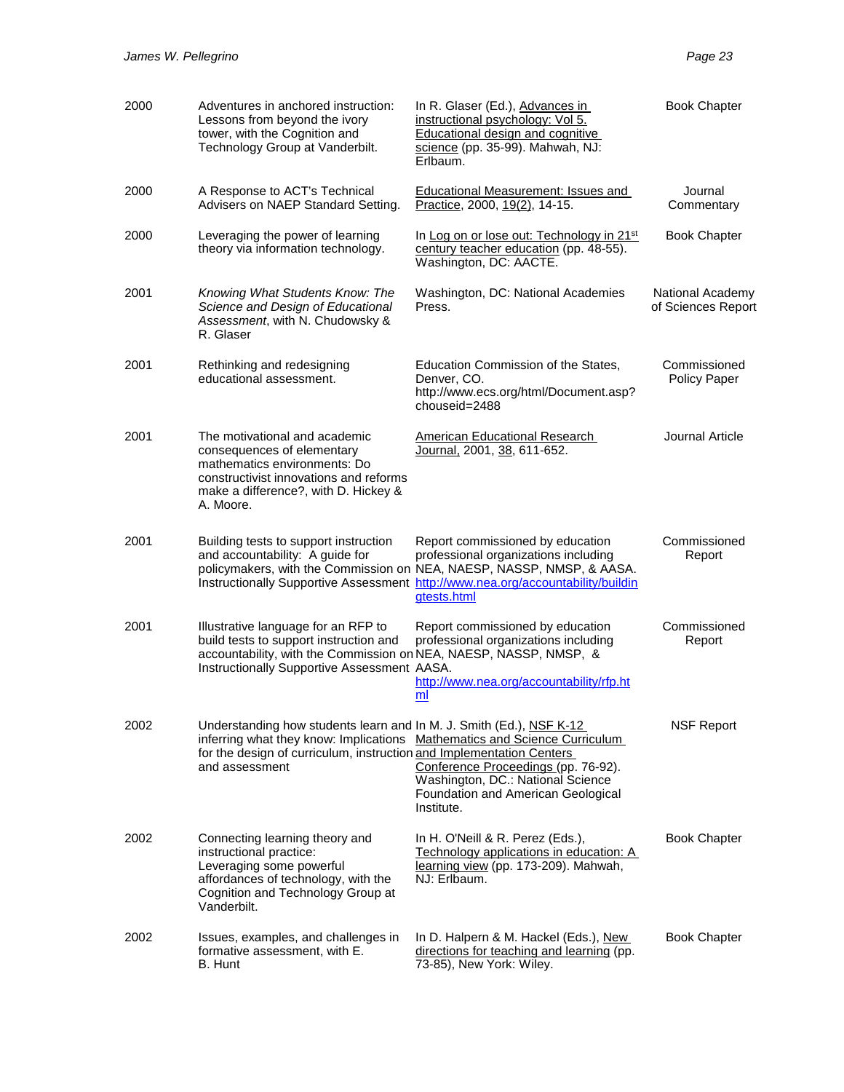| 2000 | Adventures in anchored instruction:<br>Lessons from beyond the ivory<br>tower, with the Cognition and<br>Technology Group at Vanderbilt.                                                          | In R. Glaser (Ed.), Advances in<br>instructional psychology: Vol 5.<br><b>Educational design and cognitive</b><br>science (pp. 35-99). Mahwah, NJ:<br>Erlbaum.                                                                                      | <b>Book Chapter</b>                    |
|------|---------------------------------------------------------------------------------------------------------------------------------------------------------------------------------------------------|-----------------------------------------------------------------------------------------------------------------------------------------------------------------------------------------------------------------------------------------------------|----------------------------------------|
| 2000 | A Response to ACT's Technical<br>Advisers on NAEP Standard Setting.                                                                                                                               | <b>Educational Measurement: Issues and</b><br>Practice, 2000, 19(2), 14-15.                                                                                                                                                                         | Journal<br>Commentary                  |
| 2000 | Leveraging the power of learning<br>theory via information technology.                                                                                                                            | In Log on or lose out: Technology in 21st<br>century teacher education (pp. 48-55).<br>Washington, DC: AACTE.                                                                                                                                       | <b>Book Chapter</b>                    |
| 2001 | Knowing What Students Know: The<br>Science and Design of Educational<br>Assessment, with N. Chudowsky &<br>R. Glaser                                                                              | Washington, DC: National Academies<br>Press.                                                                                                                                                                                                        | National Academy<br>of Sciences Report |
| 2001 | Rethinking and redesigning<br>educational assessment.                                                                                                                                             | Education Commission of the States,<br>Denver, CO.<br>http://www.ecs.org/html/Document.asp?<br>chouseid=2488                                                                                                                                        | Commissioned<br>Policy Paper           |
| 2001 | The motivational and academic<br>consequences of elementary<br>mathematics environments: Do<br>constructivist innovations and reforms<br>make a difference?, with D. Hickey &<br>A. Moore.        | American Educational Research<br>Journal, 2001, 38, 611-652.                                                                                                                                                                                        | Journal Article                        |
| 2001 | Building tests to support instruction<br>and accountability: A guide for                                                                                                                          | Report commissioned by education<br>professional organizations including<br>policymakers, with the Commission on NEA, NAESP, NASSP, NMSP, & AASA.<br>Instructionally Supportive Assessment http://www.nea.org/accountability/buildin<br>gtests.html | Commissioned<br>Report                 |
| 2001 | Illustrative language for an RFP to<br>build tests to support instruction and<br>accountability, with the Commission on NEA, NAESP, NASSP, NMSP, &<br>Instructionally Supportive Assessment AASA. | Report commissioned by education<br>professional organizations including<br>http://www.nea.org/accountability/rfp.ht<br>ml                                                                                                                          | Commissioned<br>Report                 |
| 2002 | Understanding how students learn and In M. J. Smith (Ed.), NSF K-12<br>for the design of curriculum, instruction and Implementation Centers<br>and assessment                                     | inferring what they know: Implications Mathematics and Science Curriculum<br>Conference Proceedings (pp. 76-92).<br>Washington, DC.: National Science<br>Foundation and American Geological<br>Institute.                                           | <b>NSF Report</b>                      |
| 2002 | Connecting learning theory and<br>instructional practice:<br>Leveraging some powerful<br>affordances of technology, with the<br>Cognition and Technology Group at<br>Vanderbilt.                  | In H. O'Neill & R. Perez (Eds.),<br>Technology applications in education: A<br>learning view (pp. 173-209). Mahwah,<br>NJ: Erlbaum.                                                                                                                 | <b>Book Chapter</b>                    |
| 2002 | Issues, examples, and challenges in<br>formative assessment, with E.<br>B. Hunt                                                                                                                   | In D. Halpern & M. Hackel (Eds.), New<br>directions for teaching and learning (pp.<br>73-85), New York: Wiley.                                                                                                                                      | <b>Book Chapter</b>                    |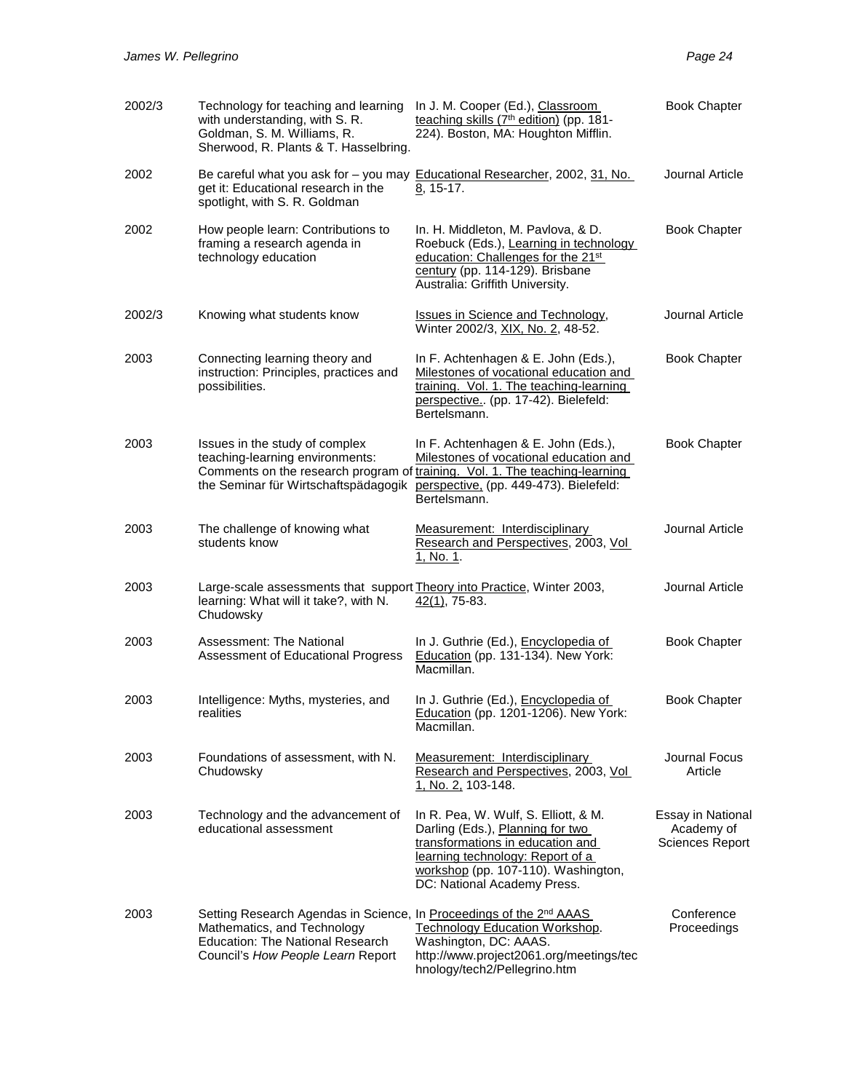| 2002/3 | Technology for teaching and learning<br>with understanding, with S. R.<br>Goldman, S. M. Williams, R.<br>Sherwood, R. Plants & T. Hasselbring.                                     | In J. M. Cooper (Ed.), Classroom<br>teaching skills (7 <sup>th</sup> edition) (pp. 181-<br>224). Boston, MA: Houghton Mifflin.                                                                                         | <b>Book Chapter</b>                                       |
|--------|------------------------------------------------------------------------------------------------------------------------------------------------------------------------------------|------------------------------------------------------------------------------------------------------------------------------------------------------------------------------------------------------------------------|-----------------------------------------------------------|
| 2002   | get it: Educational research in the<br>spotlight, with S. R. Goldman                                                                                                               | Be careful what you ask for – you may Educational Researcher, 2002, 31, No.<br>8, 15-17.                                                                                                                               | Journal Article                                           |
| 2002   | How people learn: Contributions to<br>framing a research agenda in<br>technology education                                                                                         | In. H. Middleton, M. Pavlova, & D.<br>Roebuck (Eds.), Learning in technology<br>education: Challenges for the 21 <sup>st</sup><br>century (pp. 114-129). Brisbane<br>Australia: Griffith University.                   | <b>Book Chapter</b>                                       |
| 2002/3 | Knowing what students know                                                                                                                                                         | <b>Issues in Science and Technology,</b><br>Winter 2002/3, XIX, No. 2, 48-52.                                                                                                                                          | Journal Article                                           |
| 2003   | Connecting learning theory and<br>instruction: Principles, practices and<br>possibilities.                                                                                         | In F. Achtenhagen & E. John (Eds.),<br>Milestones of vocational education and<br>training. Vol. 1. The teaching-learning<br>perspective (pp. 17-42). Bielefeld:<br>Bertelsmann.                                        | <b>Book Chapter</b>                                       |
| 2003   | Issues in the study of complex<br>teaching-learning environments:<br>the Seminar für Wirtschaftspädagogik                                                                          | In F. Achtenhagen & E. John (Eds.),<br>Milestones of vocational education and<br>Comments on the research program of training. Vol. 1. The teaching-learning<br>perspective, (pp. 449-473). Bielefeld:<br>Bertelsmann. | <b>Book Chapter</b>                                       |
| 2003   | The challenge of knowing what<br>students know                                                                                                                                     | Measurement: Interdisciplinary<br>Research and Perspectives, 2003, Vol<br>1, No. 1.                                                                                                                                    | Journal Article                                           |
| 2003   | Large-scale assessments that support <b>Theory into Practice</b> , Winter 2003,<br>learning: What will it take?, with N.<br>Chudowsky                                              | 42(1), 75-83.                                                                                                                                                                                                          | Journal Article                                           |
| 2003   | Assessment: The National<br>Assessment of Educational Progress                                                                                                                     | In J. Guthrie (Ed.), Encyclopedia of<br>Education (pp. 131-134). New York:<br>Macmillan.                                                                                                                               | <b>Book Chapter</b>                                       |
| 2003   | Intelligence: Myths, mysteries, and<br>realities                                                                                                                                   | In J. Guthrie (Ed.), Encyclopedia of<br>Education (pp. 1201-1206). New York:<br>Macmillan.                                                                                                                             | <b>Book Chapter</b>                                       |
| 2003   | Foundations of assessment, with N.<br>Chudowsky                                                                                                                                    | Measurement: Interdisciplinary<br>Research and Perspectives, 2003, Vol<br>1, No. 2, 103-148.                                                                                                                           | Journal Focus<br>Article                                  |
| 2003   | Technology and the advancement of<br>educational assessment                                                                                                                        | In R. Pea, W. Wulf, S. Elliott, & M.<br>Darling (Eds.), Planning for two<br>transformations in education and<br>learning technology: Report of a<br>workshop (pp. 107-110). Washington,<br>DC: National Academy Press. | Essay in National<br>Academy of<br><b>Sciences Report</b> |
| 2003   | Setting Research Agendas in Science, In Proceedings of the 2nd AAAS<br>Mathematics, and Technology<br><b>Education: The National Research</b><br>Council's How People Learn Report | <b>Technology Education Workshop.</b><br>Washington, DC: AAAS.<br>http://www.project2061.org/meetings/tec<br>hnology/tech2/Pellegrino.htm                                                                              | Conference<br>Proceedings                                 |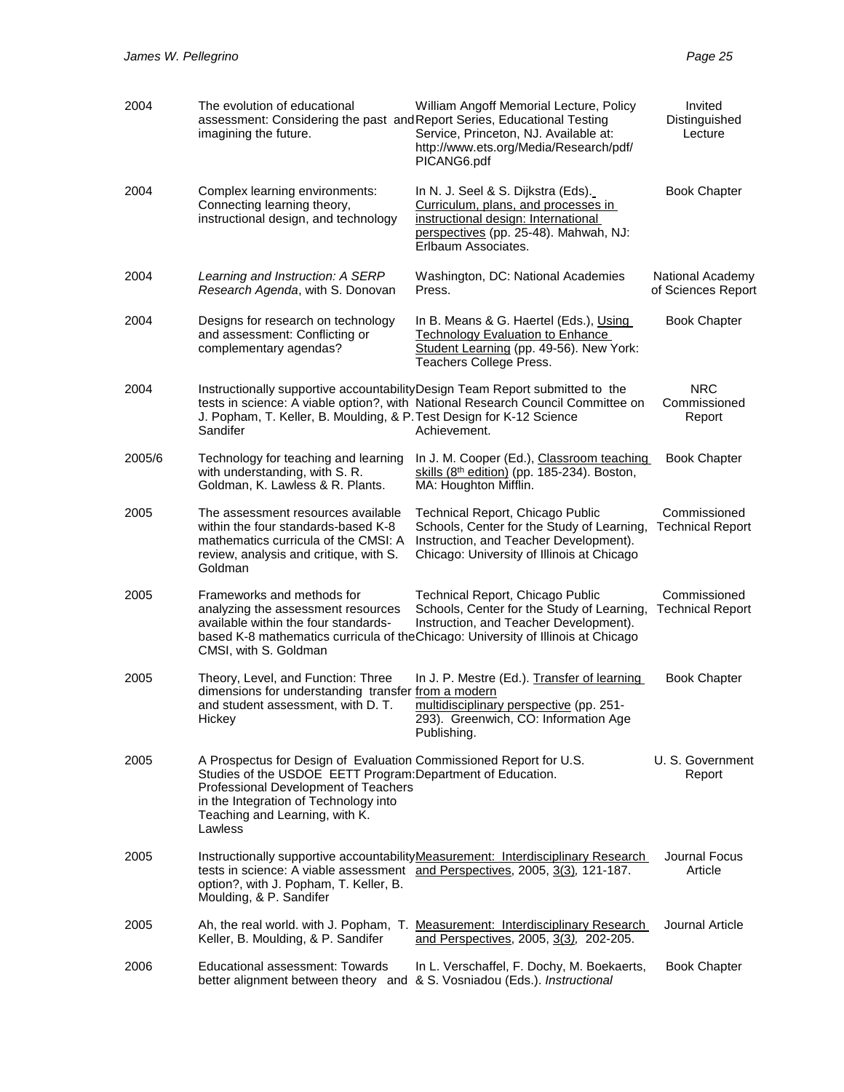| 2004   | The evolution of educational<br>assessment: Considering the past and Report Series, Educational Testing<br>imagining the future.                                                                                                                                | William Angoff Memorial Lecture, Policy<br>Service, Princeton, NJ. Available at:<br>http://www.ets.org/Media/Research/pdf/<br>PICANG6.pdf                                                                     | Invited<br>Distinguished<br>Lecture     |
|--------|-----------------------------------------------------------------------------------------------------------------------------------------------------------------------------------------------------------------------------------------------------------------|---------------------------------------------------------------------------------------------------------------------------------------------------------------------------------------------------------------|-----------------------------------------|
| 2004   | Complex learning environments:<br>Connecting learning theory,<br>instructional design, and technology                                                                                                                                                           | In N. J. Seel & S. Dijkstra (Eds).<br>Curriculum, plans, and processes in<br>instructional design: International<br>perspectives (pp. 25-48). Mahwah, NJ:<br>Erlbaum Associates.                              | <b>Book Chapter</b>                     |
| 2004   | Learning and Instruction: A SERP<br>Research Agenda, with S. Donovan                                                                                                                                                                                            | Washington, DC: National Academies<br>Press.                                                                                                                                                                  | National Academy<br>of Sciences Report  |
| 2004   | Designs for research on technology<br>and assessment: Conflicting or<br>complementary agendas?                                                                                                                                                                  | In B. Means & G. Haertel (Eds.), Using<br><b>Technology Evaluation to Enhance</b><br>Student Learning (pp. 49-56). New York:<br>Teachers College Press.                                                       | <b>Book Chapter</b>                     |
| 2004   | J. Popham, T. Keller, B. Moulding, & P. Test Design for K-12 Science<br>Sandifer                                                                                                                                                                                | Instructionally supportive accountability Design Team Report submitted to the<br>tests in science: A viable option?, with National Research Council Committee on<br>Achievement.                              | <b>NRC</b><br>Commissioned<br>Report    |
| 2005/6 | Technology for teaching and learning<br>with understanding, with S. R.<br>Goldman, K. Lawless & R. Plants.                                                                                                                                                      | In J. M. Cooper (Ed.), Classroom teaching<br>skills (8th edition) (pp. 185-234). Boston,<br>MA: Houghton Mifflin.                                                                                             | <b>Book Chapter</b>                     |
| 2005   | The assessment resources available<br>within the four standards-based K-8<br>mathematics curricula of the CMSI: A<br>review, analysis and critique, with S.<br>Goldman                                                                                          | Technical Report, Chicago Public<br>Schools, Center for the Study of Learning,<br>Instruction, and Teacher Development).<br>Chicago: University of Illinois at Chicago                                        | Commissioned<br><b>Technical Report</b> |
| 2005   | Frameworks and methods for<br>analyzing the assessment resources<br>available within the four standards-<br>CMSI, with S. Goldman                                                                                                                               | Technical Report, Chicago Public<br>Schools, Center for the Study of Learning,<br>Instruction, and Teacher Development).<br>based K-8 mathematics curricula of the Chicago: University of Illinois at Chicago | Commissioned<br><b>Technical Report</b> |
| 2005   | Theory, Level, and Function: Three<br>dimensions for understanding transfer from a modern<br>and student assessment, with D. T.<br>Hickey                                                                                                                       | In J. P. Mestre (Ed.). Transfer of learning<br>multidisciplinary perspective (pp. 251-<br>293). Greenwich, CO: Information Age<br>Publishing.                                                                 | <b>Book Chapter</b>                     |
| 2005   | A Prospectus for Design of Evaluation Commissioned Report for U.S.<br>Studies of the USDOE EETT Program: Department of Education.<br>Professional Development of Teachers<br>in the Integration of Technology into<br>Teaching and Learning, with K.<br>Lawless |                                                                                                                                                                                                               | U. S. Government<br>Report              |
| 2005   | option?, with J. Popham, T. Keller, B.<br>Moulding, & P. Sandifer                                                                                                                                                                                               | Instructionally supportive accountability Measurement: Interdisciplinary Research<br>tests in science: A viable assessment and Perspectives, 2005, 3(3), 121-187.                                             | Journal Focus<br>Article                |
| 2005   | Ah, the real world. with J. Popham, T.<br>Keller, B. Moulding, & P. Sandifer                                                                                                                                                                                    | <b>Measurement: Interdisciplinary Research</b><br>and Perspectives, 2005, 3(3), 202-205.                                                                                                                      | Journal Article                         |
| 2006   | Educational assessment: Towards<br>better alignment between theory and                                                                                                                                                                                          | In L. Verschaffel, F. Dochy, M. Boekaerts,<br>& S. Vosniadou (Eds.). Instructional                                                                                                                            | <b>Book Chapter</b>                     |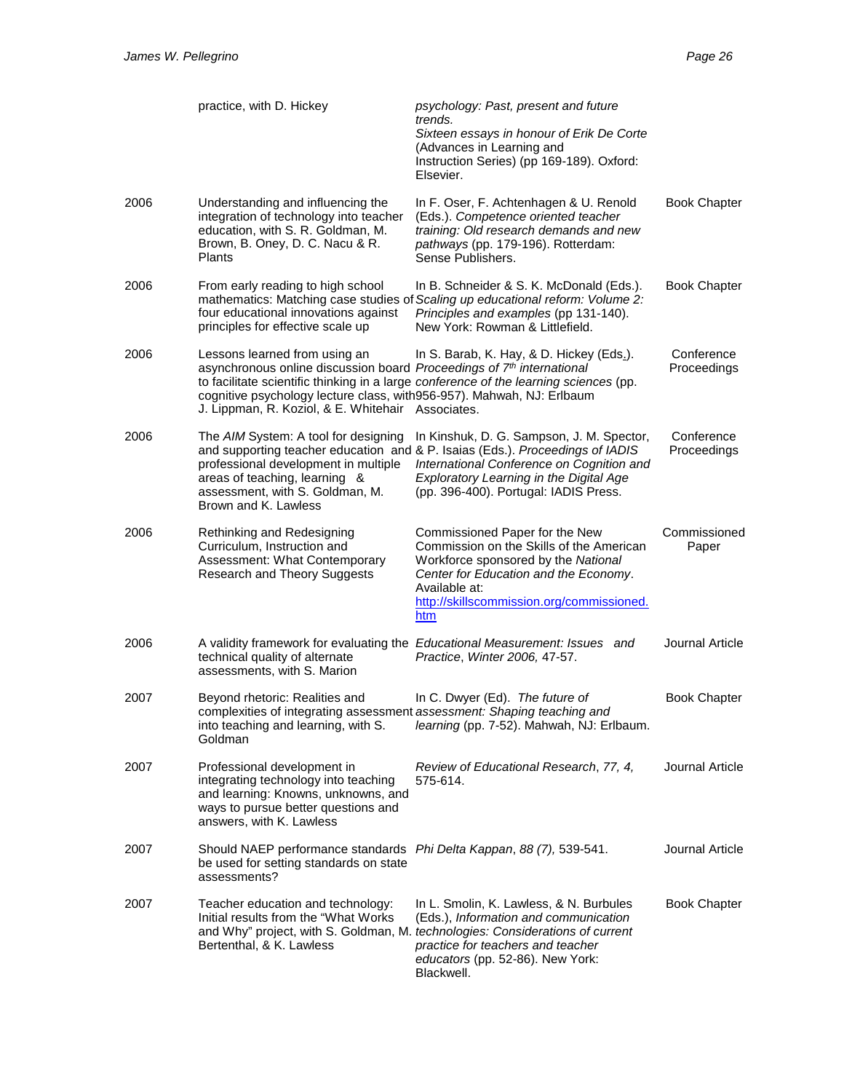|      | practice, with D. Hickey                                                                                                                                                                                                              | psychology: Past, present and future<br>trends.<br>Sixteen essays in honour of Erik De Corte<br>(Advances in Learning and<br>Instruction Series) (pp 169-189). Oxford:<br>Elsevier.                                                                         |                           |
|------|---------------------------------------------------------------------------------------------------------------------------------------------------------------------------------------------------------------------------------------|-------------------------------------------------------------------------------------------------------------------------------------------------------------------------------------------------------------------------------------------------------------|---------------------------|
| 2006 | Understanding and influencing the<br>integration of technology into teacher<br>education, with S. R. Goldman, M.<br>Brown, B. Oney, D. C. Nacu & R.<br><b>Plants</b>                                                                  | In F. Oser, F. Achtenhagen & U. Renold<br>(Eds.). Competence oriented teacher<br>training: Old research demands and new<br>pathways (pp. 179-196). Rotterdam:<br>Sense Publishers.                                                                          | <b>Book Chapter</b>       |
| 2006 | From early reading to high school<br>four educational innovations against<br>principles for effective scale up                                                                                                                        | In B. Schneider & S. K. McDonald (Eds.).<br>mathematics: Matching case studies of Scaling up educational reform: Volume 2:<br>Principles and examples (pp 131-140).<br>New York: Rowman & Littlefield.                                                      | <b>Book Chapter</b>       |
| 2006 | Lessons learned from using an<br>asynchronous online discussion board Proceedings of 7th international<br>cognitive psychology lecture class, with 956-957). Mahwah, NJ: Erlbaum<br>J. Lippman, R. Koziol, & E. Whitehair Associates. | In S. Barab, K. Hay, & D. Hickey (Eds.).<br>to facilitate scientific thinking in a large conference of the learning sciences (pp.                                                                                                                           | Conference<br>Proceedings |
| 2006 | The AIM System: A tool for designing<br>professional development in multiple<br>areas of teaching, learning &<br>assessment, with S. Goldman, M.<br>Brown and K. Lawless                                                              | In Kinshuk, D. G. Sampson, J. M. Spector,<br>and supporting teacher education and & P. Isaias (Eds.). Proceedings of IADIS<br>International Conference on Cognition and<br>Exploratory Learning in the Digital Age<br>(pp. 396-400). Portugal: IADIS Press. | Conference<br>Proceedings |
| 2006 | Rethinking and Redesigning<br>Curriculum, Instruction and<br>Assessment: What Contemporary<br>Research and Theory Suggests                                                                                                            | Commissioned Paper for the New<br>Commission on the Skills of the American<br>Workforce sponsored by the National<br>Center for Education and the Economy.<br>Available at:<br>http://skillscommission.org/commissioned.<br>htm                             | Commissioned<br>Paper     |
| 2006 | technical quality of alternate<br>assessments, with S. Marion                                                                                                                                                                         | A validity framework for evaluating the Educational Measurement: Issues and<br>Practice, Winter 2006, 47-57.                                                                                                                                                | Journal Article           |
| 2007 | Beyond rhetoric: Realities and<br>complexities of integrating assessment assessment: Shaping teaching and<br>into teaching and learning, with S.<br>Goldman                                                                           | In C. Dwyer (Ed). The future of<br>learning (pp. 7-52). Mahwah, NJ: Erlbaum.                                                                                                                                                                                | <b>Book Chapter</b>       |
| 2007 | Professional development in<br>integrating technology into teaching<br>and learning: Knowns, unknowns, and<br>ways to pursue better questions and<br>answers, with K. Lawless                                                         | Review of Educational Research, 77, 4,<br>575-614.                                                                                                                                                                                                          | Journal Article           |
| 2007 | Should NAEP performance standards Phi Delta Kappan, 88 (7), 539-541.<br>be used for setting standards on state<br>assessments?                                                                                                        |                                                                                                                                                                                                                                                             | Journal Article           |
| 2007 | Teacher education and technology:<br>Initial results from the "What Works"<br>Bertenthal, & K. Lawless                                                                                                                                | In L. Smolin, K. Lawless, & N. Burbules<br>(Eds.), Information and communication<br>and Why" project, with S. Goldman, M. technologies: Considerations of current<br>practice for teachers and teacher<br>educators (pp. 52-86). New York:<br>Blackwell.    | <b>Book Chapter</b>       |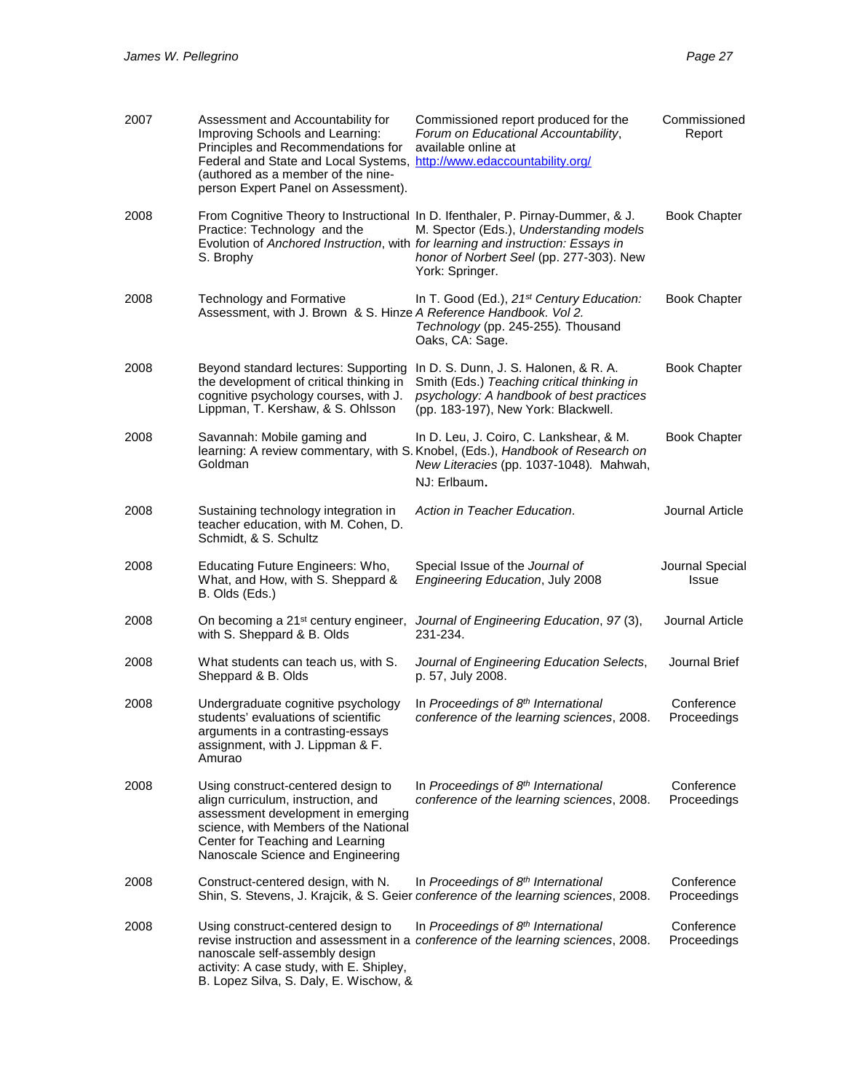| 2007 | Assessment and Accountability for<br>Improving Schools and Learning:<br>Principles and Recommendations for<br>Federal and State and Local Systems, http://www.edaccountability.org/<br>(authored as a member of the nine-<br>person Expert Panel on Assessment). | Commissioned report produced for the<br>Forum on Educational Accountability,<br>available online at                                                                                       | Commissioned<br>Report    |
|------|------------------------------------------------------------------------------------------------------------------------------------------------------------------------------------------------------------------------------------------------------------------|-------------------------------------------------------------------------------------------------------------------------------------------------------------------------------------------|---------------------------|
| 2008 | Practice: Technology and the<br>Evolution of Anchored Instruction, with for learning and instruction: Essays in<br>S. Brophy                                                                                                                                     | From Cognitive Theory to Instructional In D. Ifenthaler, P. Pirnay-Dummer, & J.<br>M. Spector (Eds.), Understanding models<br>honor of Norbert Seel (pp. 277-303). New<br>York: Springer. | <b>Book Chapter</b>       |
| 2008 | <b>Technology and Formative</b><br>Assessment, with J. Brown & S. Hinze A Reference Handbook. Vol 2.                                                                                                                                                             | In T. Good (Ed.), 21st Century Education:<br>Technology (pp. 245-255). Thousand<br>Oaks, CA: Sage.                                                                                        | <b>Book Chapter</b>       |
| 2008 | Beyond standard lectures: Supporting<br>the development of critical thinking in<br>cognitive psychology courses, with J.<br>Lippman, T. Kershaw, & S. Ohlsson                                                                                                    | In D. S. Dunn, J. S. Halonen, & R. A.<br>Smith (Eds.) Teaching critical thinking in<br>psychology: A handbook of best practices<br>(pp. 183-197), New York: Blackwell.                    | <b>Book Chapter</b>       |
| 2008 | Savannah: Mobile gaming and<br>Goldman                                                                                                                                                                                                                           | In D. Leu, J. Coiro, C. Lankshear, & M.<br>learning: A review commentary, with S. Knobel, (Eds.), Handbook of Research on<br>New Literacies (pp. 1037-1048). Mahwah,<br>NJ: Erlbaum.      | <b>Book Chapter</b>       |
| 2008 | Sustaining technology integration in<br>teacher education, with M. Cohen, D.<br>Schmidt, & S. Schultz                                                                                                                                                            | Action in Teacher Education.                                                                                                                                                              | Journal Article           |
| 2008 | Educating Future Engineers: Who,<br>What, and How, with S. Sheppard &<br>B. Olds (Eds.)                                                                                                                                                                          | Special Issue of the Journal of<br>Engineering Education, July 2008                                                                                                                       | Journal Special<br>Issue  |
| 2008 | On becoming a 21 <sup>st</sup> century engineer,<br>with S. Sheppard & B. Olds                                                                                                                                                                                   | Journal of Engineering Education, 97 (3),<br>231-234.                                                                                                                                     | Journal Article           |
| 2008 | What students can teach us, with S.<br>Sheppard & B. Olds                                                                                                                                                                                                        | Journal of Engineering Education Selects,<br>p. 57, July 2008.                                                                                                                            | Journal Brief             |
| 2008 | Undergraduate cognitive psychology<br>students' evaluations of scientific                                                                                                                                                                                        | In Proceedings of 8th International                                                                                                                                                       | Conference                |
|      | arguments in a contrasting-essays<br>assignment, with J. Lippman & F.<br>Amurao                                                                                                                                                                                  | conference of the learning sciences, 2008.                                                                                                                                                | Proceedings               |
| 2008 | Using construct-centered design to<br>align curriculum, instruction, and<br>assessment development in emerging<br>science, with Members of the National<br>Center for Teaching and Learning<br>Nanoscale Science and Engineering                                 | In Proceedings of 8th International<br>conference of the learning sciences, 2008.                                                                                                         | Conference<br>Proceedings |
| 2008 | Construct-centered design, with N.                                                                                                                                                                                                                               | In Proceedings of 8th International<br>Shin, S. Stevens, J. Krajcik, & S. Geier conference of the learning sciences, 2008.                                                                | Conference<br>Proceedings |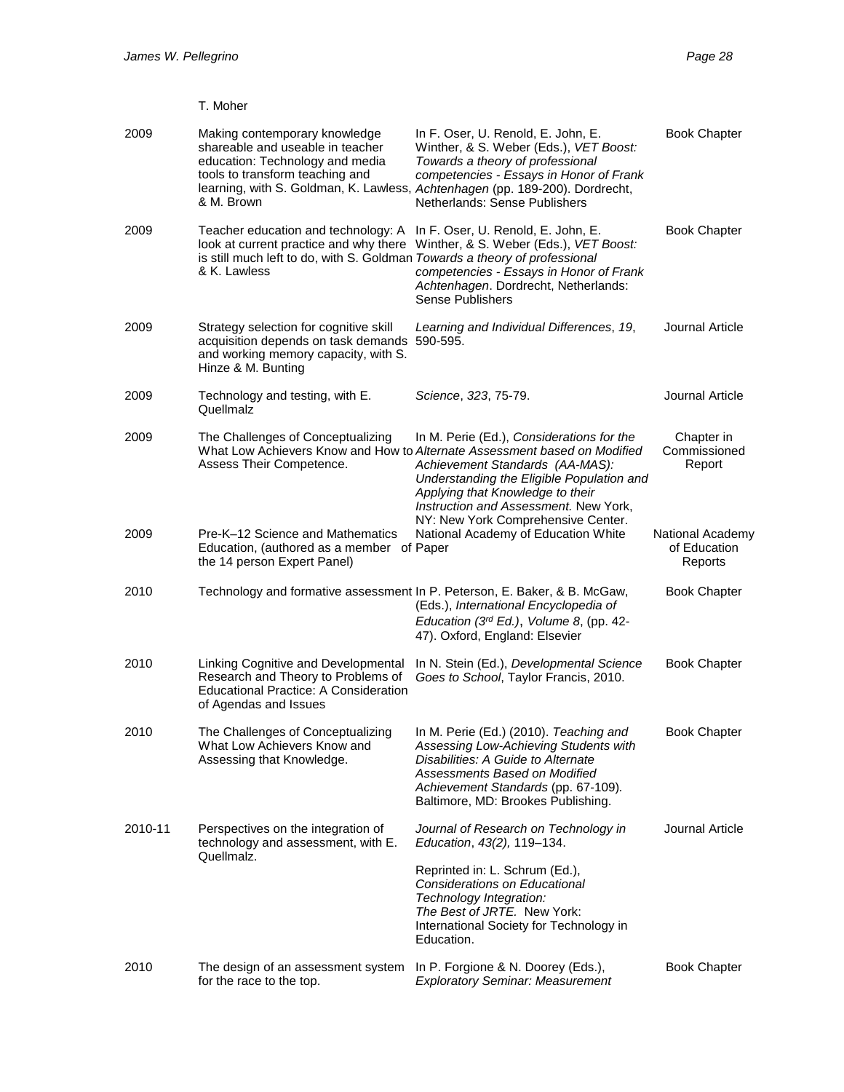T. Moher

| 2009    | Making contemporary knowledge<br>shareable and useable in teacher<br>education: Technology and media<br>tools to transform teaching and<br>& M. Brown                       | In F. Oser, U. Renold, E. John, E.<br>Winther, & S. Weber (Eds.), VET Boost:<br>Towards a theory of professional<br>competencies - Essays in Honor of Frank<br>learning, with S. Goldman, K. Lawless, Achtenhagen (pp. 189-200). Dordrecht,<br>Netherlands: Sense Publishers        | <b>Book Chapter</b>                         |
|---------|-----------------------------------------------------------------------------------------------------------------------------------------------------------------------------|-------------------------------------------------------------------------------------------------------------------------------------------------------------------------------------------------------------------------------------------------------------------------------------|---------------------------------------------|
| 2009    | Teacher education and technology: A<br>look at current practice and why there<br>is still much left to do, with S. Goldman Towards a theory of professional<br>& K. Lawless | In F. Oser, U. Renold, E. John, E.<br>Winther, & S. Weber (Eds.), VET Boost:<br>competencies - Essays in Honor of Frank<br>Achtenhagen. Dordrecht, Netherlands:<br><b>Sense Publishers</b>                                                                                          | <b>Book Chapter</b>                         |
| 2009    | Strategy selection for cognitive skill<br>acquisition depends on task demands<br>and working memory capacity, with S.<br>Hinze & M. Bunting                                 | Learning and Individual Differences, 19,<br>590-595.                                                                                                                                                                                                                                | Journal Article                             |
| 2009    | Technology and testing, with E.<br>Quellmalz                                                                                                                                | Science, 323, 75-79.                                                                                                                                                                                                                                                                | Journal Article                             |
| 2009    | The Challenges of Conceptualizing<br>Assess Their Competence.                                                                                                               | In M. Perie (Ed.), Considerations for the<br>What Low Achievers Know and How to Alternate Assessment based on Modified<br>Achievement Standards (AA-MAS):<br>Understanding the Eligible Population and<br>Applying that Knowledge to their<br>Instruction and Assessment. New York, | Chapter in<br>Commissioned<br>Report        |
| 2009    | Pre-K-12 Science and Mathematics<br>Education, (authored as a member of Paper<br>the 14 person Expert Panel)                                                                | NY: New York Comprehensive Center.<br>National Academy of Education White                                                                                                                                                                                                           | National Academy<br>of Education<br>Reports |
| 2010    |                                                                                                                                                                             | Technology and formative assessment In P. Peterson, E. Baker, & B. McGaw,<br>(Eds.), International Encyclopedia of<br>Education (3rd Ed.), Volume 8, (pp. 42-<br>47). Oxford, England: Elsevier                                                                                     | <b>Book Chapter</b>                         |
| 2010    | Linking Cognitive and Developmental<br>Research and Theory to Problems of<br><b>Educational Practice: A Consideration</b><br>of Agendas and Issues                          | In N. Stein (Ed.), Developmental Science<br>Goes to School, Taylor Francis, 2010.                                                                                                                                                                                                   | <b>Book Chapter</b>                         |
| 2010    | The Challenges of Conceptualizing<br>What Low Achievers Know and<br>Assessing that Knowledge.                                                                               | In M. Perie (Ed.) (2010). Teaching and<br>Assessing Low-Achieving Students with<br>Disabilities: A Guide to Alternate<br>Assessments Based on Modified<br>Achievement Standards (pp. 67-109).<br>Baltimore, MD: Brookes Publishing.                                                 | Book Chapter                                |
| 2010-11 | Perspectives on the integration of<br>technology and assessment, with E.                                                                                                    | Journal of Research on Technology in<br>Education, 43(2), 119-134.                                                                                                                                                                                                                  | Journal Article                             |
|         | Quellmalz.                                                                                                                                                                  | Reprinted in: L. Schrum (Ed.),<br>Considerations on Educational<br>Technology Integration:<br>The Best of JRTE. New York:<br>International Society for Technology in<br>Education.                                                                                                  |                                             |
| 2010    | The design of an assessment system<br>for the race to the top.                                                                                                              | In P. Forgione & N. Doorey (Eds.),<br><b>Exploratory Seminar: Measurement</b>                                                                                                                                                                                                       | <b>Book Chapter</b>                         |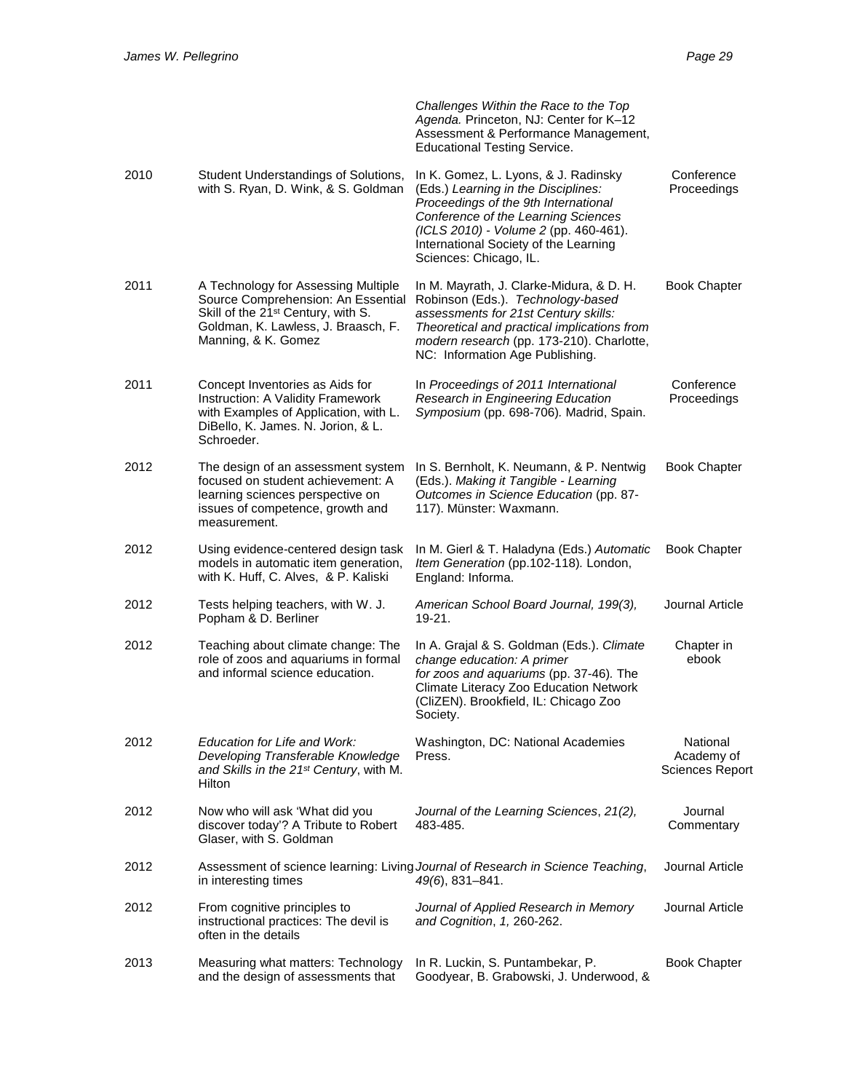|      |                                                                                                                                                                                           | Challenges Within the Race to the Top<br>Agenda. Princeton, NJ: Center for K-12<br>Assessment & Performance Management,<br><b>Educational Testing Service.</b>                                                                                                         |                                                  |
|------|-------------------------------------------------------------------------------------------------------------------------------------------------------------------------------------------|------------------------------------------------------------------------------------------------------------------------------------------------------------------------------------------------------------------------------------------------------------------------|--------------------------------------------------|
| 2010 | Student Understandings of Solutions,<br>with S. Ryan, D. Wink, & S. Goldman                                                                                                               | In K. Gomez, L. Lyons, & J. Radinsky<br>(Eds.) Learning in the Disciplines:<br>Proceedings of the 9th International<br>Conference of the Learning Sciences<br>(ICLS 2010) - Volume 2 (pp. 460-461).<br>International Society of the Learning<br>Sciences: Chicago, IL. | Conference<br>Proceedings                        |
| 2011 | A Technology for Assessing Multiple<br>Source Comprehension: An Essential<br>Skill of the 21 <sup>st</sup> Century, with S.<br>Goldman, K. Lawless, J. Braasch, F.<br>Manning, & K. Gomez | In M. Mayrath, J. Clarke-Midura, & D. H.<br>Robinson (Eds.). Technology-based<br>assessments for 21st Century skills:<br>Theoretical and practical implications from<br>modern research (pp. 173-210). Charlotte,<br>NC: Information Age Publishing.                   | <b>Book Chapter</b>                              |
| 2011 | Concept Inventories as Aids for<br>Instruction: A Validity Framework<br>with Examples of Application, with L.<br>DiBello, K. James. N. Jorion, & L.<br>Schroeder.                         | In Proceedings of 2011 International<br>Research in Engineering Education<br>Symposium (pp. 698-706). Madrid, Spain.                                                                                                                                                   | Conference<br>Proceedings                        |
| 2012 | The design of an assessment system<br>focused on student achievement: A<br>learning sciences perspective on<br>issues of competence, growth and<br>measurement.                           | In S. Bernholt, K. Neumann, & P. Nentwig<br>(Eds.). Making it Tangible - Learning<br>Outcomes in Science Education (pp. 87-<br>117). Münster: Waxmann.                                                                                                                 | <b>Book Chapter</b>                              |
| 2012 | Using evidence-centered design task<br>models in automatic item generation,<br>with K. Huff, C. Alves, & P. Kaliski                                                                       | In M. Gierl & T. Haladyna (Eds.) Automatic<br>Item Generation (pp.102-118). London,<br>England: Informa.                                                                                                                                                               | <b>Book Chapter</b>                              |
| 2012 | Tests helping teachers, with W. J.<br>Popham & D. Berliner                                                                                                                                | American School Board Journal, 199(3),<br>19-21.                                                                                                                                                                                                                       | Journal Article                                  |
| 2012 | Teaching about climate change: The<br>role of zoos and aquariums in formal<br>and informal science education.                                                                             | In A. Grajal & S. Goldman (Eds.). Climate<br>change education: A primer<br>for zoos and aquariums (pp. 37-46). The<br>Climate Literacy Zoo Education Network<br>(CliZEN). Brookfield, IL: Chicago Zoo<br>Society.                                                      | Chapter in<br>ebook                              |
| 2012 | Education for Life and Work:<br>Developing Transferable Knowledge<br>and Skills in the 21 <sup>st</sup> Century, with M.<br>Hilton                                                        | Washington, DC: National Academies<br>Press.                                                                                                                                                                                                                           | National<br>Academy of<br><b>Sciences Report</b> |
| 2012 | Now who will ask 'What did you<br>discover today'? A Tribute to Robert<br>Glaser, with S. Goldman                                                                                         | Journal of the Learning Sciences, 21(2),<br>483-485.                                                                                                                                                                                                                   | Journal<br>Commentary                            |
| 2012 | in interesting times                                                                                                                                                                      | Assessment of science learning: Living Journal of Research in Science Teaching,<br>$49(6)$ , 831-841.                                                                                                                                                                  | Journal Article                                  |
| 2012 | From cognitive principles to<br>instructional practices: The devil is<br>often in the details                                                                                             | Journal of Applied Research in Memory<br>and Cognition, 1, 260-262.                                                                                                                                                                                                    | Journal Article                                  |
| 2013 | Measuring what matters: Technology<br>and the design of assessments that                                                                                                                  | In R. Luckin, S. Puntambekar, P.<br>Goodyear, B. Grabowski, J. Underwood, &                                                                                                                                                                                            | <b>Book Chapter</b>                              |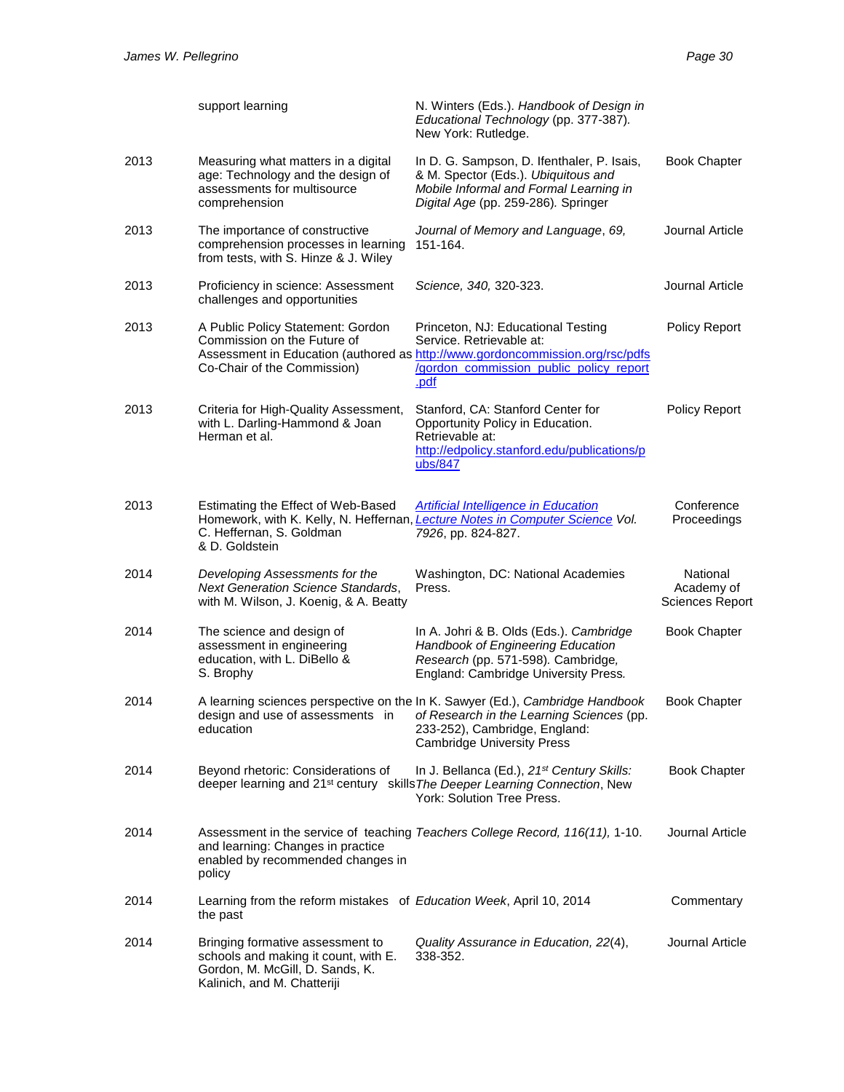|      | support learning                                                                                                                           | N. Winters (Eds.). Handbook of Design in<br>Educational Technology (pp. 377-387).<br>New York: Rutledge.                                                                                           |                                                  |
|------|--------------------------------------------------------------------------------------------------------------------------------------------|----------------------------------------------------------------------------------------------------------------------------------------------------------------------------------------------------|--------------------------------------------------|
| 2013 | Measuring what matters in a digital<br>age: Technology and the design of<br>assessments for multisource<br>comprehension                   | In D. G. Sampson, D. Ifenthaler, P. Isais,<br>& M. Spector (Eds.). Ubiquitous and<br>Mobile Informal and Formal Learning in<br>Digital Age (pp. 259-286). Springer                                 | <b>Book Chapter</b>                              |
| 2013 | The importance of constructive<br>comprehension processes in learning<br>from tests, with S. Hinze & J. Wiley                              | Journal of Memory and Language, 69,<br>151-164.                                                                                                                                                    | Journal Article                                  |
| 2013 | Proficiency in science: Assessment<br>challenges and opportunities                                                                         | Science, 340, 320-323.                                                                                                                                                                             | Journal Article                                  |
| 2013 | A Public Policy Statement: Gordon<br>Commission on the Future of<br>Co-Chair of the Commission)                                            | Princeton, NJ: Educational Testing<br>Service. Retrievable at:<br>Assessment in Education (authored as http://www.gordoncommission.org/rsc/pdfs<br>/gordon_commission_public_policy_report<br>.pdf | Policy Report                                    |
| 2013 | Criteria for High-Quality Assessment,<br>with L. Darling-Hammond & Joan<br>Herman et al.                                                   | Stanford, CA: Stanford Center for<br>Opportunity Policy in Education.<br>Retrievable at:<br>http://edpolicy.stanford.edu/publications/p<br>ubs/847                                                 | Policy Report                                    |
| 2013 | Estimating the Effect of Web-Based<br>C. Heffernan, S. Goldman<br>& D. Goldstein                                                           | <b>Artificial Intelligence in Education</b><br>Homework, with K. Kelly, N. Heffernan, Lecture Notes in Computer Science Vol.<br>7926, pp. 824-827.                                                 | Conference<br>Proceedings                        |
| 2014 | Developing Assessments for the<br><b>Next Generation Science Standards,</b><br>with M. Wilson, J. Koenig, & A. Beatty                      | Washington, DC: National Academies<br>Press.                                                                                                                                                       | National<br>Academy of<br><b>Sciences Report</b> |
| 2014 | The science and design of<br>assessment in engineering<br>education, with L. DiBello &<br>S. Brophy                                        | In A. Johri & B. Olds (Eds.). Cambridge<br>Handbook of Engineering Education<br>Research (pp. 571-598). Cambridge,<br>England: Cambridge University Press.                                         | <b>Book Chapter</b>                              |
| 2014 | design and use of assessments in<br>education                                                                                              | A learning sciences perspective on the In K. Sawyer (Ed.), Cambridge Handbook<br>of Research in the Learning Sciences (pp.<br>233-252), Cambridge, England:<br><b>Cambridge University Press</b>   | <b>Book Chapter</b>                              |
| 2014 | Beyond rhetoric: Considerations of                                                                                                         | In J. Bellanca (Ed.), 21 <sup>st</sup> Century Skills:<br>deeper learning and 21 <sup>st</sup> century skills The Deeper Learning Connection, New<br>York: Solution Tree Press.                    | <b>Book Chapter</b>                              |
| 2014 | and learning: Changes in practice<br>enabled by recommended changes in<br>policy                                                           | Assessment in the service of teaching Teachers College Record, 116(11), 1-10.                                                                                                                      | Journal Article                                  |
| 2014 | Learning from the reform mistakes of Education Week, April 10, 2014<br>the past                                                            |                                                                                                                                                                                                    | Commentary                                       |
| 2014 | Bringing formative assessment to<br>schools and making it count, with E.<br>Gordon, M. McGill, D. Sands, K.<br>Kalinich, and M. Chatteriji | Quality Assurance in Education, 22(4),<br>338-352.                                                                                                                                                 | Journal Article                                  |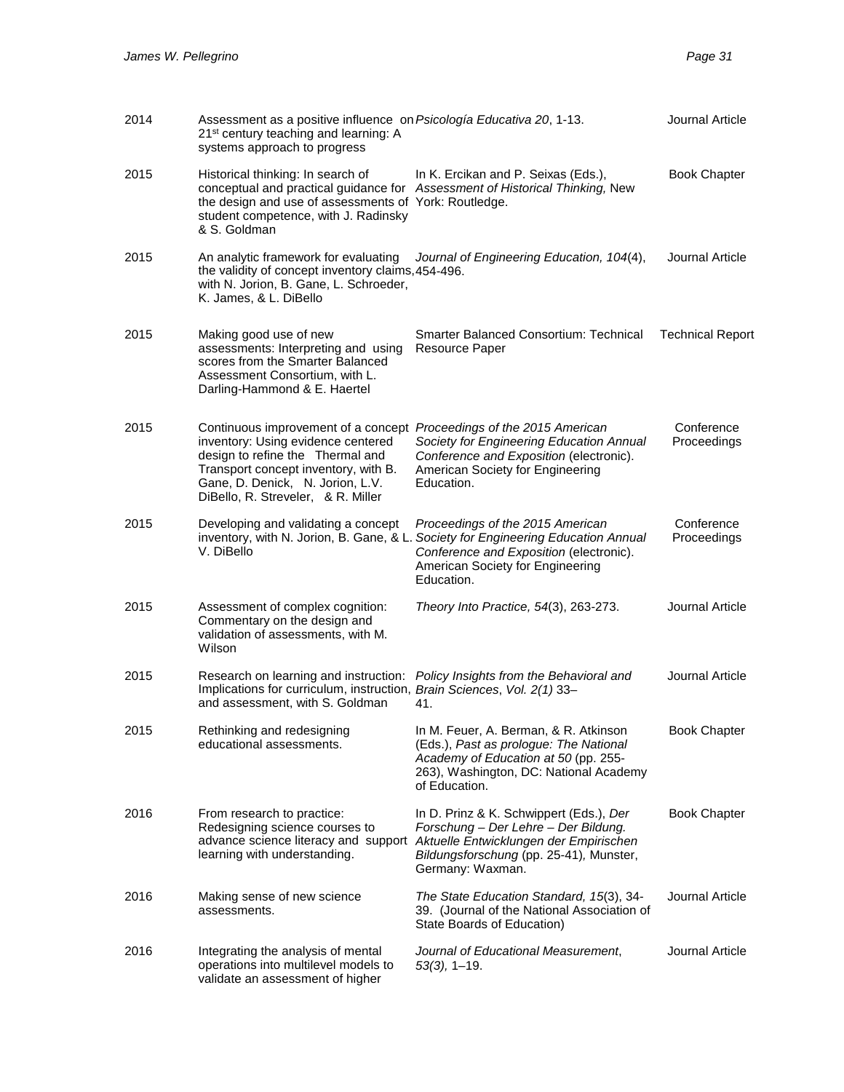| 2014 | Assessment as a positive influence on Psicología Educativa 20, 1-13.<br>21 <sup>st</sup> century teaching and learning: A<br>systems approach to progress                                                                                                        |                                                                                                                                                                                                                               | Journal Article           |
|------|------------------------------------------------------------------------------------------------------------------------------------------------------------------------------------------------------------------------------------------------------------------|-------------------------------------------------------------------------------------------------------------------------------------------------------------------------------------------------------------------------------|---------------------------|
| 2015 | Historical thinking: In search of<br>the design and use of assessments of York: Routledge.<br>student competence, with J. Radinsky<br>& S. Goldman                                                                                                               | In K. Ercikan and P. Seixas (Eds.),<br>conceptual and practical guidance for Assessment of Historical Thinking, New                                                                                                           | <b>Book Chapter</b>       |
| 2015 | An analytic framework for evaluating<br>the validity of concept inventory claims, 454-496.<br>with N. Jorion, B. Gane, L. Schroeder,<br>K. James, & L. DiBello                                                                                                   | Journal of Engineering Education, 104(4),                                                                                                                                                                                     | Journal Article           |
| 2015 | Making good use of new<br>assessments: Interpreting and using<br>scores from the Smarter Balanced<br>Assessment Consortium, with L.<br>Darling-Hammond & E. Haertel                                                                                              | <b>Smarter Balanced Consortium: Technical</b><br>Resource Paper                                                                                                                                                               | <b>Technical Report</b>   |
| 2015 | Continuous improvement of a concept Proceedings of the 2015 American<br>inventory: Using evidence centered<br>design to refine the Thermal and<br>Transport concept inventory, with B.<br>Gane, D. Denick, N. Jorion, L.V.<br>DiBello, R. Streveler, & R. Miller | Society for Engineering Education Annual<br>Conference and Exposition (electronic).<br>American Society for Engineering<br>Education.                                                                                         | Conference<br>Proceedings |
| 2015 | Developing and validating a concept<br>inventory, with N. Jorion, B. Gane, & L.<br>V. DiBello                                                                                                                                                                    | Proceedings of the 2015 American<br>Society for Engineering Education Annual<br>Conference and Exposition (electronic).<br>American Society for Engineering<br>Education.                                                     | Conference<br>Proceedings |
| 2015 | Assessment of complex cognition:<br>Commentary on the design and<br>validation of assessments, with M.<br>Wilson                                                                                                                                                 | Theory Into Practice, 54(3), 263-273.                                                                                                                                                                                         | Journal Article           |
| 2015 | Implications for curriculum, instruction, Brain Sciences, Vol. 2(1) 33-<br>and assessment, with S. Goldman                                                                                                                                                       | Research on learning and instruction: Policy Insights from the Behavioral and<br>41.                                                                                                                                          | Journal Article           |
| 2015 | Rethinking and redesigning<br>educational assessments.                                                                                                                                                                                                           | In M. Feuer, A. Berman, & R. Atkinson<br>(Eds.), Past as prologue: The National<br>Academy of Education at 50 (pp. 255-<br>263), Washington, DC: National Academy<br>of Education.                                            | <b>Book Chapter</b>       |
| 2016 | From research to practice:<br>Redesigning science courses to<br>learning with understanding.                                                                                                                                                                     | In D. Prinz & K. Schwippert (Eds.), Der<br>Forschung - Der Lehre - Der Bildung.<br>advance science literacy and support Aktuelle Entwicklungen der Empirischen<br>Bildungsforschung (pp. 25-41), Munster,<br>Germany: Waxman. | <b>Book Chapter</b>       |
| 2016 | Making sense of new science<br>assessments.                                                                                                                                                                                                                      | The State Education Standard, 15(3), 34-<br>39. (Journal of the National Association of<br>State Boards of Education)                                                                                                         | Journal Article           |
| 2016 | Integrating the analysis of mental<br>operations into multilevel models to<br>validate an assessment of higher                                                                                                                                                   | Journal of Educational Measurement,<br>$53(3)$ , 1-19.                                                                                                                                                                        | Journal Article           |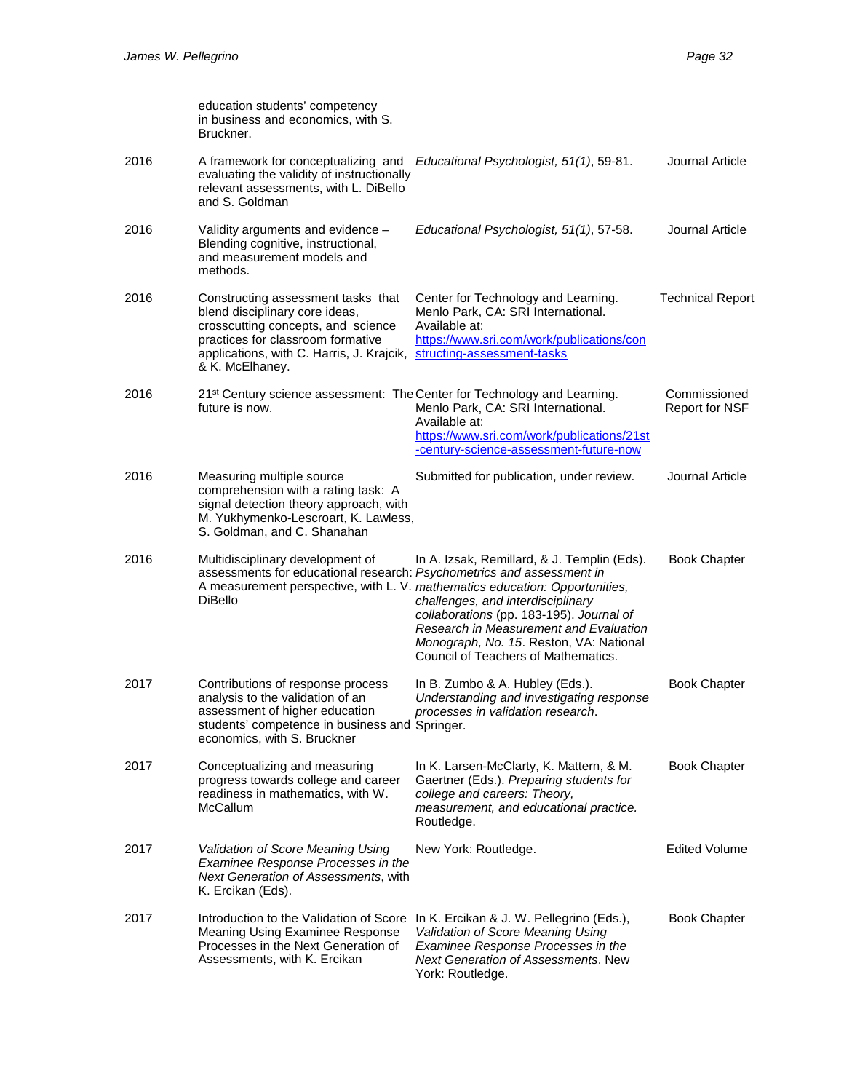|      | education students' competency<br>in business and economics, with S.<br>Bruckner.                                                                                                                               |                                                                                                                                                                                                                                                                                                                                         |                                       |
|------|-----------------------------------------------------------------------------------------------------------------------------------------------------------------------------------------------------------------|-----------------------------------------------------------------------------------------------------------------------------------------------------------------------------------------------------------------------------------------------------------------------------------------------------------------------------------------|---------------------------------------|
| 2016 | A framework for conceptualizing and<br>evaluating the validity of instructionally<br>relevant assessments, with L. DiBello<br>and S. Goldman                                                                    | Educational Psychologist, 51(1), 59-81.                                                                                                                                                                                                                                                                                                 | Journal Article                       |
| 2016 | Validity arguments and evidence -<br>Blending cognitive, instructional,<br>and measurement models and<br>methods.                                                                                               | Educational Psychologist, 51(1), 57-58.                                                                                                                                                                                                                                                                                                 | Journal Article                       |
| 2016 | Constructing assessment tasks that<br>blend disciplinary core ideas,<br>crosscutting concepts, and science<br>practices for classroom formative<br>applications, with C. Harris, J. Krajcik,<br>& K. McElhaney. | Center for Technology and Learning.<br>Menlo Park, CA: SRI International.<br>Available at:<br>https://www.sri.com/work/publications/con<br>structing-assessment-tasks                                                                                                                                                                   | <b>Technical Report</b>               |
| 2016 | 21 <sup>st</sup> Century science assessment: The Center for Technology and Learning.<br>future is now.                                                                                                          | Menlo Park, CA: SRI International.<br>Available at:<br>https://www.sri.com/work/publications/21st<br>-century-science-assessment-future-now                                                                                                                                                                                             | Commissioned<br><b>Report for NSF</b> |
| 2016 | Measuring multiple source<br>comprehension with a rating task: A<br>signal detection theory approach, with<br>M. Yukhymenko-Lescroart, K. Lawless,<br>S. Goldman, and C. Shanahan                               | Submitted for publication, under review.                                                                                                                                                                                                                                                                                                | Journal Article                       |
| 2016 | Multidisciplinary development of<br>assessments for educational research: Psychometrics and assessment in<br><b>DiBello</b>                                                                                     | In A. Izsak, Remillard, & J. Templin (Eds).<br>A measurement perspective, with L. V. mathematics education: Opportunities,<br>challenges, and interdisciplinary<br>collaborations (pp. 183-195). Journal of<br>Research in Measurement and Evaluation<br>Monograph, No. 15. Reston, VA: National<br>Council of Teachers of Mathematics. | <b>Book Chapter</b>                   |
| 2017 | Contributions of response process<br>analysis to the validation of an<br>assessment of higher education<br>students' competence in business and Springer.<br>economics, with S. Bruckner                        | In B. Zumbo & A. Hubley (Eds.).<br>Understanding and investigating response<br>processes in validation research.                                                                                                                                                                                                                        | <b>Book Chapter</b>                   |
| 2017 | Conceptualizing and measuring<br>progress towards college and career<br>readiness in mathematics, with W.<br>McCallum                                                                                           | In K. Larsen-McClarty, K. Mattern, & M.<br>Gaertner (Eds.). Preparing students for<br>college and careers: Theory,<br>measurement, and educational practice.<br>Routledge.                                                                                                                                                              | <b>Book Chapter</b>                   |
| 2017 | Validation of Score Meaning Using<br>Examinee Response Processes in the<br>Next Generation of Assessments, with<br>K. Ercikan (Eds).                                                                            | New York: Routledge.                                                                                                                                                                                                                                                                                                                    | <b>Edited Volume</b>                  |
| 2017 | Introduction to the Validation of Score<br>Meaning Using Examinee Response<br>Processes in the Next Generation of<br>Assessments, with K. Ercikan                                                               | In K. Ercikan & J. W. Pellegrino (Eds.),<br>Validation of Score Meaning Using<br>Examinee Response Processes in the<br><b>Next Generation of Assessments. New</b><br>York: Routledge.                                                                                                                                                   | <b>Book Chapter</b>                   |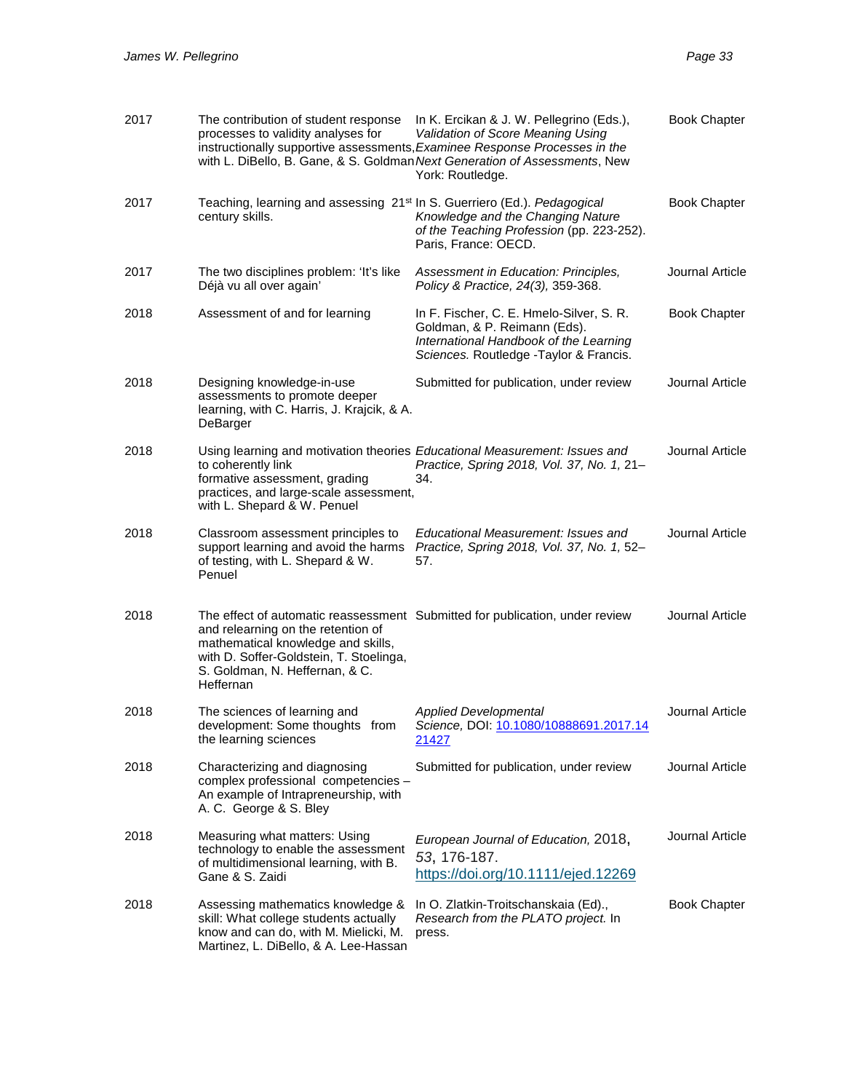| 2017 | The contribution of student response<br>processes to validity analyses for                                                                                         | In K. Ercikan & J. W. Pellegrino (Eds.),<br>Validation of Score Meaning Using<br>instructionally supportive assessments, Examinee Response Processes in the<br>with L. DiBello, B. Gane, & S. Goldman Next Generation of Assessments, New<br>York: Routledge. | <b>Book Chapter</b> |
|------|--------------------------------------------------------------------------------------------------------------------------------------------------------------------|---------------------------------------------------------------------------------------------------------------------------------------------------------------------------------------------------------------------------------------------------------------|---------------------|
| 2017 | Teaching, learning and assessing 21 <sup>st</sup> In S. Guerriero (Ed.). Pedagogical<br>century skills.                                                            | Knowledge and the Changing Nature<br>of the Teaching Profession (pp. 223-252).<br>Paris, France: OECD.                                                                                                                                                        | <b>Book Chapter</b> |
| 2017 | The two disciplines problem: 'It's like<br>Déjà vu all over again'                                                                                                 | Assessment in Education: Principles,<br>Policy & Practice, 24(3), 359-368.                                                                                                                                                                                    | Journal Article     |
| 2018 | Assessment of and for learning                                                                                                                                     | In F. Fischer, C. E. Hmelo-Silver, S. R.<br>Goldman, & P. Reimann (Eds).<br>International Handbook of the Learning<br>Sciences. Routledge - Taylor & Francis.                                                                                                 | <b>Book Chapter</b> |
| 2018 | Designing knowledge-in-use<br>assessments to promote deeper<br>learning, with C. Harris, J. Krajcik, & A.<br>DeBarger                                              | Submitted for publication, under review                                                                                                                                                                                                                       | Journal Article     |
| 2018 | to coherently link<br>formative assessment, grading<br>practices, and large-scale assessment,<br>with L. Shepard & W. Penuel                                       | Using learning and motivation theories Educational Measurement: Issues and<br>Practice, Spring 2018, Vol. 37, No. 1, 21-<br>34.                                                                                                                               | Journal Article     |
| 2018 | Classroom assessment principles to<br>support learning and avoid the harms<br>of testing, with L. Shepard & W.<br>Penuel                                           | Educational Measurement: Issues and<br>Practice, Spring 2018, Vol. 37, No. 1, 52-<br>57.                                                                                                                                                                      | Journal Article     |
| 2018 | and relearning on the retention of<br>mathematical knowledge and skills,<br>with D. Soffer-Goldstein, T. Stoelinga,<br>S. Goldman, N. Heffernan, & C.<br>Heffernan | The effect of automatic reassessment Submitted for publication, under review                                                                                                                                                                                  | Journal Article     |
| 2018 | The sciences of learning and<br>development: Some thoughts from<br>the learning sciences                                                                           | <b>Applied Developmental</b><br>Science, DOI: 10.1080/10888691.2017.14<br>21427                                                                                                                                                                               | Journal Article     |
| 2018 | Characterizing and diagnosing<br>complex professional competencies -<br>An example of Intrapreneurship, with<br>A. C. George & S. Bley                             | Submitted for publication, under review                                                                                                                                                                                                                       | Journal Article     |
| 2018 | Measuring what matters: Using<br>technology to enable the assessment<br>of multidimensional learning, with B.<br>Gane & S. Zaidi                                   | European Journal of Education, 2018,<br>53, 176-187.<br>https://doi.org/10.1111/ejed.12269                                                                                                                                                                    | Journal Article     |
| 2018 | Assessing mathematics knowledge &<br>skill: What college students actually<br>know and can do, with M. Mielicki, M.<br>Martinez, L. DiBello, & A. Lee-Hassan       | In O. Zlatkin-Troitschanskaia (Ed).,<br>Research from the PLATO project. In<br>press.                                                                                                                                                                         | <b>Book Chapter</b> |